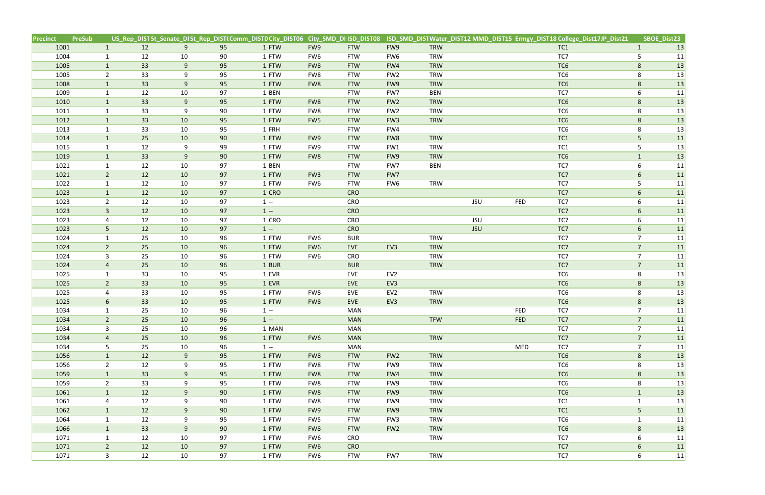| Precinct | <b>PreSub</b> |                |    |        |    | US_Rep_DIST St_Senate_DI St_Rep_DIST(Comm_DIST0 City_DIST06 City_SMD_DI ISD_DIST08 |                 |            |                 |            |            |            | ISD_SMD_DISTWater_DIST12 MMD_DIST15 Ermgy_DIST18 College_Dist17JP_Dist21 |                | SBOE_Dist23 |
|----------|---------------|----------------|----|--------|----|------------------------------------------------------------------------------------|-----------------|------------|-----------------|------------|------------|------------|--------------------------------------------------------------------------|----------------|-------------|
| 1001     |               | $\mathbf{1}$   | 12 | 9      | 95 | 1 FTW                                                                              | FW9             | <b>FTW</b> | FW9             | <b>TRW</b> |            |            | TC1                                                                      | $\mathbf{1}$   | 13          |
| 1004     |               | $\mathbf{1}$   | 12 | 10     | 90 | 1 FTW                                                                              | FW6             | <b>FTW</b> | FW6             | <b>TRW</b> |            |            | TC7                                                                      | 5              | 11          |
| 1005     |               | $\mathbf{1}$   | 33 | 9      | 95 | 1 FTW                                                                              | FW8             | <b>FTW</b> | FW4             | <b>TRW</b> |            |            | TC6                                                                      | 8              | 13          |
| 1005     |               | $\overline{2}$ | 33 | 9      | 95 | 1 FTW                                                                              | FW8             | <b>FTW</b> | FW <sub>2</sub> | <b>TRW</b> |            |            | TC6                                                                      | 8              | 13          |
| 1008     |               | $\mathbf{1}$   | 33 | 9      | 95 | 1 FTW                                                                              | FW8             | <b>FTW</b> | FW9             | <b>TRW</b> |            |            | TC <sub>6</sub>                                                          | 8              | 13          |
| 1009     |               | $\mathbf{1}$   | 12 | 10     | 97 | 1 BEN                                                                              |                 | <b>FTW</b> | FW7             | <b>BEN</b> |            |            | TC7                                                                      | 6              | 11          |
| 1010     |               | $\mathbf{1}$   | 33 | 9      | 95 | 1 FTW                                                                              | FW8             | <b>FTW</b> | FW <sub>2</sub> | <b>TRW</b> |            |            | TC <sub>6</sub>                                                          | 8              | 13          |
| 1011     |               | $\mathbf{1}$   | 33 | 9      | 90 | 1 FTW                                                                              | FW8             | <b>FTW</b> | FW <sub>2</sub> | <b>TRW</b> |            |            | TC6                                                                      | 8              | 13          |
| 1012     |               | $\mathbf{1}$   | 33 | 10     | 95 | 1 FTW                                                                              | FW <sub>5</sub> | <b>FTW</b> | FW <sub>3</sub> | TRW        |            |            | TC <sub>6</sub>                                                          | $8\phantom{1}$ | 13          |
| 1013     |               | $\mathbf{1}$   | 33 | 10     | 95 | 1 FRH                                                                              |                 | <b>FTW</b> | FW4             |            |            |            | TC6                                                                      | 8              | 13          |
| 1014     |               | $\mathbf{1}$   | 25 | 10     | 90 | 1 FTW                                                                              | FW9             | <b>FTW</b> | FW8             | <b>TRW</b> |            |            | TC1                                                                      | 5              | 11          |
| 1015     |               | $\mathbf{1}$   | 12 | 9      | 99 | 1 FTW                                                                              | FW9             | <b>FTW</b> | FW1             | <b>TRW</b> |            |            | TC1                                                                      | 5              | 13          |
| 1019     |               | $\mathbf{1}$   | 33 | 9      | 90 | 1 FTW                                                                              | FW8             | <b>FTW</b> | FW9             | <b>TRW</b> |            |            | TC <sub>6</sub>                                                          | $\mathbf{1}$   | 13          |
| 1021     |               | $\mathbf{1}$   | 12 | $10\,$ | 97 | 1 BEN                                                                              |                 | <b>FTW</b> | FW7             | <b>BEN</b> |            |            | TC7                                                                      | 6              | 11          |
| 1021     |               | $2^{\circ}$    | 12 | 10     | 97 | 1 FTW                                                                              | FW <sub>3</sub> | <b>FTW</b> | FW7             |            |            |            | TC7                                                                      | 6              | 11          |
| 1022     |               | $\mathbf{1}$   | 12 | 10     | 97 | 1 FTW                                                                              | FW6             | <b>FTW</b> | FW6             | <b>TRW</b> |            |            | TC7                                                                      | 5              | 11          |
| 1023     |               | $\mathbf{1}$   | 12 | 10     | 97 | 1 CRO                                                                              |                 | <b>CRO</b> |                 |            |            |            | TC7                                                                      | 6              | 11          |
| 1023     |               | $2^{\circ}$    | 12 | 10     | 97 | $1 -$                                                                              |                 | CRO        |                 |            | <b>JSU</b> | <b>FED</b> | TC7                                                                      | 6              | 11          |
| 1023     |               | $\mathbf{3}$   | 12 | 10     | 97 | $1 -$                                                                              |                 | <b>CRO</b> |                 |            |            |            | TC7                                                                      | 6              | 11          |
| 1023     |               | 4              | 12 | 10     | 97 | 1 CRO                                                                              |                 | CRO        |                 |            | <b>JSU</b> |            | TC7                                                                      | 6              | 11          |
| 1023     |               | 5              | 12 | 10     | 97 | $1 -$                                                                              |                 | <b>CRO</b> |                 |            | <b>JSU</b> |            | TC7                                                                      | $6\phantom{.}$ | 11          |
| 1024     |               | $\mathbf{1}$   | 25 | 10     | 96 | 1 FTW                                                                              | FW6             | <b>BUR</b> |                 | <b>TRW</b> |            |            | TC7                                                                      | $\overline{7}$ | 11          |
| 1024     |               | $2^{\circ}$    | 25 | 10     | 96 | 1 FTW                                                                              | FW <sub>6</sub> | EVE        | EV3             | <b>TRW</b> |            |            | TC7                                                                      | $\overline{7}$ | 11          |
| 1024     |               | 3              | 25 | 10     | 96 | 1 FTW                                                                              | FW6             | CRO        |                 | <b>TRW</b> |            |            | TC7                                                                      | $\overline{7}$ | 11          |
| 1024     |               | $\overline{4}$ | 25 | 10     | 96 | 1 BUR                                                                              |                 | <b>BUR</b> |                 | <b>TRW</b> |            |            | TC7                                                                      | $\overline{7}$ | 11          |
| 1025     |               | $\mathbf{1}$   | 33 | 10     | 95 | 1 EVR                                                                              |                 | EVE        | EV <sub>2</sub> |            |            |            | TC6                                                                      | 8              | 13          |
| 1025     |               | $2^{\circ}$    | 33 | 10     | 95 | 1 EVR                                                                              |                 | EVE        | EV3             |            |            |            | TC6                                                                      | 8              | 13          |
| 1025     |               | 4              | 33 | 10     | 95 | 1 FTW                                                                              | FW8             | EVE        | EV <sub>2</sub> | <b>TRW</b> |            |            | TC6                                                                      | 8              | 13          |
| 1025     |               | 6              | 33 | 10     | 95 | 1 FTW                                                                              | FW8             | EVE        | EV3             | <b>TRW</b> |            |            | TC <sub>6</sub>                                                          | 8              | 13          |
| 1034     |               | $\mathbf{1}$   | 25 | 10     | 96 | $1 -$                                                                              |                 | <b>MAN</b> |                 |            |            | FED        | TC7                                                                      | $\overline{7}$ | 11          |
| 1034     |               | $\overline{2}$ | 25 | 10     | 96 | $1 -$                                                                              |                 | <b>MAN</b> |                 | <b>TFW</b> |            | <b>FED</b> | TC7                                                                      | $\overline{7}$ | 11          |
| 1034     |               | $\mathbf{3}$   | 25 | 10     | 96 | 1 MAN                                                                              |                 | <b>MAN</b> |                 |            |            |            | TC7                                                                      | $\overline{7}$ | 11          |
| 1034     |               | $\overline{4}$ | 25 | 10     | 96 | 1 FTW                                                                              | FW <sub>6</sub> | <b>MAN</b> |                 | <b>TRW</b> |            |            | TC7                                                                      | $\overline{7}$ | 11          |
| 1034     |               | 5 <sup>5</sup> | 25 | 10     | 96 | $1 -$                                                                              |                 | <b>MAN</b> |                 |            |            | <b>MED</b> | TC7                                                                      | $\overline{7}$ | 11          |
| 1056     |               | $\mathbf{1}$   | 12 | 9      | 95 | 1 FTW                                                                              | FW8             | <b>FTW</b> | FW <sub>2</sub> | <b>TRW</b> |            |            | TC6                                                                      | 8              | 13          |
| 1056     |               | $\overline{2}$ | 12 | 9      | 95 | 1 FTW                                                                              | FW8             | <b>FTW</b> | FW9             | <b>TRW</b> |            |            | TC6                                                                      | 8              | 13          |
| 1059     |               | $\mathbf{1}$   | 33 | 9      | 95 | 1 FTW                                                                              | FW8             | <b>FTW</b> | FW4             | <b>TRW</b> |            |            | TC6                                                                      | 8              | 13          |
| 1059     |               | $2^{\circ}$    | 33 | 9      | 95 | 1 FTW                                                                              | FW8             | <b>FTW</b> | FW9             | <b>TRW</b> |            |            | TC6                                                                      | 8              | 13          |
| 1061     |               | $\mathbf{1}$   | 12 | 9      | 90 | 1 FTW                                                                              | FW8             | <b>FTW</b> | FW9             | <b>TRW</b> |            |            | TC6                                                                      | $\mathbf{1}$   | 13          |
| 1061     |               | 4              | 12 | 9      | 90 | 1 FTW                                                                              | FW8             | <b>FTW</b> | FW9             | <b>TRW</b> |            |            | TC1                                                                      | $\mathbf{1}$   | 13          |
| 1062     |               | $\mathbf{1}$   | 12 | 9      | 90 | 1 FTW                                                                              | FW9             | <b>FTW</b> | FW9             | <b>TRW</b> |            |            | TC1                                                                      | 5              | 11          |
| 1064     |               | $\mathbf{1}$   | 12 | 9      | 95 | 1 FTW                                                                              | FW5             | <b>FTW</b> | FW <sub>3</sub> | <b>TRW</b> |            |            | TC6                                                                      | $\mathbf{1}$   | 11          |
| 1066     |               | $\mathbf{1}$   | 33 | 9      | 90 | 1 FTW                                                                              | FW8             | <b>FTW</b> | FW <sub>2</sub> | <b>TRW</b> |            |            | TC <sub>6</sub>                                                          | $8\phantom{1}$ | 13          |
| 1071     |               | $\mathbf{1}$   | 12 | 10     | 97 | 1 FTW                                                                              | FW6             | <b>CRO</b> |                 | <b>TRW</b> |            |            | TC7                                                                      | 6              | 11          |
| 1071     |               | $\overline{2}$ | 12 | 10     | 97 | 1 FTW                                                                              | FW6             | <b>CRO</b> |                 |            |            |            | TC7                                                                      | $6\phantom{.}$ | 11          |
| 1071     |               | $\mathbf{3}$   | 12 | 10     | 97 | 1 FTW                                                                              | FW6             | <b>FTW</b> | FW7             | TRW        |            |            | TC7                                                                      | 6              | 11          |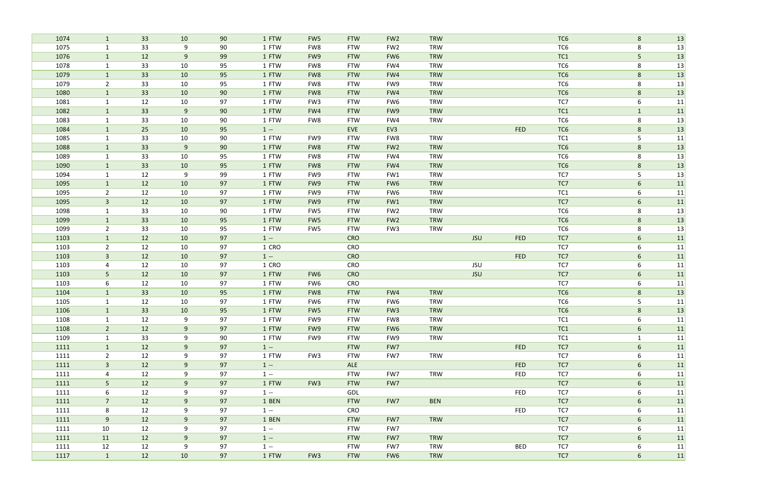| 1074 | $\mathbf{1}$   | 33              | 10 | 90 | 1 FTW | FW <sub>5</sub> | <b>FTW</b> | FW <sub>2</sub> | <b>TRW</b> |            |            | TC <sub>6</sub> | 8               | 13 |
|------|----------------|-----------------|----|----|-------|-----------------|------------|-----------------|------------|------------|------------|-----------------|-----------------|----|
| 1075 | $\mathbf{1}$   | 33              | 9  | 90 | 1 FTW | FW8             | <b>FTW</b> | FW <sub>2</sub> | <b>TRW</b> |            |            | TC <sub>6</sub> | 8               | 13 |
| 1076 | $\mathbf{1}$   | 12              | 9  | 99 | 1 FTW | FW9             | <b>FTW</b> | FW <sub>6</sub> | <b>TRW</b> |            |            | TC1             | 5               | 13 |
| 1078 | $\mathbf{1}$   | 33              | 10 | 95 | 1 FTW | FW8             | <b>FTW</b> | FW4             | <b>TRW</b> |            |            | TC <sub>6</sub> | 8               | 13 |
| 1079 | $\mathbf{1}$   | 33              | 10 | 95 | 1 FTW | FW8             | <b>FTW</b> | FW4             | <b>TRW</b> |            |            | TC <sub>6</sub> | 8               | 13 |
| 1079 | $\overline{2}$ | 33              | 10 | 95 | 1 FTW | FW8             | <b>FTW</b> | FW9             | <b>TRW</b> |            |            | TC <sub>6</sub> | 8               | 13 |
| 1080 | $\mathbf{1}$   | 33              | 10 | 90 | 1 FTW | FW8             | <b>FTW</b> | FW4             | <b>TRW</b> |            |            | TC <sub>6</sub> | 8               | 13 |
| 1081 | $\mathbf{1}$   | 12              | 10 | 97 | 1 FTW | FW <sub>3</sub> | <b>FTW</b> | FW <sub>6</sub> | <b>TRW</b> |            |            | TC7             | 6               | 11 |
| 1082 | $\mathbf{1}$   | 33              | 9  | 90 | 1 FTW | FW4             | <b>FTW</b> | FW9             | <b>TRW</b> |            |            | TC1             | $\mathbf{1}$    | 11 |
| 1083 | $\mathbf{1}$   | 33              | 10 | 90 | 1 FTW | FW8             | <b>FTW</b> | FW4             | <b>TRW</b> |            |            | TC <sub>6</sub> | 8               | 13 |
| 1084 | $\mathbf{1}$   | 25              | 10 | 95 | $1 -$ |                 | <b>EVE</b> | EV3             |            |            | <b>FED</b> | TC <sub>6</sub> | $8\phantom{.}$  | 13 |
| 1085 | 1              | 33              | 10 | 90 | 1 FTW | FW9             | <b>FTW</b> | FW8             | <b>TRW</b> |            |            | TC1             | 5               | 11 |
| 1088 | $\mathbf{1}$   | 33              | 9  | 90 | 1 FTW | FW8             | <b>FTW</b> | FW <sub>2</sub> | <b>TRW</b> |            |            | TC <sub>6</sub> | 8               | 13 |
| 1089 | $\mathbf{1}$   | 33              | 10 | 95 | 1 FTW | FW8             | <b>FTW</b> | FW4             | <b>TRW</b> |            |            | TC <sub>6</sub> | 8               | 13 |
| 1090 | $\mathbf{1}$   | 33              | 10 | 95 | 1 FTW | FW8             | <b>FTW</b> | FW4             | <b>TRW</b> |            |            | TC <sub>6</sub> | 8               | 13 |
| 1094 | $\mathbf{1}$   | 12              | 9  | 99 | 1 FTW | FW9             | <b>FTW</b> | FW1             | <b>TRW</b> |            |            | TC7             | 5               | 13 |
| 1095 | $\mathbf{1}$   | 12              | 10 | 97 | 1 FTW | FW9             | <b>FTW</b> | FW <sub>6</sub> | <b>TRW</b> |            |            | TC7             | 6               | 11 |
| 1095 | $\overline{2}$ | 12              | 10 | 97 | 1 FTW | FW9             | <b>FTW</b> | FW <sub>6</sub> | <b>TRW</b> |            |            | TC1             | 6               | 11 |
| 1095 | $\mathbf{3}$   | 12              | 10 | 97 | 1 FTW | FW9             | <b>FTW</b> | FW1             | <b>TRW</b> |            |            | TC7             | 6               | 11 |
| 1098 | $\mathbf{1}$   | 33              | 10 | 90 | 1 FTW | FW5             | <b>FTW</b> | FW <sub>2</sub> | <b>TRW</b> |            |            | TC <sub>6</sub> | 8               | 13 |
| 1099 | $\mathbf{1}$   | 33              | 10 | 95 | 1 FTW | FW5             | <b>FTW</b> | FW <sub>2</sub> | <b>TRW</b> |            |            | TC <sub>6</sub> | 8               | 13 |
| 1099 | $\overline{2}$ | 33              | 10 | 95 | 1 FTW | FW5             | <b>FTW</b> | FW <sub>3</sub> | <b>TRW</b> |            |            | TC <sub>6</sub> | 8               | 13 |
| 1103 | $\mathbf{1}$   | 12              | 10 | 97 | $1 -$ |                 | <b>CRO</b> |                 |            | <b>JSU</b> | <b>FED</b> | TC7             | $6\phantom{.}6$ | 11 |
| 1103 | $\overline{2}$ | 12              | 10 | 97 | 1 CRO |                 | CRO        |                 |            |            |            | TC7             | 6               | 11 |
| 1103 | $\overline{3}$ | 12              | 10 | 97 | $1 -$ |                 | <b>CRO</b> |                 |            |            | <b>FED</b> | TC7             | 6               | 11 |
| 1103 | 4              | 12              | 10 | 97 | 1 CRO |                 | CRO        |                 |            | <b>JSU</b> |            | TC7             | 6               | 11 |
| 1103 | $5\phantom{.}$ | 12              | 10 | 97 | 1 FTW | FW <sub>6</sub> | <b>CRO</b> |                 |            | <b>JSU</b> |            | TC7             | $6\overline{6}$ | 11 |
| 1103 | 6              | 12              | 10 | 97 | 1 FTW | FW6             | CRO        |                 |            |            |            | TC7             | 6               | 11 |
| 1104 | $\mathbf{1}$   | 33              | 10 | 95 | 1 FTW | FW8             | <b>FTW</b> | FW4             | <b>TRW</b> |            |            | TC <sub>6</sub> | 8               | 13 |
| 1105 | $\mathbf{1}$   | 12              | 10 | 97 | 1 FTW | FW6             | <b>FTW</b> | FW <sub>6</sub> | <b>TRW</b> |            |            | TC <sub>6</sub> | 5               | 11 |
| 1106 | 1              | 33 <sup>°</sup> | 10 | 95 | 1 FTW | FW <sub>5</sub> | <b>FTW</b> | FW <sub>3</sub> | <b>TRW</b> |            |            | TC <sub>6</sub> | 8               | 13 |
| 1108 | $\mathbf{1}$   | 12              | 9  | 97 | 1 FTW | FW9             | <b>FTW</b> | FW8             | <b>TRW</b> |            |            | TC1             | 6               | 11 |
| 1108 | $\overline{2}$ | 12              | 9  | 97 | 1 FTW | FW9             | <b>FTW</b> | FW <sub>6</sub> | <b>TRW</b> |            |            | TC1             | 6               | 11 |
| 1109 | $\mathbf{1}$   | 33              | 9  | 90 | 1 FTW | FW9             | <b>FTW</b> | FW9             | <b>TRW</b> |            |            | TC1             | $\mathbf{1}$    | 11 |
| 1111 | $\mathbf{1}$   | 12              | 9  | 97 | $1 -$ |                 | <b>FTW</b> | FW7             |            |            | <b>FED</b> | TC7             | 6               | 11 |
| 1111 | $\overline{2}$ | 12              | 9  | 97 | 1 FTW | FW3             | <b>FTW</b> | FW7             | <b>TRW</b> |            |            | TC7             | 6               | 11 |
| 1111 | 3 <sup>1</sup> | 12              | 9  | 97 | $1 -$ |                 | ALE        |                 |            |            | <b>FED</b> | TC7             | 6               | 11 |
| 1111 | $\overline{4}$ | 12              | 9  | 97 | $1 -$ |                 | <b>FTW</b> | FW7             | <b>TRW</b> |            | <b>FED</b> | TC7             | 6               | 11 |
| 1111 | 5 <sub>1</sub> | 12              | 9  | 97 | 1 FTW | FW <sub>3</sub> | <b>FTW</b> | FW7             |            |            |            | TC7             | 6               | 11 |
| 1111 | 6              | 12              | 9  | 97 | $1 -$ |                 | GDL        |                 |            |            | <b>FED</b> | TC7             | 6               | 11 |
| 1111 | 7 <sup>7</sup> | 12              | 9  | 97 | 1 BEN |                 | <b>FTW</b> | FW7             | <b>BEN</b> |            |            | TC7             | 6               | 11 |
| 1111 | 8              | 12              | 9  | 97 | $1 -$ |                 | CRO        |                 |            |            | <b>FED</b> | TC7             | 6               | 11 |
| 1111 | 9              | 12              | 9  | 97 | 1 BEN |                 | <b>FTW</b> | FW7             | <b>TRW</b> |            |            | TC7             | $6\overline{6}$ | 11 |
| 1111 | 10             | 12              | 9  | 97 | $1 -$ |                 | <b>FTW</b> | FW7             |            |            |            | TC7             | 6               | 11 |
| 1111 | 11             | 12              | 9  | 97 | $1 -$ |                 | <b>FTW</b> | FW7             | <b>TRW</b> |            |            | TC7             | 6               | 11 |
| 1111 | 12             | 12              | 9  | 97 | $1 -$ |                 | <b>FTW</b> | FW7             | <b>TRW</b> |            | <b>BED</b> | TC7             | 6               | 11 |
| 1117 | $\mathbf{1}$   | 12              | 10 | 97 | 1 FTW | FW <sub>3</sub> | <b>FTW</b> | FW <sub>6</sub> | <b>TRW</b> |            |            | TC7             | $6\phantom{.}6$ | 11 |
|      |                |                 |    |    |       |                 |            |                 |            |            |            |                 |                 |    |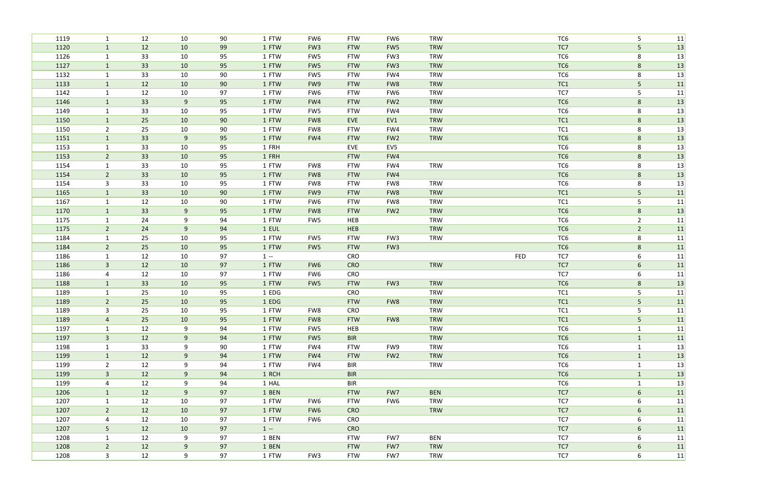| 1119         | $\mathbf{1}$                 | 12       | 10       | 90       | 1 FTW          | FW6             | <b>FTW</b>        | FW6             | TRW        |     | TC <sub>6</sub>        | 5               | 11       |
|--------------|------------------------------|----------|----------|----------|----------------|-----------------|-------------------|-----------------|------------|-----|------------------------|-----------------|----------|
| 1120         | $\mathbf{1}$                 | 12       | 10       | 99       | 1 FTW          | FW <sub>3</sub> | <b>FTW</b>        | FW <sub>5</sub> | <b>TRW</b> |     | TC7                    | 5               | 13       |
| 1126         | $\mathbf{1}$                 | 33       | 10       | 95       | 1 FTW          | FW5             | <b>FTW</b>        | FW <sub>3</sub> | <b>TRW</b> |     | TC <sub>6</sub>        | 8               | 13       |
| 1127         | $\mathbf{1}$                 | 33       | 10       | 95       | 1 FTW          | FW5             | <b>FTW</b>        | FW <sub>3</sub> | <b>TRW</b> |     | TC <sub>6</sub>        | 8               | 13       |
| 1132         | $\mathbf{1}$                 | 33       | 10       | 90       | 1 FTW          | FW5             | <b>FTW</b>        | FW4             | <b>TRW</b> |     | TC <sub>6</sub>        | 8               | 13       |
| 1133         | $\mathbf{1}$                 | 12       | 10       | 90       | 1 FTW          | FW9             | <b>FTW</b>        | FW8             | <b>TRW</b> |     | TC1                    | 5               | 11       |
| 1142         | $\mathbf{1}$                 | 12       | 10       | 97       | 1 FTW          | FW6             | <b>FTW</b>        | FW <sub>6</sub> | <b>TRW</b> |     | TC7                    | 5               | 11       |
| 1146         | $\mathbf{1}$                 | 33       | 9        | 95       | 1 FTW          | FW4             | <b>FTW</b>        | FW <sub>2</sub> | <b>TRW</b> |     | TC <sub>6</sub>        | 8               | 13       |
| 1149         | $\mathbf{1}$                 | 33       | 10       | 95       | 1 FTW          | FW5             | <b>FTW</b>        | FW4             | <b>TRW</b> |     | TC <sub>6</sub>        | 8               | 13       |
| 1150         | $\mathbf{1}$                 | 25       | 10       | 90       | 1 FTW          | FW8             | <b>EVE</b>        | EV1             | <b>TRW</b> |     | TC1                    | 8               | 13       |
| 1150         | $\overline{2}$               | 25       | 10       | 90       | 1 FTW          | FW8             | <b>FTW</b>        | FW4             | <b>TRW</b> |     | TC1                    | 8               | 13       |
| 1151         | $\mathbf{1}$                 | 33       | 9        | 95       | 1 FTW          | FW4             | <b>FTW</b>        | FW <sub>2</sub> | <b>TRW</b> |     | TC6                    | 8               | 13       |
| 1153         | $\mathbf{1}$                 | 33       | 10       | 95       | 1 FRH          |                 | EVE               | EV5             |            |     | TC <sub>6</sub>        | 8               | 13       |
| 1153         | $\overline{2}$               | 33       | 10       | 95       | 1 FRH          |                 | <b>FTW</b>        | FW4             |            |     | TC <sub>6</sub>        | $8\phantom{1}$  | 13       |
| 1154         | $\mathbf{1}$                 | 33       | 10       | 95       | 1 FTW          | FW8             | <b>FTW</b>        | FW4             | <b>TRW</b> |     | TC6                    | 8               | 13       |
| 1154         | $\overline{2}$               | 33       | 10       | 95       | 1 FTW          | FW8             | <b>FTW</b>        | FW4             |            |     | TC <sub>6</sub>        | 8               | 13       |
| 1154         | $\mathbf{3}$                 | 33       | 10       | 95       | 1 FTW          | FW8             | <b>FTW</b>        | FW8             | <b>TRW</b> |     | TC <sub>6</sub>        | 8               | 13       |
| 1165         | $\mathbf{1}$                 | 33       | 10       | 90       | 1 FTW          | FW9             | <b>FTW</b>        | FW8             | <b>TRW</b> |     | TC1                    | 5               | 11       |
| 1167         | $\mathbf{1}$                 | 12       | 10       | 90       | 1 FTW          | FW6             | <b>FTW</b>        | FW8             | <b>TRW</b> |     | TC1                    | 5               | 11       |
| 1170         | $\mathbf{1}$                 | 33       | 9        | 95       | 1 FTW          | FW8             | <b>FTW</b>        | FW <sub>2</sub> | <b>TRW</b> |     | TC <sub>6</sub>        | $8\phantom{1}$  | 13       |
| 1175         | $\mathbf{1}$                 | 24       | 9        | 94       | 1 FTW          | FW5             | HEB               |                 | <b>TRW</b> |     | TC <sub>6</sub>        | $\overline{2}$  | 11       |
| 1175         | $\overline{2}$               | 24       | 9        | 94       | 1 EUL          |                 | HEB               |                 | <b>TRW</b> |     | TC <sub>6</sub>        | $\overline{2}$  | 11       |
| 1184         | $\mathbf{1}$                 | 25       | $10\,$   | 95       | 1 FTW          | FW5             | <b>FTW</b>        | FW3             | <b>TRW</b> |     | TC <sub>6</sub>        | 8               | 11       |
| 1184         | $\overline{2}$               | 25<br>12 | 10<br>10 | 95<br>97 | 1 FTW<br>$1 -$ | FW <sub>5</sub> | <b>FTW</b><br>CRO | FW <sub>3</sub> |            | FED | TC <sub>6</sub><br>TC7 | $8\phantom{1}$  | 11       |
| 1186<br>1186 | $\mathbf{1}$<br>$\mathbf{3}$ | 12       | 10       | 97       | 1 FTW          | FW <sub>6</sub> | <b>CRO</b>        |                 | <b>TRW</b> |     | TC7                    | 6<br>6          | 11<br>11 |
| 1186         | 4                            | 12       | 10       | 97       | 1 FTW          | FW6             | CRO               |                 |            |     | TC7                    | 6               | 11       |
| 1188         | $\mathbf{1}$                 | 33       | 10       | 95       | 1 FTW          | FW <sub>5</sub> | <b>FTW</b>        | FW <sub>3</sub> | <b>TRW</b> |     | TC <sub>6</sub>        | 8               | 13       |
| 1189         | $\mathbf{1}$                 | 25       | 10       | 95       | 1 EDG          |                 | CRO               |                 | <b>TRW</b> |     | TC1                    | 5               | 11       |
| 1189         | $\overline{2}$               | 25       | 10       | 95       | 1 EDG          |                 | <b>FTW</b>        | FW8             | <b>TRW</b> |     | TC1                    | 5               | 11       |
| 1189         | 3                            | 25       | 10       | 95       | 1 FTW          | FW8             | CRO               |                 | TRW        |     | TC1                    | 5               | 11       |
| 1189         | 4                            | 25       | 10       | 95       | 1 FTW          | FW8             | <b>FTW</b>        | FW8             | <b>TRW</b> |     | TC <sub>1</sub>        | 5 <sub>1</sub>  | 11       |
| 1197         | $\mathbf{1}$                 | 12       | 9        | 94       | 1 FTW          | FW5             | <b>HEB</b>        |                 | <b>TRW</b> |     | TC6                    | $\mathbf{1}$    | 11       |
| 1197         | $\mathbf{3}$                 | 12       | 9        | 94       | 1 FTW          | FW5             | <b>BIR</b>        |                 | <b>TRW</b> |     | TC6                    | $\mathbf{1}$    | 11       |
| 1198         | $\mathbf{1}$                 | 33       | 9        | 90       | 1 FTW          | FW4             | <b>FTW</b>        | FW9             | <b>TRW</b> |     | TC6                    | $\mathbf{1}$    | 13       |
| 1199         | $\mathbf{1}$                 | 12       | 9        | 94       | 1 FTW          | FW4             | <b>FTW</b>        | FW <sub>2</sub> | <b>TRW</b> |     | TC6                    | $\mathbf{1}$    | 13       |
| 1199         | $\overline{2}$               | 12       | 9        | 94       | 1 FTW          | FW4             | <b>BIR</b>        |                 | TRW        |     | TC6                    | $\mathbf{1}$    | 13       |
| 1199         | $\mathbf{3}$                 | 12       | 9        | 94       | 1 RCH          |                 | <b>BIR</b>        |                 |            |     | TC <sub>6</sub>        | $\mathbf{1}$    | 13       |
| 1199         | 4                            | 12       | 9        | 94       | 1 HAL          |                 | <b>BIR</b>        |                 |            |     | TC6                    | $\mathbf{1}$    | 13       |
| 1206         | $\mathbf{1}$                 | 12       | 9        | 97       | 1 BEN          |                 | <b>FTW</b>        | FW7             | <b>BEN</b> |     | TC7                    | 6               | 11       |
| 1207         | $\mathbf{1}$                 | 12       | 10       | 97       | 1 FTW          | FW6             | <b>FTW</b>        | FW6             | <b>TRW</b> |     | TC7                    | 6               | 11       |
| 1207         | $\overline{2}$               | 12       | 10       | 97       | 1 FTW          | FW6             | <b>CRO</b>        |                 | <b>TRW</b> |     | TC7                    | $6\phantom{.}6$ | 11       |
| 1207         | 4                            | 12       | 10       | 97       | 1 FTW          | FW6             | CRO               |                 |            |     | TC7                    | 6               | 11       |
| 1207         | 5 <sub>1</sub>               | 12       | 10       | 97       | $1 -$          |                 | <b>CRO</b>        |                 |            |     | TC7                    | 6               | 11       |
|              |                              |          |          |          |                |                 |                   |                 |            |     |                        |                 |          |
| 1208         | $\mathbf{1}$                 | 12       | 9        | 97       | 1 BEN          |                 | <b>FTW</b>        | FW7             | <b>BEN</b> |     | TC7                    | 6               | 11       |
| 1208         | $2^{\circ}$                  | 12       | 9        | 97       | 1 BEN          |                 | <b>FTW</b>        | FW7             | <b>TRW</b> |     | TC7                    | 6               | 11       |
| 1208         | 3 <sup>7</sup>               | 12       | 9        | 97       | 1 FTW          | FW3             | <b>FTW</b>        | FW7             | <b>TRW</b> |     | TC7                    | 6               | 11       |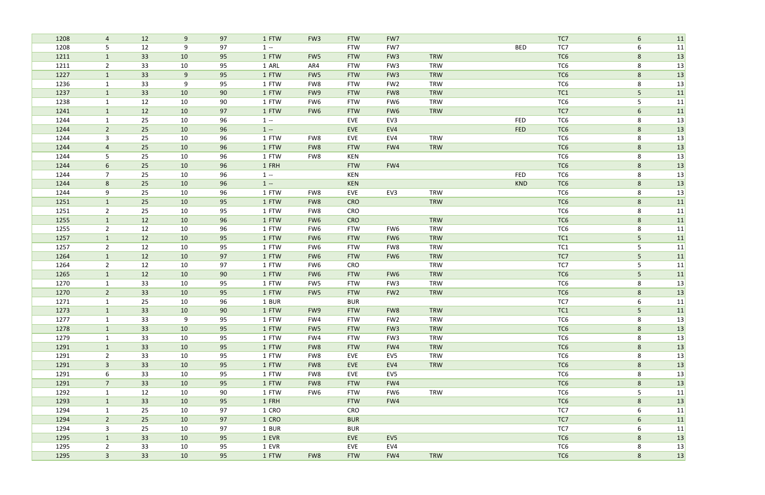| 1208         | 4                            | 12       | 9        | 97       | 1 FTW          | FW <sub>3</sub>        | <b>FTW</b>        | FW7             |                          |            | TC7             | 6                    | 11       |
|--------------|------------------------------|----------|----------|----------|----------------|------------------------|-------------------|-----------------|--------------------------|------------|-----------------|----------------------|----------|
| 1208         | 5                            | 12       | 9        | 97       | $1 -$          |                        | <b>FTW</b>        | FW7             |                          | <b>BED</b> | TC7             | 6                    | 11       |
| 1211         | $\mathbf{1}$                 | 33       | 10       | 95       | 1 FTW          | FW <sub>5</sub>        | <b>FTW</b>        | FW <sub>3</sub> | <b>TRW</b>               |            | TC <sub>6</sub> | 8                    | 13       |
| 1211         | $\overline{2}$               | 33       | 10       | 95       | 1 ARL          | AR4                    | <b>FTW</b>        | FW <sub>3</sub> | <b>TRW</b>               |            | TC6             | 8                    | 13       |
| 1227         | $\mathbf{1}$                 | 33       | 9        | 95       | 1 FTW          | FW <sub>5</sub>        | <b>FTW</b>        | FW <sub>3</sub> | <b>TRW</b>               |            | TC <sub>6</sub> | 8                    | 13       |
| 1236         | $\mathbf{1}$                 | 33       | 9        | 95       | 1 FTW          | FW8                    | <b>FTW</b>        | FW <sub>2</sub> | <b>TRW</b>               |            | TC6             | $\,8\,$              | 13       |
| 1237         | $\mathbf{1}$                 | 33       | 10       | 90       | 1 FTW          | FW9                    | <b>FTW</b>        | FW8             | <b>TRW</b>               |            | TC1             | $5\phantom{.}$       | 11       |
| 1238         | $\mathbf{1}$                 | 12       | 10       | 90       | 1 FTW          | FW6                    | <b>FTW</b>        | FW <sub>6</sub> | <b>TRW</b>               |            | TC <sub>6</sub> | 5                    | 11       |
| 1241         | $\mathbf{1}$                 | 12       | 10       | 97       | 1 FTW          | FW <sub>6</sub>        | <b>FTW</b>        | FW <sub>6</sub> | <b>TRW</b>               |            | TC7             | $6\,$                | 11       |
| 1244         | 1                            | 25       | 10       | 96       | $1 -$          |                        | <b>EVE</b>        | EV3             |                          | <b>FED</b> | TC6             | 8                    | 13       |
| 1244         | $\overline{2}$               | 25       | 10       | 96       | $1 -$          |                        | EVE               | EV4             |                          | FED        | TC <sub>6</sub> | $8\phantom{1}$       | 13       |
| 1244         | 3                            | 25       | 10       | 96       | 1 FTW          | FW8                    | EVE               | EV4             | <b>TRW</b>               |            | TC6             | 8                    | 13       |
| 1244         | $\overline{4}$               | 25       | 10       | 96       | 1 FTW          | FW8                    | <b>FTW</b>        | FW4             | <b>TRW</b>               |            | TC <sub>6</sub> | 8                    | 13       |
| 1244         | 5                            | 25       | 10       | 96       | 1 FTW          | FW8                    | KEN               |                 |                          |            | TC6             | 8                    | 13       |
| 1244         | 6                            | 25       | 10       | 96       | 1 FRH          |                        | <b>FTW</b>        | FW4             |                          |            | TC <sub>6</sub> | $8\phantom{1}$       | 13       |
| 1244         | $\overline{7}$               | 25       | 10       | 96       | $1 -$          |                        | KEN               |                 |                          | <b>FED</b> | TC6             | 8                    | 13       |
| 1244         | 8                            | 25       | 10       | 96       | $1 -$          |                        | <b>KEN</b>        |                 |                          | <b>KND</b> | TC <sub>6</sub> | 8                    | 13       |
| 1244         | 9                            | 25       | 10       | 96       | 1 FTW          | FW8                    | EVE               | EV3             | <b>TRW</b>               |            | TC6             | 8                    | 13       |
| 1251         | $\mathbf{1}$                 | 25       | 10       | 95       | 1 FTW          | FW8                    | <b>CRO</b>        |                 | <b>TRW</b>               |            | TC <sub>6</sub> | 8                    | 11       |
| 1251         | $\overline{2}$               | 25       | 10       | 95       | 1 FTW          | FW8                    | CRO               |                 |                          |            | TC6             | 8                    | 11       |
| 1255         | $\mathbf{1}$                 | 12       | 10       | 96       | 1 FTW          | FW <sub>6</sub>        | <b>CRO</b>        |                 | <b>TRW</b>               |            | TC <sub>6</sub> | $\,8\,$              | 11       |
| 1255         | $\overline{2}$               | 12       | 10       | 96       | 1 FTW          | FW6                    | <b>FTW</b>        | FW <sub>6</sub> | TRW                      |            | TC <sub>6</sub> | 8                    | 11       |
| 1257         | $\mathbf{1}$                 | 12       | 10       | 95       | 1 FTW          | FW <sub>6</sub>        | <b>FTW</b>        | FW <sub>6</sub> | <b>TRW</b>               |            | TC1             | $5\phantom{.}$       | 11       |
| 1257         | $\overline{2}$               | 12       | 10       | 95       | 1 FTW          | FW6                    | <b>FTW</b>        | FW8             | <b>TRW</b>               |            | TC1             | 5                    | 11       |
| 1264         | $\mathbf{1}$                 | 12<br>12 | 10<br>10 | 97<br>97 | 1 FTW<br>1 FTW | FW <sub>6</sub>        | <b>FTW</b><br>CRO | FW <sub>6</sub> | <b>TRW</b><br><b>TRW</b> |            | TC7<br>TC7      | $5\phantom{.0}$<br>5 | 11       |
| 1264<br>1265 | $\overline{2}$               | 12       | 10       | 90       | 1 FTW          | FW6<br>FW <sub>6</sub> | <b>FTW</b>        | FW <sub>6</sub> | <b>TRW</b>               |            | TC <sub>6</sub> | $5\phantom{.}$       | 11       |
| 1270         | $\mathbf{1}$<br>$\mathbf{1}$ | 33       | 10       | 95       | 1 FTW          | FW5                    | <b>FTW</b>        | FW <sub>3</sub> | <b>TRW</b>               |            | TC6             | 8                    | 11<br>13 |
| 1270         | $\overline{2}$               | 33       | 10       | 95       | 1 FTW          | FW <sub>5</sub>        | <b>FTW</b>        | FW <sub>2</sub> | <b>TRW</b>               |            | TC <sub>6</sub> | $8\phantom{1}$       |          |
| 1271         | $\mathbf{1}$                 | 25       | 10       | 96       | 1 BUR          |                        | <b>BUR</b>        |                 |                          |            | TC7             | $\boldsymbol{6}$     | 13<br>11 |
| 1273         |                              | 33       | 10       | 90       | 1 FTW          | FW9                    | <b>FTW</b>        | FW8             | <b>TRW</b>               |            | TC1             | 5                    | 11       |
| 1277         | 1                            | 33       | 9        | 95       | 1 FTW          | FW4                    | <b>FTW</b>        | FW <sub>2</sub> | <b>TRW</b>               |            | TC6             | 8                    | 13       |
| 1278         | $\mathbf{1}$                 | 33       | 10       | 95       | 1 FTW          | FW5                    | <b>FTW</b>        | FW <sub>3</sub> | <b>TRW</b>               |            | TC6             | 8                    | 13       |
| 1279         | $\mathbf{1}$                 | 33       | 10       | 95       | 1 FTW          | FW4                    | <b>FTW</b>        | FW <sub>3</sub> | <b>TRW</b>               |            | TC6             | 8                    | 13       |
| 1291         | $\mathbf{1}$                 | 33       | 10       | 95       | 1 FTW          | FW8                    | <b>FTW</b>        | FW4             | <b>TRW</b>               |            | TC <sub>6</sub> | 8                    | 13       |
| 1291         | $\overline{2}$               | 33       | 10       | 95       | 1 FTW          | FW8                    | EVE               | EV5             | <b>TRW</b>               |            | TC6             | 8                    | 13       |
| 1291         | 3 <sup>1</sup>               | 33       | 10       | 95       | 1 FTW          | FW8                    | EVE               | EV4             | TRW                      |            | TC <sub>6</sub> | 8                    | 13       |
| 1291         | 6                            | 33       | 10       | 95       | 1 FTW          | FW8                    | EVE               | EV5             |                          |            | TC6             | 8                    | 13       |
| 1291         | 7 <sup>7</sup>               | 33       | 10       | 95       | 1 FTW          | FW8                    | <b>FTW</b>        | FW4             |                          |            | TC6             | 8                    | 13       |
| 1292         | $\mathbf{1}$                 | 12       | 10       | 90       | 1 FTW          | FW6                    | <b>FTW</b>        | FW6             | <b>TRW</b>               |            | TC6             | 5                    | 11       |
| 1293         | $\mathbf{1}$                 | 33       | 10       | 95       | 1 FRH          |                        | <b>FTW</b>        | FW4             |                          |            | TC6             | 8                    | 13       |
| 1294         | $\mathbf{1}$                 | 25       | 10       | 97       | 1 CRO          |                        | CRO               |                 |                          |            | TC7             | 6                    | 11       |
| 1294         | $2\overline{ }$              | 25       | 10       | 97       | 1 CRO          |                        | <b>BUR</b>        |                 |                          |            | TC7             | 6                    | 11       |
| 1294         | $\mathbf{3}$                 | 25       | 10       | 97       | 1 BUR          |                        | <b>BUR</b>        |                 |                          |            | TC7             | 6                    | 11       |
| 1295         | $\mathbf{1}$                 | 33       | 10       | 95       | 1 EVR          |                        | EVE               | EV <sub>5</sub> |                          |            | TC <sub>6</sub> | 8                    | 13       |
| 1295         | $\overline{2}$               | 33       | 10       | 95       | 1 EVR          |                        | EVE               | EV4             |                          |            | TC6             | 8                    | 13       |
| 1295         | 3 <sup>7</sup>               | 33       | 10       | 95       | 1 FTW          | FW8                    | <b>FTW</b>        | FW4             | <b>TRW</b>               |            | TC6             | $8\phantom{.}$       | 13       |
|              |                              |          |          |          |                |                        |                   |                 |                          |            |                 |                      |          |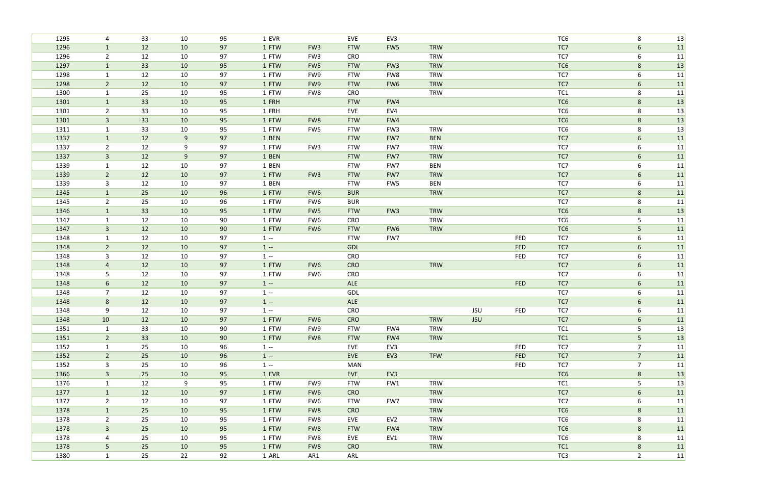| 1295 | 4              | 33 | 10    | 95 | 1 EVR |                 | EVE        | EV3             |            |            |            | TC6             | 8              | 13 |
|------|----------------|----|-------|----|-------|-----------------|------------|-----------------|------------|------------|------------|-----------------|----------------|----|
| 1296 | $\mathbf{1}$   | 12 | 10    | 97 | 1 FTW | FW <sub>3</sub> | <b>FTW</b> | FW5             | <b>TRW</b> |            |            | TC7             | 6              | 11 |
| 1296 | $\overline{2}$ | 12 | 10    | 97 | 1 FTW | FW <sub>3</sub> | CRO        |                 | <b>TRW</b> |            |            | TC7             | 6              | 11 |
| 1297 | $\mathbf{1}$   | 33 | 10    | 95 | 1 FTW | FW <sub>5</sub> | <b>FTW</b> | FW <sub>3</sub> | <b>TRW</b> |            |            | TC <sub>6</sub> | $8\phantom{1}$ | 13 |
| 1298 | $\mathbf 1$    | 12 | 10    | 97 | 1 FTW | FW9             | <b>FTW</b> | FW8             | <b>TRW</b> |            |            | TC7             | 6              | 11 |
| 1298 | $\overline{2}$ | 12 | 10    | 97 | 1 FTW | FW9             | <b>FTW</b> | FW <sub>6</sub> | TRW        |            |            | TC7             | $6\phantom{1}$ | 11 |
| 1300 | 1              | 25 | 10    | 95 | 1 FTW | FW8             | CRO        |                 | <b>TRW</b> |            |            | TC <sub>1</sub> | 8              | 11 |
| 1301 | $\mathbf{1}$   | 33 | 10    | 95 | 1 FRH |                 | <b>FTW</b> | FW4             |            |            |            | TC <sub>6</sub> | $8\phantom{1}$ | 13 |
| 1301 | $\overline{2}$ | 33 | 10    | 95 | 1 FRH |                 | EVE        | EV4             |            |            |            | TC6             | 8              | 13 |
| 1301 | $\overline{3}$ | 33 | 10    | 95 | 1 FTW | FW8             | <b>FTW</b> | FW4             |            |            |            | TC <sub>6</sub> | 8              | 13 |
| 1311 | $\mathbf{1}$   | 33 | 10    | 95 | 1 FTW | FW5             | <b>FTW</b> | FW <sub>3</sub> | <b>TRW</b> |            |            | TC <sub>6</sub> | $\,8\,$        | 13 |
| 1337 | $\mathbf{1}$   | 12 | $9\,$ | 97 | 1 BEN |                 | <b>FTW</b> | FW7             | <b>BEN</b> |            |            | TC7             | 6              | 11 |
| 1337 | $\overline{2}$ | 12 | 9     | 97 | 1 FTW | FW <sub>3</sub> | <b>FTW</b> | FW7             | <b>TRW</b> |            |            | TC7             | 6              | 11 |
| 1337 | $\mathbf{3}$   | 12 | 9     | 97 | 1 BEN |                 | <b>FTW</b> | FW7             | <b>TRW</b> |            |            | TC7             | 6              | 11 |
| 1339 | $\mathbf{1}$   | 12 | 10    | 97 | 1 BEN |                 | <b>FTW</b> | FW7             | <b>BEN</b> |            |            | TC7             | 6              | 11 |
| 1339 | $\overline{2}$ | 12 | 10    | 97 | 1 FTW | FW <sub>3</sub> | <b>FTW</b> | FW7             | <b>TRW</b> |            |            | TC7             | $\sqrt{6}$     | 11 |
| 1339 | $\mathbf{3}$   | 12 | 10    | 97 | 1 BEN |                 | <b>FTW</b> | FW5             | <b>BEN</b> |            |            | TC7             | 6              | 11 |
| 1345 | $\mathbf{1}$   | 25 | 10    | 96 | 1 FTW | FW6             | <b>BUR</b> |                 | TRW        |            |            | TC7             | 8              | 11 |
| 1345 | $\overline{2}$ | 25 | 10    | 96 | 1 FTW | FW6             | <b>BUR</b> |                 |            |            |            | TC7             | 8              | 11 |
| 1346 | $\mathbf{1}$   | 33 | 10    | 95 | 1 FTW | FW5             | <b>FTW</b> | FW <sub>3</sub> | <b>TRW</b> |            |            | TC <sub>6</sub> | 8              | 13 |
| 1347 | 1              | 12 | 10    | 90 | 1 FTW | FW6             | CRO        |                 | <b>TRW</b> |            |            | TC6             | 5              | 11 |
| 1347 | $\mathbf{3}$   | 12 | 10    | 90 | 1 FTW | FW6             | <b>FTW</b> | FW <sub>6</sub> | <b>TRW</b> |            |            | TC <sub>6</sub> | 5 <sub>1</sub> | 11 |
| 1348 | $\mathbf 1$    | 12 | 10    | 97 | $1 -$ |                 | <b>FTW</b> | FW7             |            |            | <b>FED</b> | TC7             | 6              | 11 |
| 1348 | $\overline{2}$ | 12 | 10    | 97 | $1 -$ |                 | GDL        |                 |            |            | <b>FED</b> | TC7             | 6              | 11 |
| 1348 | 3              | 12 | 10    | 97 | $1 -$ |                 | CRO        |                 |            |            | <b>FED</b> | TC7             | 6              | 11 |
| 1348 | $\overline{4}$ | 12 | 10    | 97 | 1 FTW | FW <sub>6</sub> | <b>CRO</b> |                 | <b>TRW</b> |            |            | TC7             | 6              | 11 |
| 1348 | 5              | 12 | 10    | 97 | 1 FTW | FW6             | CRO        |                 |            |            |            | TC7             | 6              | 11 |
| 1348 | 6              | 12 | 10    | 97 | $1 -$ |                 | ALE        |                 |            |            | FED        | TC7             | 6              | 11 |
| 1348 | $\overline{7}$ | 12 | 10    | 97 | $1 -$ |                 | GDL        |                 |            |            |            | TC7             | 6              | 11 |
| 1348 | $\bf 8$        | 12 | 10    | 97 | $1 -$ |                 | ALE        |                 |            |            |            | TC7             | 6              | 11 |
| 1348 | 9              | 12 | 10    | 97 | $1 -$ |                 | CRO        |                 |            | JSU        | <b>FED</b> | TC7             | 6              | 11 |
| 1348 | 10             | 12 | 10    | 97 | 1 FTW | FW <sub>6</sub> | <b>CRO</b> |                 | <b>TRW</b> | <b>JSU</b> |            | TC7             | 6              | 11 |
| 1351 | $\mathbf{1}$   | 33 | 10    | 90 | 1 FTW | FW9             | <b>FTW</b> | FW4             | TRW        |            |            | TC1             | 5              | 13 |
| 1351 | $\overline{2}$ | 33 | 10    | 90 | 1 FTW | FW8             | <b>FTW</b> | FW4             | TRW        |            |            | TC1             | 5 <sub>1</sub> | 13 |
| 1352 | $\mathbf{1}$   | 25 | 10    | 96 | $1 -$ |                 | EVE        | EV3             |            |            | <b>FED</b> | TC7             | $\overline{7}$ | 11 |
| 1352 | $2^{\circ}$    | 25 | 10    | 96 | $1 -$ |                 | EVE        | EV3             | <b>TFW</b> |            | <b>FED</b> | TC7             | $\overline{7}$ | 11 |
| 1352 | $\mathbf{3}$   | 25 | 10    | 96 | $1 -$ |                 | <b>MAN</b> |                 |            |            | <b>FED</b> | TC7             | $\overline{7}$ | 11 |
| 1366 | $\mathbf{3}$   | 25 | 10    | 95 | 1 EVR |                 | EVE        | EV3             |            |            |            | TC6             | 8              | 13 |
| 1376 | $\mathbf{1}$   | 12 | 9     | 95 | 1 FTW | FW9             | <b>FTW</b> | FW1             | <b>TRW</b> |            |            | TC1             | 5              | 13 |
| 1377 | $\mathbf{1}$   | 12 | 10    | 97 | 1 FTW | FW <sub>6</sub> | <b>CRO</b> |                 | <b>TRW</b> |            |            | TC7             | 6              | 11 |
| 1377 | $2^{\circ}$    | 12 | 10    | 97 | 1 FTW | FW6             | <b>FTW</b> | FW7             | <b>TRW</b> |            |            | TC7             | 6              | 11 |
| 1378 | $\mathbf{1}$   | 25 | 10    | 95 | 1 FTW | FW8             | <b>CRO</b> |                 | <b>TRW</b> |            |            | TC6             | $8\phantom{1}$ | 11 |
| 1378 | $\overline{2}$ | 25 | 10    | 95 | 1 FTW | FW8             | EVE        | EV <sub>2</sub> | TRW        |            |            | TC6             | 8              | 11 |
| 1378 | 3 <sup>1</sup> | 25 | 10    | 95 | 1 FTW | FW8             | <b>FTW</b> | FW4             | <b>TRW</b> |            |            | TC6             | 8              | 11 |
| 1378 | 4              | 25 | 10    | 95 | 1 FTW | FW8             | EVE        | EV1             | <b>TRW</b> |            |            | TC6             | 8              | 11 |
| 1378 | 5              | 25 | 10    | 95 | 1 FTW | FW8             | <b>CRO</b> |                 | <b>TRW</b> |            |            | TC1             | 8              | 11 |
| 1380 | $\mathbf{1}$   | 25 | 22    | 92 | 1 ARL | AR1             | ARL        |                 |            |            |            | TC3             | $\overline{2}$ | 11 |
|      |                |    |       |    |       |                 |            |                 |            |            |            |                 |                |    |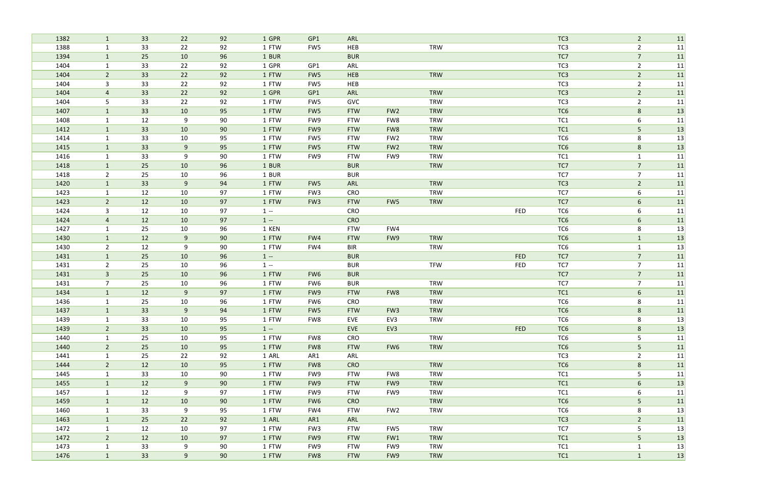| 1382         | $\mathbf{1}$                   | 33       | 22             | 92       | 1 GPR          | GP1             | ARL                      |                 |            |                          | TC <sub>3</sub> | $\overline{2}$                   | 11       |
|--------------|--------------------------------|----------|----------------|----------|----------------|-----------------|--------------------------|-----------------|------------|--------------------------|-----------------|----------------------------------|----------|
| 1388         | $\mathbf{1}$                   | 33       | 22             | 92       | 1 FTW          | FW5             | HEB                      |                 | <b>TRW</b> |                          | TC3             | $\overline{2}$                   | 11       |
| 1394         | $\mathbf{1}$                   | 25       | 10             | 96       | 1 BUR          |                 | <b>BUR</b>               |                 |            |                          | TC7             | $\overline{7}$                   | 11       |
| 1404         | $\mathbf{1}$                   | 33       | 22             | 92       | 1 GPR          | GP1             | ARL                      |                 |            |                          | TC3             | $\overline{2}$                   | 11       |
| 1404         | $\overline{2}$                 | 33       | 22             | 92       | 1 FTW          | FW <sub>5</sub> | <b>HEB</b>               |                 | <b>TRW</b> |                          | TC <sub>3</sub> | $\overline{2}$                   | 11       |
| 1404         | 3                              | 33       | 22             | 92       | 1 FTW          | FW <sub>5</sub> | HEB                      |                 |            |                          | TC3             | $\overline{2}$                   | 11       |
| 1404         | 4                              | 33       | 22             | 92       | 1 GPR          | GP1             | ARL                      |                 | <b>TRW</b> |                          | TC <sub>3</sub> | $\overline{2}$                   | 11       |
| 1404         | 5                              | 33       | 22             | 92       | 1 FTW          | FW5             | GVC                      |                 | <b>TRW</b> |                          | TC <sub>3</sub> | $\overline{2}$                   | 11       |
| 1407         | $\mathbf{1}$                   | 33       | 10             | 95       | 1 FTW          | FW <sub>5</sub> | <b>FTW</b>               | FW <sub>2</sub> | <b>TRW</b> |                          | TC <sub>6</sub> | 8                                | 13       |
| 1408         | $\mathbf{1}$                   | 12       | 9              | 90       | 1 FTW          | FW9             | <b>FTW</b>               | FW8             | <b>TRW</b> |                          | TC <sub>1</sub> | 6                                | 11       |
| 1412         | $\mathbf{1}$                   | 33       | 10             | 90       | 1 FTW          | FW9             | <b>FTW</b>               | FW8             | TRW        |                          | TC1             | 5                                | 13       |
| 1414         | $\mathbf{1}$                   | 33       | 10             | 95       | 1 FTW          | FW5             | <b>FTW</b>               | FW <sub>2</sub> | <b>TRW</b> |                          | TC6             | 8                                | 13       |
| 1415         | $\mathbf{1}$                   | 33       | 9              | 95       | 1 FTW          | FW5             | <b>FTW</b>               | FW <sub>2</sub> | <b>TRW</b> |                          | TC <sub>6</sub> | $\bf 8$                          | 13       |
| 1416         | 1                              | 33       | 9              | 90       | 1 FTW          | FW9             | <b>FTW</b>               | FW9             | <b>TRW</b> |                          | TC1             | $\mathbf{1}$                     | 11       |
| 1418         | $\mathbf{1}$                   | 25       | 10             | 96       | 1 BUR          |                 | <b>BUR</b>               |                 | <b>TRW</b> |                          | TC7             | $\overline{7}$                   | 11       |
| 1418         | $\overline{2}$                 | 25       | 10             | 96       | 1 BUR          |                 | <b>BUR</b>               |                 |            |                          | TC7             | $\overline{7}$                   | 11       |
| 1420         | $\mathbf{1}$                   | 33       | 9              | 94       | 1 FTW          | FW5             | ARL                      |                 | TRW        |                          | TC <sub>3</sub> | $\overline{2}$                   | 11       |
| 1423         | $\mathbf{1}$                   | 12       | 10             | 97       | 1 FTW          | FW <sub>3</sub> | CRO                      |                 | <b>TRW</b> |                          | TC7             | 6                                | 11       |
| 1423         | $2^{\circ}$                    | 12       | 10             | 97       | 1 FTW          | FW <sub>3</sub> | <b>FTW</b>               | FW5             | <b>TRW</b> |                          | TC7             | 6                                | 11       |
| 1424         | 3                              | 12       | 10             | 97       | $1 -$          |                 | CRO                      |                 |            | <b>FED</b>               | TC6             | 6                                | 11       |
| 1424         | $\overline{4}$                 | 12       | 10             | 97       | $1 -$          |                 | <b>CRO</b>               |                 |            |                          | TC <sub>6</sub> | $6\phantom{1}$                   | 11       |
| 1427         | $\mathbf{1}$                   | 25       | 10             | 96       | 1 KEN          |                 | <b>FTW</b>               | FW4             |            |                          | TC6             | 8                                | 13       |
| 1430         | $\mathbf{1}$                   | 12       | 9              | 90       | 1 FTW          | FW4             | <b>FTW</b>               | FW9             | <b>TRW</b> |                          | TC <sub>6</sub> | $\mathbf{1}$                     | 13       |
| 1430         | $\overline{2}$                 | 12       | 9              | 90       | 1 FTW          | FW4             | <b>BIR</b>               |                 | TRW        |                          | TC6             | $\mathbf{1}$                     | 13       |
| 1431         | $\mathbf{1}$                   | 25<br>25 | 10<br>10       | 96<br>96 | $1 -$<br>$1 -$ |                 | <b>BUR</b>               |                 | <b>TFW</b> | <b>FED</b><br><b>FED</b> | TC7<br>TC7      | $\overline{7}$<br>$\overline{7}$ | 11       |
| 1431<br>1431 | $\overline{2}$<br>$\mathbf{3}$ | 25       | 10             | 96       | 1 FTW          | FW6             | <b>BUR</b><br><b>BUR</b> |                 |            |                          | TC7             | $\overline{7}$                   | 11<br>11 |
| 1431         | $\overline{7}$                 | 25       | 10             | 96       | 1 FTW          | FW6             | <b>BUR</b>               |                 | <b>TRW</b> |                          | TC7             | $\overline{7}$                   | 11       |
| 1434         | $\mathbf{1}$                   | 12       | 9              | 97       | 1 FTW          | FW9             | <b>FTW</b>               | FW8             | <b>TRW</b> |                          | TC1             | $6\phantom{1}$                   | 11       |
| 1436         | $\mathbf{1}$                   | 25       | 10             | 96       | 1 FTW          | FW6             | CRO                      |                 | <b>TRW</b> |                          | TC6             | 8                                | 11       |
| 1437         |                                | 33       | 9              | 94       | 1 FTW          | FW5             | <b>FTW</b>               | FW <sub>3</sub> | <b>TRW</b> |                          | TC6             | 8                                | 11       |
| 1439         | 1                              | 33       | 10             | 95       | 1 FTW          | FW8             | EVE                      | EV3             | TRW        |                          | TC6             | 8                                | 13       |
| 1439         | $2^{\circ}$                    | 33       | 10             | 95       | $1 -$          |                 | EVE                      | EV3             |            | <b>FED</b>               | TC6             | 8                                | 13       |
| 1440         | $\mathbf{1}$                   | 25       | 10             | 95       | 1 FTW          | FW8             | <b>CRO</b>               |                 | <b>TRW</b> |                          | TC6             | 5                                | 11       |
| 1440         | 2 <sup>7</sup>                 | 25       | 10             | 95       | 1 FTW          | FW8             | <b>FTW</b>               | FW6             | <b>TRW</b> |                          | TC6             | 5 <sub>1</sub>                   | 11       |
| 1441         | $\mathbf{1}$                   | 25       | 22             | 92       | 1 ARL          | AR1             | ARL                      |                 |            |                          | TC3             | $\overline{2}$                   | 11       |
| 1444         | $2^{\circ}$                    | 12       | 10             | 95       | 1 FTW          | FW8             | <b>CRO</b>               |                 | <b>TRW</b> |                          | TC6             | $8\phantom{1}$                   | 11       |
| 1445         | $\mathbf{1}$                   | 33       | 10             | 90       | 1 FTW          | FW9             | <b>FTW</b>               | FW8             | <b>TRW</b> |                          | TC1             | 5                                | 11       |
| 1455         | $\mathbf{1}$                   | 12       | 9              | 90       | 1 FTW          | FW9             | <b>FTW</b>               | FW9             | <b>TRW</b> |                          | TC1             | 6                                | 13       |
| 1457         | $\mathbf{1}$                   | 12       | 9              | 97       | 1 FTW          | FW9             | <b>FTW</b>               | FW9             | TRW        |                          | TC1             | 6                                | 11       |
| 1459         | $\mathbf{1}$                   | 12       | 10             | 90       | 1 FTW          | FW6             | <b>CRO</b>               |                 | <b>TRW</b> |                          | TC6             | 5                                | 11       |
| 1460         | $\mathbf{1}$                   | 33       | 9              | 95       | 1 FTW          | FW4             | <b>FTW</b>               | FW <sub>2</sub> | TRW        |                          | TC6             | 8                                | 13       |
| 1463         | $\mathbf{1}$                   | 25       | 22             | 92       | 1 ARL          | AR1             | ARL                      |                 |            |                          | TC <sub>3</sub> | $\overline{2}$                   | 11       |
| 1472         | $\mathbf{1}$                   | 12       | 10             | 97       | 1 FTW          | FW3             | <b>FTW</b>               | FW5             | <b>TRW</b> |                          | TC7             | 5                                | 13       |
| 1472         | $2^{\circ}$                    | 12       | 10             | 97       | 1 FTW          | FW9             | <b>FTW</b>               | FW1             | <b>TRW</b> |                          | TC1             | 5 <sub>1</sub>                   | 13       |
| 1473         | $\mathbf{1}$                   | 33       | 9              | 90       | 1 FTW          | FW9             | <b>FTW</b>               | FW9             | TRW        |                          | TC1             | $\mathbf{1}$                     | 13       |
| 1476         | $\mathbf{1}$                   | 33       | 9 <sub>o</sub> | 90       | 1 FTW          | FW8             | <b>FTW</b>               | FW9             | <b>TRW</b> |                          | TC1             | $\mathbf{1}$                     | 13       |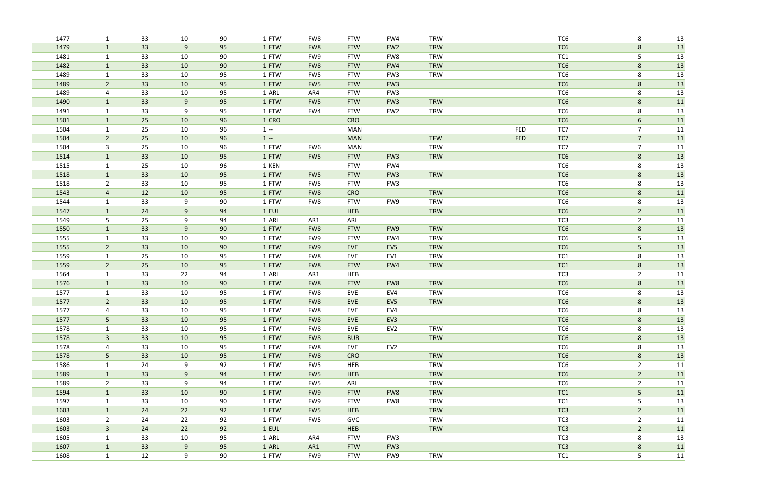| 1477         | $\mathbf{1}$                   | 33       | 10       | 90       | 1 FTW          | FW8             | <b>FTW</b>        | FW4             | TRW        |            | TC <sub>6</sub>        | 8                   | 13       |
|--------------|--------------------------------|----------|----------|----------|----------------|-----------------|-------------------|-----------------|------------|------------|------------------------|---------------------|----------|
| 1479         | $\mathbf{1}$                   | 33       | 9        | 95       | 1 FTW          | FW8             | <b>FTW</b>        | FW <sub>2</sub> | <b>TRW</b> |            | TC <sub>6</sub>        | 8                   | 13       |
| 1481         | $\mathbf{1}$                   | 33       | 10       | 90       | 1 FTW          | FW9             | <b>FTW</b>        | FW8             | <b>TRW</b> |            | TC1                    | 5                   | 13       |
| 1482         | $\mathbf{1}$                   | 33       | 10       | 90       | 1 FTW          | FW8             | <b>FTW</b>        | FW4             | <b>TRW</b> |            | TC <sub>6</sub>        | $8\phantom{1}$      | 13       |
| 1489         | $\mathbf{1}$                   | 33       | 10       | 95       | 1 FTW          | FW5             | <b>FTW</b>        | FW <sub>3</sub> | <b>TRW</b> |            | TC6                    | 8                   | 13       |
| 1489         | $\overline{2}$                 | 33       | 10       | 95       | 1 FTW          | FW <sub>5</sub> | <b>FTW</b>        | FW <sub>3</sub> |            |            | TC <sub>6</sub>        | $\,8\,$             | 13       |
| 1489         | 4                              | 33       | 10       | 95       | 1 ARL          | AR4             | <b>FTW</b>        | FW <sub>3</sub> |            |            | TC6                    | 8                   | 13       |
| 1490         | $\mathbf{1}$                   | 33       | 9        | 95       | 1 FTW          | FW <sub>5</sub> | <b>FTW</b>        | FW <sub>3</sub> | <b>TRW</b> |            | TC <sub>6</sub>        | 8                   | 11       |
| 1491         | $\mathbf{1}$                   | 33       | 9        | 95       | 1 FTW          | FW4             | <b>FTW</b>        | FW <sub>2</sub> | <b>TRW</b> |            | TC <sub>6</sub>        | 8                   | 13       |
| 1501         | $\mathbf{1}$                   | 25       | 10       | 96       | 1 CRO          |                 | <b>CRO</b>        |                 |            |            | TC <sub>6</sub>        | $6\phantom{1}6$     | 11       |
| 1504         | $\mathbf{1}$                   | 25       | 10       | 96       | $1 -$          |                 | <b>MAN</b>        |                 |            | <b>FED</b> | TC7                    | $\overline{7}$      | 11       |
| 1504         | $2^{\circ}$                    | 25       | 10       | 96       | $1 -$          |                 | <b>MAN</b>        |                 | <b>TFW</b> | <b>FED</b> | TC7                    | $\overline{7}$      | 11       |
| 1504         | 3                              | 25       | 10       | 96       | 1 FTW          | FW6             | <b>MAN</b>        |                 | <b>TRW</b> |            | TC7                    | $\overline{7}$      | 11       |
| 1514         | $\mathbf{1}$                   | 33       | 10       | 95       | 1 FTW          | FW <sub>5</sub> | <b>FTW</b>        | FW <sub>3</sub> | <b>TRW</b> |            | TC <sub>6</sub>        | $8\phantom{1}$      | 13       |
| 1515         | $\mathbf{1}$                   | 25       | 10       | 96       | 1 KEN          |                 | <b>FTW</b>        | FW4             |            |            | TC <sub>6</sub>        | 8                   | 13       |
| 1518         | $\mathbf{1}$                   | 33       | 10       | 95       | 1 FTW          | FW <sub>5</sub> | <b>FTW</b>        | FW <sub>3</sub> | <b>TRW</b> |            | TC <sub>6</sub>        | $8\phantom{1}$      | 13       |
| 1518         | $\overline{2}$                 | 33       | 10       | 95       | 1 FTW          | FW5             | <b>FTW</b>        | FW <sub>3</sub> |            |            | TC <sub>6</sub>        | 8                   | 13       |
| 1543         | $\overline{a}$                 | 12       | 10       | 95       | 1 FTW          | FW8             | <b>CRO</b>        |                 | <b>TRW</b> |            | TC <sub>6</sub>        | $8\phantom{1}$      | 11       |
| 1544         | $\mathbf{1}$                   | 33       | 9        | 90       | 1 FTW          | FW8             | <b>FTW</b>        | FW9             | <b>TRW</b> |            | TC6                    | 8                   | 13       |
| 1547         | $\mathbf{1}$                   | 24       | $9$      | 94       | 1 EUL          |                 | <b>HEB</b>        |                 | <b>TRW</b> |            | TC <sub>6</sub>        | $\overline{2}$      | 11       |
| 1549         | 5                              | 25       | 9        | 94       | 1 ARL          | AR1             | ARL               |                 |            |            | TC3                    | $\overline{2}$      | 11       |
| 1550         | $\mathbf{1}$                   | 33       | $9$      | 90       | 1 FTW          | FW8             | <b>FTW</b>        | FW9             | <b>TRW</b> |            | TC <sub>6</sub>        | $8\phantom{1}$      | 13       |
| 1555         | $\mathbf{1}$                   | 33       | 10       | 90       | 1 FTW          | FW9             | <b>FTW</b>        | FW4             | <b>TRW</b> |            | TC6                    | 5                   | 13       |
| 1555         | $2^{\circ}$                    | 33       | 10       | 90       | 1 FTW          | FW9             | EVE               | EV <sub>5</sub> | <b>TRW</b> |            | TC <sub>6</sub>        | $5\phantom{.}$      | 13       |
| 1559         | $\mathbf{1}$                   | 25       | 10       | 95       | 1 FTW          | FW8             | EVE               | EV1             | <b>TRW</b> |            | TC1                    | 8                   | 13       |
| 1559         | $2^{\circ}$                    | 25<br>33 | 10<br>22 | 95       | 1 FTW          | FW8             | <b>FTW</b><br>HEB | FW4             | <b>TRW</b> |            | TC1<br>TC <sub>3</sub> | 8                   | 13       |
| 1564         | $\mathbf{1}$                   |          |          | 94       | 1 ARL<br>1 FTW | AR1             |                   |                 | <b>TRW</b> |            | TC <sub>6</sub>        | $\overline{2}$      | 11       |
| 1576<br>1577 | $\mathbf{1}$                   | 33<br>33 | 10<br>10 | 90<br>95 | 1 FTW          | FW8<br>FW8      | <b>FTW</b><br>EVE | FW8<br>EV4      | <b>TRW</b> |            | TC <sub>6</sub>        | $8\phantom{1}$<br>8 | 13<br>13 |
| 1577         | $\mathbf{1}$<br>$\overline{2}$ | 33       | 10       | 95       | 1 FTW          | FW8             | <b>EVE</b>        | EV <sub>5</sub> | <b>TRW</b> |            | TC <sub>6</sub>        | $\bf 8$             | 13       |
| 1577         | 4                              | 33       | 10       | 95       | 1 FTW          | FW8             | EVE               | EV4             |            |            | TC6                    | 8                   | 13       |
| 1577         | 5                              | 33       | 10       | 95       | 1 FTW          | FW8             | EVE               | EV3             |            |            | TC <sub>6</sub>        | 8                   | 13       |
| 1578         | $\mathbf{1}$                   | 33       | 10       | 95       | 1 FTW          | FW8             | EVE               | EV <sub>2</sub> | <b>TRW</b> |            | TC6                    | 8                   | 13       |
| 1578         | 3 <sup>1</sup>                 | 33       | 10       | 95       | 1 FTW          | FW8             | <b>BUR</b>        |                 | <b>TRW</b> |            | TC <sub>6</sub>        | 8                   | 13       |
| 1578         | 4                              | 33       | 10       | 95       | 1 FTW          | FW8             | EVE               | EV <sub>2</sub> |            |            | TC6                    | 8                   | 13       |
| 1578         | 5 <sub>1</sub>                 | 33       | 10       | 95       | 1 FTW          | FW8             | <b>CRO</b>        |                 | <b>TRW</b> |            | TC6                    | 8                   | 13       |
| 1586         | $\mathbf{1}$                   | 24       | 9        | 92       | 1 FTW          | FW5             | HEB               |                 | <b>TRW</b> |            | TC6                    | $\overline{2}$      | 11       |
| 1589         | $\mathbf{1}$                   | 33       | 9        | 94       | 1 FTW          | FW5             | <b>HEB</b>        |                 | <b>TRW</b> |            | TC6                    | $\overline{2}$      | 11       |
| 1589         | $2^{\circ}$                    | 33       | 9        | 94       | 1 FTW          | FW5             | ARL               |                 | <b>TRW</b> |            | TC6                    | $\overline{2}$      | 11       |
| 1594         | $\mathbf{1}$                   | 33       | 10       | 90       | 1 FTW          | FW9             | <b>FTW</b>        | FW8             | <b>TRW</b> |            | TC1                    | 5 <sub>1</sub>      | 11       |
| 1597         | $\mathbf{1}$                   | 33       | 10       | 90       | 1 FTW          | FW9             | <b>FTW</b>        | FW8             | <b>TRW</b> |            | TC1                    | 5                   | 13       |
| 1603         | $\mathbf{1}$                   | 24       | 22       | 92       | 1 FTW          | FW <sub>5</sub> | <b>HEB</b>        |                 | <b>TRW</b> |            | TC <sub>3</sub>        | $\overline{2}$      | 11       |
| 1603         | $\overline{2}$                 | 24       | 22       | 92       | 1 FTW          | FW5             | GVC               |                 | <b>TRW</b> |            | TC3                    | $\overline{2}$      | 11       |
| 1603         | 3 <sup>1</sup>                 | 24       | 22       | 92       | 1 EUL          |                 | <b>HEB</b>        |                 | TRW        |            | TC <sub>3</sub>        | $\overline{2}$      | 11       |
| 1605         | 1                              | 33       | 10       | 95       | 1 ARL          | AR4             | <b>FTW</b>        | FW <sub>3</sub> |            |            | TC <sub>3</sub>        | 8                   | 13       |
| 1607         | $\mathbf{1}$                   | 33       | 9        | 95       | 1 ARL          | AR1             | <b>FTW</b>        | FW <sub>3</sub> |            |            | TC <sub>3</sub>        | 8                   | 11       |
| 1608         | $\mathbf{1}$                   | 12       | 9        | 90       | 1 FTW          | FW9             | <b>FTW</b>        | FW9             | <b>TRW</b> |            | TC1                    | $5\phantom{.}$      | 11       |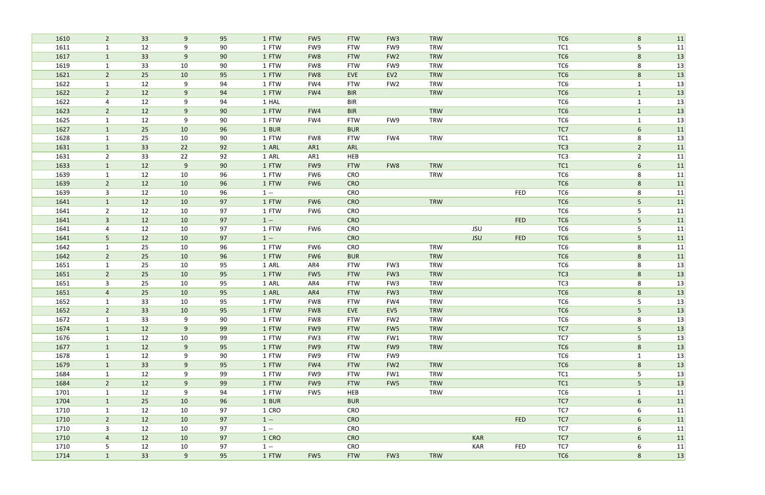| 1610 | $\overline{2}$ | 33 | 9   | 95 | 1 FTW | FW <sub>5</sub> | <b>FTW</b> | FW <sub>3</sub> | <b>TRW</b> |            |            | TC <sub>6</sub> | 8               | 11 |
|------|----------------|----|-----|----|-------|-----------------|------------|-----------------|------------|------------|------------|-----------------|-----------------|----|
| 1611 | $\mathbf{1}$   | 12 | 9   | 90 | 1 FTW | FW9             | <b>FTW</b> | FW9             | <b>TRW</b> |            |            | TC <sub>1</sub> | 5               | 11 |
| 1617 | $\mathbf{1}$   | 33 | 9   | 90 | 1 FTW | FW8             | <b>FTW</b> | FW <sub>2</sub> | <b>TRW</b> |            |            | TC6             | 8               | 13 |
| 1619 | $\mathbf{1}$   | 33 | 10  | 90 | 1 FTW | FW8             | <b>FTW</b> | FW9             | <b>TRW</b> |            |            | TC <sub>6</sub> | 8               | 13 |
| 1621 | $\overline{2}$ | 25 | 10  | 95 | 1 FTW | FW8             | EVE        | EV <sub>2</sub> | <b>TRW</b> |            |            | TC <sub>6</sub> | 8               | 13 |
| 1622 | $\mathbf{1}$   | 12 | 9   | 94 | 1 FTW | FW4             | <b>FTW</b> | FW <sub>2</sub> | <b>TRW</b> |            |            | TC <sub>6</sub> | $\mathbf{1}$    | 13 |
| 1622 | $\overline{2}$ | 12 | 9   | 94 | 1 FTW | FW4             | <b>BIR</b> |                 | <b>TRW</b> |            |            | TC <sub>6</sub> | $\mathbf{1}$    | 13 |
| 1622 | $\overline{4}$ | 12 | 9   | 94 | 1 HAL |                 | <b>BIR</b> |                 |            |            |            | TC <sub>6</sub> | $\mathbf{1}$    | 13 |
| 1623 | $\overline{2}$ | 12 | 9   | 90 | 1 FTW | FW4             | <b>BIR</b> |                 | <b>TRW</b> |            |            | TC <sub>6</sub> | $\mathbf{1}$    | 13 |
| 1625 | $\mathbf{1}$   | 12 | 9   | 90 | 1 FTW | FW4             | <b>FTW</b> | FW9             | <b>TRW</b> |            |            | TC <sub>6</sub> | $\mathbf{1}$    | 13 |
| 1627 | $\mathbf{1}$   | 25 | 10  | 96 | 1 BUR |                 | <b>BUR</b> |                 |            |            |            | TC7             | $6\phantom{.}6$ | 11 |
| 1628 | 1              | 25 | 10  | 90 | 1 FTW | FW8             | <b>FTW</b> | FW4             | <b>TRW</b> |            |            | TC <sub>1</sub> | 8               | 13 |
| 1631 | $\mathbf{1}$   | 33 | 22  | 92 | 1 ARL | AR1             | ARL        |                 |            |            |            | TC <sub>3</sub> | $\overline{2}$  | 11 |
| 1631 | $\overline{2}$ | 33 | 22  | 92 | 1 ARL | AR1             | HEB        |                 |            |            |            | TC <sub>3</sub> | $\overline{2}$  | 11 |
| 1633 | $\mathbf{1}$   | 12 | $9$ | 90 | 1 FTW | FW9             | <b>FTW</b> | FW8             | <b>TRW</b> |            |            | TC1             | 6               | 11 |
| 1639 | $\mathbf{1}$   | 12 | 10  | 96 | 1 FTW | FW6             | CRO        |                 | <b>TRW</b> |            |            | TC <sub>6</sub> | 8               | 11 |
| 1639 | $\overline{2}$ | 12 | 10  | 96 | 1 FTW | FW <sub>6</sub> | <b>CRO</b> |                 |            |            |            | TC <sub>6</sub> | 8               | 11 |
| 1639 | 3              | 12 | 10  | 96 | $1 -$ |                 | CRO        |                 |            |            | <b>FED</b> | TC <sub>6</sub> | 8               | 11 |
| 1641 | 1              | 12 | 10  | 97 | 1 FTW | FW <sub>6</sub> | <b>CRO</b> |                 | <b>TRW</b> |            |            | TC <sub>6</sub> | 5               | 11 |
| 1641 | $\overline{2}$ | 12 | 10  | 97 | 1 FTW | FW6             | CRO        |                 |            |            |            | TC <sub>6</sub> | 5               | 11 |
| 1641 | $\overline{3}$ | 12 | 10  | 97 | $1 -$ |                 | <b>CRO</b> |                 |            |            | <b>FED</b> | TC <sub>6</sub> | 5               | 11 |
| 1641 | 4              | 12 | 10  | 97 | 1 FTW | FW6             | CRO        |                 |            | <b>JSU</b> |            | TC <sub>6</sub> | 5               | 11 |
| 1641 | $5\phantom{.}$ | 12 | 10  | 97 | $1 -$ |                 | <b>CRO</b> |                 |            | <b>JSU</b> | <b>FED</b> | TC <sub>6</sub> | 5               | 11 |
| 1642 | 1              | 25 | 10  | 96 | 1 FTW | FW6             | CRO        |                 | <b>TRW</b> |            |            | TC <sub>6</sub> | 8               | 11 |
| 1642 | $\overline{2}$ | 25 | 10  | 96 | 1 FTW | FW <sub>6</sub> | <b>BUR</b> |                 | <b>TRW</b> |            |            | TC <sub>6</sub> | $8\phantom{1}$  | 11 |
| 1651 | 1              | 25 | 10  | 95 | 1 ARL | AR4             | <b>FTW</b> | FW <sub>3</sub> | <b>TRW</b> |            |            | TC <sub>6</sub> | 8               | 13 |
| 1651 | $\overline{2}$ | 25 | 10  | 95 | 1 FTW | FW <sub>5</sub> | <b>FTW</b> | FW <sub>3</sub> | <b>TRW</b> |            |            | TC <sub>3</sub> | 8               | 13 |
| 1651 | 3              | 25 | 10  | 95 | 1 ARL | AR4             | <b>FTW</b> | FW <sub>3</sub> | <b>TRW</b> |            |            | TC <sub>3</sub> | 8               | 13 |
| 1651 | 4              | 25 | 10  | 95 | 1 ARL | AR4             | <b>FTW</b> | FW <sub>3</sub> | <b>TRW</b> |            |            | TC <sub>6</sub> | 8               | 13 |
| 1652 | $\mathbf{1}$   | 33 | 10  | 95 | 1 FTW | FW8             | <b>FTW</b> | FW4             | <b>TRW</b> |            |            | TC <sub>6</sub> | 5               | 13 |
| 1652 | $\overline{2}$ | 33 | 10  | 95 | 1 FTW | FW8             | EVE        | EV <sub>5</sub> | <b>TRW</b> |            |            | TC <sub>6</sub> | 5               | 13 |
| 1672 | 1              | 33 | 9   | 90 | 1 FTW | FW8             | <b>FTW</b> | FW <sub>2</sub> | <b>TRW</b> |            |            | TC6             | 8               | 13 |
| 1674 | $\mathbf{1}$   | 12 | 9   | 99 | 1 FTW | FW9             | <b>FTW</b> | FW5             | <b>TRW</b> |            |            | TC7             | 5 <sub>1</sub>  | 13 |
| 1676 | $\mathbf{1}$   | 12 | 10  | 99 | 1 FTW | FW <sub>3</sub> | <b>FTW</b> | FW1             | <b>TRW</b> |            |            | TC7             | 5               | 13 |
| 1677 | $\mathbf{1}$   | 12 | 9   | 95 | 1 FTW | FW9             | <b>FTW</b> | FW9             | <b>TRW</b> |            |            | TC <sub>6</sub> | $8\phantom{1}$  | 13 |
| 1678 | $\mathbf{1}$   | 12 | 9   | 90 | 1 FTW | FW9             | <b>FTW</b> | FW9             |            |            |            | TC6             | $\mathbf{1}$    | 13 |
| 1679 | $\mathbf{1}$   | 33 | 9   | 95 | 1 FTW | FW4             | <b>FTW</b> | FW <sub>2</sub> | <b>TRW</b> |            |            | TC <sub>6</sub> | $8\phantom{1}$  | 13 |
| 1684 | 1              | 12 | 9   | 99 | 1 FTW | FW9             | <b>FTW</b> | FW1             | <b>TRW</b> |            |            | TC1             | 5               | 13 |
| 1684 | $2^{\circ}$    | 12 | 9   | 99 | 1 FTW | FW9             | <b>FTW</b> | FW5             | <b>TRW</b> |            |            | TC1             | 5               | 13 |
| 1701 | $\mathbf{1}$   | 12 | 9   | 94 | 1 FTW | FW5             | HEB        |                 | <b>TRW</b> |            |            | TC6             | $\mathbf{1}$    | 11 |
| 1704 | $\mathbf{1}$   | 25 | 10  | 96 | 1 BUR |                 | <b>BUR</b> |                 |            |            |            | TC7             | 6               | 11 |
| 1710 | $\mathbf{1}$   | 12 | 10  | 97 | 1 CRO |                 | CRO        |                 |            |            |            | TC7             | 6               | 11 |
| 1710 | $\overline{2}$ | 12 | 10  | 97 | $1 -$ |                 | <b>CRO</b> |                 |            |            | <b>FED</b> | TC7             | 6               | 11 |
| 1710 | $\mathbf{3}$   | 12 | 10  | 97 | $1 -$ |                 | CRO        |                 |            |            |            | TC7             | 6               | 11 |
| 1710 | $\overline{4}$ | 12 | 10  | 97 | 1 CRO |                 | <b>CRO</b> |                 |            | <b>KAR</b> |            | TC7             | 6               | 11 |
| 1710 | $5\phantom{.}$ | 12 | 10  | 97 | $1 -$ |                 | CRO        |                 |            | KAR        | <b>FED</b> | TC7             | 6               | 11 |
| 1714 | $\mathbf{1}$   | 33 | 9   | 95 | 1 FTW | FW5             | <b>FTW</b> | FW <sub>3</sub> | <b>TRW</b> |            |            | TC <sub>6</sub> | $8\phantom{1}$  | 13 |
|      |                |    |     |    |       |                 |            |                 |            |            |            |                 |                 |    |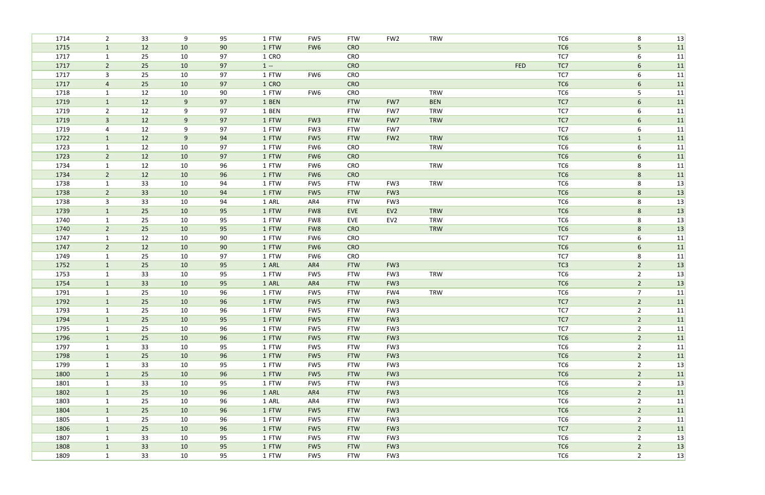| 33<br>TC <sub>6</sub><br>13<br>1714<br>$\overline{2}$<br>9<br>95<br>1 FTW<br>FW5<br><b>FTW</b><br>FW <sub>2</sub><br><b>TRW</b><br>8<br>10<br>1715<br>12<br>90<br>1 FTW<br>TC <sub>6</sub><br>5<br>11<br>FW <sub>6</sub><br><b>CRO</b><br>$\mathbf{1}$<br>1717<br>25<br>TC7<br>6<br>11<br>10<br>97<br>1 CRO<br>CRO<br>$\mathbf{1}$<br>$\overline{2}$<br>25<br>$1 -$<br><b>FED</b><br>TC7<br>$6\phantom{.}6$<br>11<br>1717<br>10<br>97<br><b>CRO</b><br>1717<br>10<br>FW6<br>CRO<br>TC7<br>11<br>25<br>97<br>1 FTW<br>6<br>3<br>25<br>TC6<br>1717<br>10<br>97<br>1 CRO<br><b>CRO</b><br>6<br>11<br>$\overline{4}$<br>12<br>1718<br>10<br>90<br>1 FTW<br>FW6<br>CRO<br><b>TRW</b><br>TC <sub>6</sub><br>5<br>11<br>$\mathbf{1}$<br>12<br>9<br>TC7<br>11<br>1719<br>97<br>1 BEN<br><b>FTW</b><br>FW7<br><b>BEN</b><br>6<br>$\mathbf{1}$<br>$\overline{2}$<br>12<br>TC7<br>11<br>1719<br>9<br>97<br><b>FTW</b><br>FW7<br>6<br>1 BEN<br><b>TRW</b><br>12<br>11<br>1719<br>$\mathbf{3}$<br>9<br>97<br>1 FTW<br>FW <sub>3</sub><br><b>FTW</b><br>FW7<br><b>TRW</b><br>TC7<br>6<br>12<br>TC7<br>1719<br>9<br>97<br>6<br>11<br>1 FTW<br>FW <sub>3</sub><br><b>FTW</b><br>FW7<br>$\overline{4}$<br>11<br>1722<br>12<br>9<br>94<br>1 FTW<br>FW <sub>2</sub><br><b>TRW</b><br>TC <sub>6</sub><br>$\mathbf{1}$<br>FW <sub>5</sub><br><b>FTW</b><br>$\mathbf{1}$<br>1723<br>12<br>TC <sub>6</sub><br>11<br>10<br>97<br>1 FTW<br>FW6<br>CRO<br><b>TRW</b><br>6<br>$\mathbf{1}$<br>12<br>97<br>11<br>1723<br>$\overline{2}$<br>10<br>1 FTW<br><b>CRO</b><br>TC <sub>6</sub><br>6<br>FW <sub>6</sub><br>11<br>1734<br>12<br>10<br>96<br>1 FTW<br>CRO<br><b>TRW</b><br>TC <sub>6</sub><br>8<br>FW6<br>$\mathbf 1$<br>$\overline{2}$<br>12<br>11<br>1734<br>10<br>96<br>1 FTW<br><b>CRO</b><br>TC <sub>6</sub><br>$8\phantom{1}$<br>FW <sub>6</sub><br>TC6<br>1738<br>33<br>10<br>94<br>1 FTW<br>FW5<br><b>FTW</b><br><b>TRW</b><br>8<br>1<br>FW <sub>3</sub><br>33<br>$\overline{2}$<br>TC6<br> 13 <br>1738<br>10<br>94<br>1 FTW<br>FW5<br><b>FTW</b><br>FW <sub>3</sub><br>$8\phantom{1}$<br>33<br>13<br>10<br>94<br>TC6<br>8<br>1738<br>3<br>1 ARL<br>AR4<br><b>FTW</b><br>FW <sub>3</sub><br>1739<br>25<br>1 FTW<br>EV <sub>2</sub><br>TC6<br>13<br>10<br>95<br>EVE<br><b>TRW</b><br>FW8<br>8<br>$\mathbf{1}$<br>25<br>13<br>1740<br>10<br>95<br>1 FTW<br>EV <sub>2</sub><br><b>TRW</b><br>TC <sub>6</sub><br>8<br>$\mathbf{1}$<br>FW8<br>EVE<br>25<br>13<br>1740<br>$2^{\circ}$<br>10<br>95<br>1 FTW<br><b>TRW</b><br>TC <sub>6</sub><br>8<br>FW8<br><b>CRO</b><br>12<br>10<br>TC7<br>6<br>11<br>1747<br>90<br>1 FTW<br>FW6<br>CRO<br>$\mathbf{1}$<br>12<br><b>CRO</b><br>TC <sub>6</sub><br>11<br>1747<br>$\overline{2}$<br>10<br>90<br>1 FTW<br>FW <sub>6</sub><br>$6\overline{6}$<br>25<br>TC7<br>1749<br>10<br>97<br>1 FTW<br>FW6<br>CRO<br>8<br>11<br>$\mathbf{1}$<br>25<br>10<br>95<br>TC <sub>3</sub><br>$\overline{2}$<br>13<br>1752<br>1 ARL<br><b>FTW</b><br>FW <sub>3</sub><br>$\mathbf{1}$<br>AR4<br>13<br>1753<br>33<br>10<br>95<br>1 FTW<br><b>FTW</b><br>FW3<br>TC6<br>$\overline{2}$<br>FW5<br><b>TRW</b><br>$\mathbf{1}$<br>33<br>13<br>10<br>95<br>1 ARL<br>TC <sub>6</sub><br>$\overline{2}$<br>1754<br>$\mathbf{1}$<br>AR4<br><b>FTW</b><br>FW <sub>3</sub><br>1791<br>25<br>10<br>96<br>1 FTW<br><b>FTW</b><br>FW4<br><b>TRW</b><br>TC6<br>7<br>11<br>1<br>FW <sub>5</sub><br>1792<br>25<br>10<br>96<br>TC7<br>$\overline{2}$<br>11<br>1 FTW<br>FW5<br><b>FTW</b><br>FW <sub>3</sub><br>$\mathbf{1}$<br>1793<br>25<br>96<br>FW5<br><b>FTW</b><br>TC7<br>11<br>10<br>1 FTW<br>FW <sub>3</sub><br>$\overline{2}$<br>25<br>TC7<br>1794<br>$\mathbf{1}$<br>10<br>95<br>1 FTW<br>FW5<br><b>FTW</b><br>FW <sub>3</sub><br>$\overline{2}$<br>11<br>25<br>1795<br>10<br>96<br>TC7<br>$\overline{2}$<br>11<br>$\mathbf{1}$<br>1 FTW<br>FW5<br><b>FTW</b><br>FW <sub>3</sub><br>11<br>1796<br>25<br>10<br>96<br>1 FTW<br><b>FTW</b><br>FW <sub>3</sub><br>TC <sub>6</sub><br>$\overline{2}$<br>$\mathbf{1}$<br>FW <sub>5</sub><br>$\overline{2}$<br>33<br>11<br>1797<br>$\mathbf{1}$<br>10<br>95<br>1 FTW<br>FW <sub>3</sub><br>TC6<br>FW5<br><b>FTW</b><br>$\overline{2}$<br>1798<br>25<br>10<br>96<br>1 FTW<br><b>FTW</b><br>FW <sub>3</sub><br>TC <sub>6</sub><br>11<br>$\mathbf{1}$<br>FW5<br>TC6<br>1799<br>33<br>95<br><b>FTW</b><br>FW3<br>$\overline{2}$<br>$\mathbf{1}$<br>10<br>1 FTW<br>FW5<br>25<br>96<br>1 FTW<br>TC <sub>6</sub><br>$\overline{2}$<br>1800<br>$\mathbf{1}$<br>10<br>FW <sub>5</sub><br><b>FTW</b><br>FW <sub>3</sub><br>11<br>13<br>33<br>95<br>FW <sub>3</sub><br>TC <sub>6</sub><br>$\overline{2}$<br>1801<br>$\mathbf{1}$<br>10<br>1 FTW<br>FW5<br><b>FTW</b><br>$\overline{2}$<br>$\mathbf{1}$<br>25<br>10<br>96<br>TC <sub>6</sub><br>11<br>1802<br>1 ARL<br><b>FTW</b><br>FW <sub>3</sub><br>AR4<br>11<br>1803<br>25<br>10<br>96<br>FW3<br>TC6<br>$\overline{2}$<br>$\mathbf{1}$<br>1 ARL<br>AR4<br><b>FTW</b><br>$\overline{2}$<br>25<br>$\mathbf{1}$<br>10<br>96<br>1 FTW<br>TC6<br>11<br>1804<br><b>FTW</b><br>FW <sub>3</sub><br>FW <sub>5</sub><br>96<br>TC6<br>$\overline{2}$<br>11<br>1805<br>25<br>10<br>1 FTW<br><b>FTW</b><br>FW <sub>3</sub><br>FW5<br>1<br>25<br>TC7<br>$\overline{2}$<br>11<br>$\mathbf{1}$<br>96<br><b>FTW</b><br>1806<br>10<br>1 FTW<br>FW5<br>FW <sub>3</sub><br>$\overline{2}$<br>13<br>33<br>10<br>95<br>TC6<br>1807<br>$\mathbf{1}$<br>1 FTW<br>FW5<br><b>FTW</b><br>FW <sub>3</sub><br>13<br>33<br>TC6<br>$\overline{2}$<br>1808<br>10<br>95<br>1 FTW<br><b>FTW</b><br>FW <sub>3</sub><br>$\mathbf{1}$<br>FW5<br>33<br>$\overline{2}$<br>1809<br>$\mathbf{1}$<br>10<br>95<br>TC6<br>1 FTW<br>FW5<br><b>FTW</b><br>FW <sub>3</sub> |  |  |  |  |  |  |  |
|--------------------------------------------------------------------------------------------------------------------------------------------------------------------------------------------------------------------------------------------------------------------------------------------------------------------------------------------------------------------------------------------------------------------------------------------------------------------------------------------------------------------------------------------------------------------------------------------------------------------------------------------------------------------------------------------------------------------------------------------------------------------------------------------------------------------------------------------------------------------------------------------------------------------------------------------------------------------------------------------------------------------------------------------------------------------------------------------------------------------------------------------------------------------------------------------------------------------------------------------------------------------------------------------------------------------------------------------------------------------------------------------------------------------------------------------------------------------------------------------------------------------------------------------------------------------------------------------------------------------------------------------------------------------------------------------------------------------------------------------------------------------------------------------------------------------------------------------------------------------------------------------------------------------------------------------------------------------------------------------------------------------------------------------------------------------------------------------------------------------------------------------------------------------------------------------------------------------------------------------------------------------------------------------------------------------------------------------------------------------------------------------------------------------------------------------------------------------------------------------------------------------------------------------------------------------------------------------------------------------------------------------------------------------------------------------------------------------------------------------------------------------------------------------------------------------------------------------------------------------------------------------------------------------------------------------------------------------------------------------------------------------------------------------------------------------------------------------------------------------------------------------------------------------------------------------------------------------------------------------------------------------------------------------------------------------------------------------------------------------------------------------------------------------------------------------------------------------------------------------------------------------------------------------------------------------------------------------------------------------------------------------------------------------------------------------------------------------------------------------------------------------------------------------------------------------------------------------------------------------------------------------------------------------------------------------------------------------------------------------------------------------------------------------------------------------------------------------------------------------------------------------------------------------------------------------------------------------------------------------------------------------------------------------------------------------------------------------------------------------------------------------------------------------------------------------------------------------------------------------------------------------------------------------------------------------------------------------------------------------------------------------------------------------------------------------------------------------------------------------------------------------------------------------------------------------------------------------------------------------------------------------------------------------------------------------------------------------------------------------------------------------------------------------------------------------------------------------------------------------------------------------------------------------------------------------------------------------------------------------------------------------------------------------------------------------------------------------------------------------------------------------------------------------------------------------------------------------------------------------------------------------------------------------------------------------------------------------------------------------------------------------------------------------------------------------------------|--|--|--|--|--|--|--|
|                                                                                                                                                                                                                                                                                                                                                                                                                                                                                                                                                                                                                                                                                                                                                                                                                                                                                                                                                                                                                                                                                                                                                                                                                                                                                                                                                                                                                                                                                                                                                                                                                                                                                                                                                                                                                                                                                                                                                                                                                                                                                                                                                                                                                                                                                                                                                                                                                                                                                                                                                                                                                                                                                                                                                                                                                                                                                                                                                                                                                                                                                                                                                                                                                                                                                                                                                                                                                                                                                                                                                                                                                                                                                                                                                                                                                                                                                                                                                                                                                                                                                                                                                                                                                                                                                                                                                                                                                                                                                                                                                                                                                                                                                                                                                                                                                                                                                                                                                                                                                                                                                                                                                                                                                                                                                                                                                                                                                                                                                                                                                                                                                                                                                                        |  |  |  |  |  |  |  |
|                                                                                                                                                                                                                                                                                                                                                                                                                                                                                                                                                                                                                                                                                                                                                                                                                                                                                                                                                                                                                                                                                                                                                                                                                                                                                                                                                                                                                                                                                                                                                                                                                                                                                                                                                                                                                                                                                                                                                                                                                                                                                                                                                                                                                                                                                                                                                                                                                                                                                                                                                                                                                                                                                                                                                                                                                                                                                                                                                                                                                                                                                                                                                                                                                                                                                                                                                                                                                                                                                                                                                                                                                                                                                                                                                                                                                                                                                                                                                                                                                                                                                                                                                                                                                                                                                                                                                                                                                                                                                                                                                                                                                                                                                                                                                                                                                                                                                                                                                                                                                                                                                                                                                                                                                                                                                                                                                                                                                                                                                                                                                                                                                                                                                                        |  |  |  |  |  |  |  |
|                                                                                                                                                                                                                                                                                                                                                                                                                                                                                                                                                                                                                                                                                                                                                                                                                                                                                                                                                                                                                                                                                                                                                                                                                                                                                                                                                                                                                                                                                                                                                                                                                                                                                                                                                                                                                                                                                                                                                                                                                                                                                                                                                                                                                                                                                                                                                                                                                                                                                                                                                                                                                                                                                                                                                                                                                                                                                                                                                                                                                                                                                                                                                                                                                                                                                                                                                                                                                                                                                                                                                                                                                                                                                                                                                                                                                                                                                                                                                                                                                                                                                                                                                                                                                                                                                                                                                                                                                                                                                                                                                                                                                                                                                                                                                                                                                                                                                                                                                                                                                                                                                                                                                                                                                                                                                                                                                                                                                                                                                                                                                                                                                                                                                                        |  |  |  |  |  |  |  |
|                                                                                                                                                                                                                                                                                                                                                                                                                                                                                                                                                                                                                                                                                                                                                                                                                                                                                                                                                                                                                                                                                                                                                                                                                                                                                                                                                                                                                                                                                                                                                                                                                                                                                                                                                                                                                                                                                                                                                                                                                                                                                                                                                                                                                                                                                                                                                                                                                                                                                                                                                                                                                                                                                                                                                                                                                                                                                                                                                                                                                                                                                                                                                                                                                                                                                                                                                                                                                                                                                                                                                                                                                                                                                                                                                                                                                                                                                                                                                                                                                                                                                                                                                                                                                                                                                                                                                                                                                                                                                                                                                                                                                                                                                                                                                                                                                                                                                                                                                                                                                                                                                                                                                                                                                                                                                                                                                                                                                                                                                                                                                                                                                                                                                                        |  |  |  |  |  |  |  |
|                                                                                                                                                                                                                                                                                                                                                                                                                                                                                                                                                                                                                                                                                                                                                                                                                                                                                                                                                                                                                                                                                                                                                                                                                                                                                                                                                                                                                                                                                                                                                                                                                                                                                                                                                                                                                                                                                                                                                                                                                                                                                                                                                                                                                                                                                                                                                                                                                                                                                                                                                                                                                                                                                                                                                                                                                                                                                                                                                                                                                                                                                                                                                                                                                                                                                                                                                                                                                                                                                                                                                                                                                                                                                                                                                                                                                                                                                                                                                                                                                                                                                                                                                                                                                                                                                                                                                                                                                                                                                                                                                                                                                                                                                                                                                                                                                                                                                                                                                                                                                                                                                                                                                                                                                                                                                                                                                                                                                                                                                                                                                                                                                                                                                                        |  |  |  |  |  |  |  |
|                                                                                                                                                                                                                                                                                                                                                                                                                                                                                                                                                                                                                                                                                                                                                                                                                                                                                                                                                                                                                                                                                                                                                                                                                                                                                                                                                                                                                                                                                                                                                                                                                                                                                                                                                                                                                                                                                                                                                                                                                                                                                                                                                                                                                                                                                                                                                                                                                                                                                                                                                                                                                                                                                                                                                                                                                                                                                                                                                                                                                                                                                                                                                                                                                                                                                                                                                                                                                                                                                                                                                                                                                                                                                                                                                                                                                                                                                                                                                                                                                                                                                                                                                                                                                                                                                                                                                                                                                                                                                                                                                                                                                                                                                                                                                                                                                                                                                                                                                                                                                                                                                                                                                                                                                                                                                                                                                                                                                                                                                                                                                                                                                                                                                                        |  |  |  |  |  |  |  |
|                                                                                                                                                                                                                                                                                                                                                                                                                                                                                                                                                                                                                                                                                                                                                                                                                                                                                                                                                                                                                                                                                                                                                                                                                                                                                                                                                                                                                                                                                                                                                                                                                                                                                                                                                                                                                                                                                                                                                                                                                                                                                                                                                                                                                                                                                                                                                                                                                                                                                                                                                                                                                                                                                                                                                                                                                                                                                                                                                                                                                                                                                                                                                                                                                                                                                                                                                                                                                                                                                                                                                                                                                                                                                                                                                                                                                                                                                                                                                                                                                                                                                                                                                                                                                                                                                                                                                                                                                                                                                                                                                                                                                                                                                                                                                                                                                                                                                                                                                                                                                                                                                                                                                                                                                                                                                                                                                                                                                                                                                                                                                                                                                                                                                                        |  |  |  |  |  |  |  |
|                                                                                                                                                                                                                                                                                                                                                                                                                                                                                                                                                                                                                                                                                                                                                                                                                                                                                                                                                                                                                                                                                                                                                                                                                                                                                                                                                                                                                                                                                                                                                                                                                                                                                                                                                                                                                                                                                                                                                                                                                                                                                                                                                                                                                                                                                                                                                                                                                                                                                                                                                                                                                                                                                                                                                                                                                                                                                                                                                                                                                                                                                                                                                                                                                                                                                                                                                                                                                                                                                                                                                                                                                                                                                                                                                                                                                                                                                                                                                                                                                                                                                                                                                                                                                                                                                                                                                                                                                                                                                                                                                                                                                                                                                                                                                                                                                                                                                                                                                                                                                                                                                                                                                                                                                                                                                                                                                                                                                                                                                                                                                                                                                                                                                                        |  |  |  |  |  |  |  |
|                                                                                                                                                                                                                                                                                                                                                                                                                                                                                                                                                                                                                                                                                                                                                                                                                                                                                                                                                                                                                                                                                                                                                                                                                                                                                                                                                                                                                                                                                                                                                                                                                                                                                                                                                                                                                                                                                                                                                                                                                                                                                                                                                                                                                                                                                                                                                                                                                                                                                                                                                                                                                                                                                                                                                                                                                                                                                                                                                                                                                                                                                                                                                                                                                                                                                                                                                                                                                                                                                                                                                                                                                                                                                                                                                                                                                                                                                                                                                                                                                                                                                                                                                                                                                                                                                                                                                                                                                                                                                                                                                                                                                                                                                                                                                                                                                                                                                                                                                                                                                                                                                                                                                                                                                                                                                                                                                                                                                                                                                                                                                                                                                                                                                                        |  |  |  |  |  |  |  |
|                                                                                                                                                                                                                                                                                                                                                                                                                                                                                                                                                                                                                                                                                                                                                                                                                                                                                                                                                                                                                                                                                                                                                                                                                                                                                                                                                                                                                                                                                                                                                                                                                                                                                                                                                                                                                                                                                                                                                                                                                                                                                                                                                                                                                                                                                                                                                                                                                                                                                                                                                                                                                                                                                                                                                                                                                                                                                                                                                                                                                                                                                                                                                                                                                                                                                                                                                                                                                                                                                                                                                                                                                                                                                                                                                                                                                                                                                                                                                                                                                                                                                                                                                                                                                                                                                                                                                                                                                                                                                                                                                                                                                                                                                                                                                                                                                                                                                                                                                                                                                                                                                                                                                                                                                                                                                                                                                                                                                                                                                                                                                                                                                                                                                                        |  |  |  |  |  |  |  |
| 13<br>13<br>13                                                                                                                                                                                                                                                                                                                                                                                                                                                                                                                                                                                                                                                                                                                                                                                                                                                                                                                                                                                                                                                                                                                                                                                                                                                                                                                                                                                                                                                                                                                                                                                                                                                                                                                                                                                                                                                                                                                                                                                                                                                                                                                                                                                                                                                                                                                                                                                                                                                                                                                                                                                                                                                                                                                                                                                                                                                                                                                                                                                                                                                                                                                                                                                                                                                                                                                                                                                                                                                                                                                                                                                                                                                                                                                                                                                                                                                                                                                                                                                                                                                                                                                                                                                                                                                                                                                                                                                                                                                                                                                                                                                                                                                                                                                                                                                                                                                                                                                                                                                                                                                                                                                                                                                                                                                                                                                                                                                                                                                                                                                                                                                                                                                                                         |  |  |  |  |  |  |  |
|                                                                                                                                                                                                                                                                                                                                                                                                                                                                                                                                                                                                                                                                                                                                                                                                                                                                                                                                                                                                                                                                                                                                                                                                                                                                                                                                                                                                                                                                                                                                                                                                                                                                                                                                                                                                                                                                                                                                                                                                                                                                                                                                                                                                                                                                                                                                                                                                                                                                                                                                                                                                                                                                                                                                                                                                                                                                                                                                                                                                                                                                                                                                                                                                                                                                                                                                                                                                                                                                                                                                                                                                                                                                                                                                                                                                                                                                                                                                                                                                                                                                                                                                                                                                                                                                                                                                                                                                                                                                                                                                                                                                                                                                                                                                                                                                                                                                                                                                                                                                                                                                                                                                                                                                                                                                                                                                                                                                                                                                                                                                                                                                                                                                                                        |  |  |  |  |  |  |  |
|                                                                                                                                                                                                                                                                                                                                                                                                                                                                                                                                                                                                                                                                                                                                                                                                                                                                                                                                                                                                                                                                                                                                                                                                                                                                                                                                                                                                                                                                                                                                                                                                                                                                                                                                                                                                                                                                                                                                                                                                                                                                                                                                                                                                                                                                                                                                                                                                                                                                                                                                                                                                                                                                                                                                                                                                                                                                                                                                                                                                                                                                                                                                                                                                                                                                                                                                                                                                                                                                                                                                                                                                                                                                                                                                                                                                                                                                                                                                                                                                                                                                                                                                                                                                                                                                                                                                                                                                                                                                                                                                                                                                                                                                                                                                                                                                                                                                                                                                                                                                                                                                                                                                                                                                                                                                                                                                                                                                                                                                                                                                                                                                                                                                                                        |  |  |  |  |  |  |  |
|                                                                                                                                                                                                                                                                                                                                                                                                                                                                                                                                                                                                                                                                                                                                                                                                                                                                                                                                                                                                                                                                                                                                                                                                                                                                                                                                                                                                                                                                                                                                                                                                                                                                                                                                                                                                                                                                                                                                                                                                                                                                                                                                                                                                                                                                                                                                                                                                                                                                                                                                                                                                                                                                                                                                                                                                                                                                                                                                                                                                                                                                                                                                                                                                                                                                                                                                                                                                                                                                                                                                                                                                                                                                                                                                                                                                                                                                                                                                                                                                                                                                                                                                                                                                                                                                                                                                                                                                                                                                                                                                                                                                                                                                                                                                                                                                                                                                                                                                                                                                                                                                                                                                                                                                                                                                                                                                                                                                                                                                                                                                                                                                                                                                                                        |  |  |  |  |  |  |  |
|                                                                                                                                                                                                                                                                                                                                                                                                                                                                                                                                                                                                                                                                                                                                                                                                                                                                                                                                                                                                                                                                                                                                                                                                                                                                                                                                                                                                                                                                                                                                                                                                                                                                                                                                                                                                                                                                                                                                                                                                                                                                                                                                                                                                                                                                                                                                                                                                                                                                                                                                                                                                                                                                                                                                                                                                                                                                                                                                                                                                                                                                                                                                                                                                                                                                                                                                                                                                                                                                                                                                                                                                                                                                                                                                                                                                                                                                                                                                                                                                                                                                                                                                                                                                                                                                                                                                                                                                                                                                                                                                                                                                                                                                                                                                                                                                                                                                                                                                                                                                                                                                                                                                                                                                                                                                                                                                                                                                                                                                                                                                                                                                                                                                                                        |  |  |  |  |  |  |  |
|                                                                                                                                                                                                                                                                                                                                                                                                                                                                                                                                                                                                                                                                                                                                                                                                                                                                                                                                                                                                                                                                                                                                                                                                                                                                                                                                                                                                                                                                                                                                                                                                                                                                                                                                                                                                                                                                                                                                                                                                                                                                                                                                                                                                                                                                                                                                                                                                                                                                                                                                                                                                                                                                                                                                                                                                                                                                                                                                                                                                                                                                                                                                                                                                                                                                                                                                                                                                                                                                                                                                                                                                                                                                                                                                                                                                                                                                                                                                                                                                                                                                                                                                                                                                                                                                                                                                                                                                                                                                                                                                                                                                                                                                                                                                                                                                                                                                                                                                                                                                                                                                                                                                                                                                                                                                                                                                                                                                                                                                                                                                                                                                                                                                                                        |  |  |  |  |  |  |  |
|                                                                                                                                                                                                                                                                                                                                                                                                                                                                                                                                                                                                                                                                                                                                                                                                                                                                                                                                                                                                                                                                                                                                                                                                                                                                                                                                                                                                                                                                                                                                                                                                                                                                                                                                                                                                                                                                                                                                                                                                                                                                                                                                                                                                                                                                                                                                                                                                                                                                                                                                                                                                                                                                                                                                                                                                                                                                                                                                                                                                                                                                                                                                                                                                                                                                                                                                                                                                                                                                                                                                                                                                                                                                                                                                                                                                                                                                                                                                                                                                                                                                                                                                                                                                                                                                                                                                                                                                                                                                                                                                                                                                                                                                                                                                                                                                                                                                                                                                                                                                                                                                                                                                                                                                                                                                                                                                                                                                                                                                                                                                                                                                                                                                                                        |  |  |  |  |  |  |  |
|                                                                                                                                                                                                                                                                                                                                                                                                                                                                                                                                                                                                                                                                                                                                                                                                                                                                                                                                                                                                                                                                                                                                                                                                                                                                                                                                                                                                                                                                                                                                                                                                                                                                                                                                                                                                                                                                                                                                                                                                                                                                                                                                                                                                                                                                                                                                                                                                                                                                                                                                                                                                                                                                                                                                                                                                                                                                                                                                                                                                                                                                                                                                                                                                                                                                                                                                                                                                                                                                                                                                                                                                                                                                                                                                                                                                                                                                                                                                                                                                                                                                                                                                                                                                                                                                                                                                                                                                                                                                                                                                                                                                                                                                                                                                                                                                                                                                                                                                                                                                                                                                                                                                                                                                                                                                                                                                                                                                                                                                                                                                                                                                                                                                                                        |  |  |  |  |  |  |  |
|                                                                                                                                                                                                                                                                                                                                                                                                                                                                                                                                                                                                                                                                                                                                                                                                                                                                                                                                                                                                                                                                                                                                                                                                                                                                                                                                                                                                                                                                                                                                                                                                                                                                                                                                                                                                                                                                                                                                                                                                                                                                                                                                                                                                                                                                                                                                                                                                                                                                                                                                                                                                                                                                                                                                                                                                                                                                                                                                                                                                                                                                                                                                                                                                                                                                                                                                                                                                                                                                                                                                                                                                                                                                                                                                                                                                                                                                                                                                                                                                                                                                                                                                                                                                                                                                                                                                                                                                                                                                                                                                                                                                                                                                                                                                                                                                                                                                                                                                                                                                                                                                                                                                                                                                                                                                                                                                                                                                                                                                                                                                                                                                                                                                                                        |  |  |  |  |  |  |  |
|                                                                                                                                                                                                                                                                                                                                                                                                                                                                                                                                                                                                                                                                                                                                                                                                                                                                                                                                                                                                                                                                                                                                                                                                                                                                                                                                                                                                                                                                                                                                                                                                                                                                                                                                                                                                                                                                                                                                                                                                                                                                                                                                                                                                                                                                                                                                                                                                                                                                                                                                                                                                                                                                                                                                                                                                                                                                                                                                                                                                                                                                                                                                                                                                                                                                                                                                                                                                                                                                                                                                                                                                                                                                                                                                                                                                                                                                                                                                                                                                                                                                                                                                                                                                                                                                                                                                                                                                                                                                                                                                                                                                                                                                                                                                                                                                                                                                                                                                                                                                                                                                                                                                                                                                                                                                                                                                                                                                                                                                                                                                                                                                                                                                                                        |  |  |  |  |  |  |  |
|                                                                                                                                                                                                                                                                                                                                                                                                                                                                                                                                                                                                                                                                                                                                                                                                                                                                                                                                                                                                                                                                                                                                                                                                                                                                                                                                                                                                                                                                                                                                                                                                                                                                                                                                                                                                                                                                                                                                                                                                                                                                                                                                                                                                                                                                                                                                                                                                                                                                                                                                                                                                                                                                                                                                                                                                                                                                                                                                                                                                                                                                                                                                                                                                                                                                                                                                                                                                                                                                                                                                                                                                                                                                                                                                                                                                                                                                                                                                                                                                                                                                                                                                                                                                                                                                                                                                                                                                                                                                                                                                                                                                                                                                                                                                                                                                                                                                                                                                                                                                                                                                                                                                                                                                                                                                                                                                                                                                                                                                                                                                                                                                                                                                                                        |  |  |  |  |  |  |  |
|                                                                                                                                                                                                                                                                                                                                                                                                                                                                                                                                                                                                                                                                                                                                                                                                                                                                                                                                                                                                                                                                                                                                                                                                                                                                                                                                                                                                                                                                                                                                                                                                                                                                                                                                                                                                                                                                                                                                                                                                                                                                                                                                                                                                                                                                                                                                                                                                                                                                                                                                                                                                                                                                                                                                                                                                                                                                                                                                                                                                                                                                                                                                                                                                                                                                                                                                                                                                                                                                                                                                                                                                                                                                                                                                                                                                                                                                                                                                                                                                                                                                                                                                                                                                                                                                                                                                                                                                                                                                                                                                                                                                                                                                                                                                                                                                                                                                                                                                                                                                                                                                                                                                                                                                                                                                                                                                                                                                                                                                                                                                                                                                                                                                                                        |  |  |  |  |  |  |  |
|                                                                                                                                                                                                                                                                                                                                                                                                                                                                                                                                                                                                                                                                                                                                                                                                                                                                                                                                                                                                                                                                                                                                                                                                                                                                                                                                                                                                                                                                                                                                                                                                                                                                                                                                                                                                                                                                                                                                                                                                                                                                                                                                                                                                                                                                                                                                                                                                                                                                                                                                                                                                                                                                                                                                                                                                                                                                                                                                                                                                                                                                                                                                                                                                                                                                                                                                                                                                                                                                                                                                                                                                                                                                                                                                                                                                                                                                                                                                                                                                                                                                                                                                                                                                                                                                                                                                                                                                                                                                                                                                                                                                                                                                                                                                                                                                                                                                                                                                                                                                                                                                                                                                                                                                                                                                                                                                                                                                                                                                                                                                                                                                                                                                                                        |  |  |  |  |  |  |  |
|                                                                                                                                                                                                                                                                                                                                                                                                                                                                                                                                                                                                                                                                                                                                                                                                                                                                                                                                                                                                                                                                                                                                                                                                                                                                                                                                                                                                                                                                                                                                                                                                                                                                                                                                                                                                                                                                                                                                                                                                                                                                                                                                                                                                                                                                                                                                                                                                                                                                                                                                                                                                                                                                                                                                                                                                                                                                                                                                                                                                                                                                                                                                                                                                                                                                                                                                                                                                                                                                                                                                                                                                                                                                                                                                                                                                                                                                                                                                                                                                                                                                                                                                                                                                                                                                                                                                                                                                                                                                                                                                                                                                                                                                                                                                                                                                                                                                                                                                                                                                                                                                                                                                                                                                                                                                                                                                                                                                                                                                                                                                                                                                                                                                                                        |  |  |  |  |  |  |  |
|                                                                                                                                                                                                                                                                                                                                                                                                                                                                                                                                                                                                                                                                                                                                                                                                                                                                                                                                                                                                                                                                                                                                                                                                                                                                                                                                                                                                                                                                                                                                                                                                                                                                                                                                                                                                                                                                                                                                                                                                                                                                                                                                                                                                                                                                                                                                                                                                                                                                                                                                                                                                                                                                                                                                                                                                                                                                                                                                                                                                                                                                                                                                                                                                                                                                                                                                                                                                                                                                                                                                                                                                                                                                                                                                                                                                                                                                                                                                                                                                                                                                                                                                                                                                                                                                                                                                                                                                                                                                                                                                                                                                                                                                                                                                                                                                                                                                                                                                                                                                                                                                                                                                                                                                                                                                                                                                                                                                                                                                                                                                                                                                                                                                                                        |  |  |  |  |  |  |  |
|                                                                                                                                                                                                                                                                                                                                                                                                                                                                                                                                                                                                                                                                                                                                                                                                                                                                                                                                                                                                                                                                                                                                                                                                                                                                                                                                                                                                                                                                                                                                                                                                                                                                                                                                                                                                                                                                                                                                                                                                                                                                                                                                                                                                                                                                                                                                                                                                                                                                                                                                                                                                                                                                                                                                                                                                                                                                                                                                                                                                                                                                                                                                                                                                                                                                                                                                                                                                                                                                                                                                                                                                                                                                                                                                                                                                                                                                                                                                                                                                                                                                                                                                                                                                                                                                                                                                                                                                                                                                                                                                                                                                                                                                                                                                                                                                                                                                                                                                                                                                                                                                                                                                                                                                                                                                                                                                                                                                                                                                                                                                                                                                                                                                                                        |  |  |  |  |  |  |  |
|                                                                                                                                                                                                                                                                                                                                                                                                                                                                                                                                                                                                                                                                                                                                                                                                                                                                                                                                                                                                                                                                                                                                                                                                                                                                                                                                                                                                                                                                                                                                                                                                                                                                                                                                                                                                                                                                                                                                                                                                                                                                                                                                                                                                                                                                                                                                                                                                                                                                                                                                                                                                                                                                                                                                                                                                                                                                                                                                                                                                                                                                                                                                                                                                                                                                                                                                                                                                                                                                                                                                                                                                                                                                                                                                                                                                                                                                                                                                                                                                                                                                                                                                                                                                                                                                                                                                                                                                                                                                                                                                                                                                                                                                                                                                                                                                                                                                                                                                                                                                                                                                                                                                                                                                                                                                                                                                                                                                                                                                                                                                                                                                                                                                                                        |  |  |  |  |  |  |  |
|                                                                                                                                                                                                                                                                                                                                                                                                                                                                                                                                                                                                                                                                                                                                                                                                                                                                                                                                                                                                                                                                                                                                                                                                                                                                                                                                                                                                                                                                                                                                                                                                                                                                                                                                                                                                                                                                                                                                                                                                                                                                                                                                                                                                                                                                                                                                                                                                                                                                                                                                                                                                                                                                                                                                                                                                                                                                                                                                                                                                                                                                                                                                                                                                                                                                                                                                                                                                                                                                                                                                                                                                                                                                                                                                                                                                                                                                                                                                                                                                                                                                                                                                                                                                                                                                                                                                                                                                                                                                                                                                                                                                                                                                                                                                                                                                                                                                                                                                                                                                                                                                                                                                                                                                                                                                                                                                                                                                                                                                                                                                                                                                                                                                                                        |  |  |  |  |  |  |  |
|                                                                                                                                                                                                                                                                                                                                                                                                                                                                                                                                                                                                                                                                                                                                                                                                                                                                                                                                                                                                                                                                                                                                                                                                                                                                                                                                                                                                                                                                                                                                                                                                                                                                                                                                                                                                                                                                                                                                                                                                                                                                                                                                                                                                                                                                                                                                                                                                                                                                                                                                                                                                                                                                                                                                                                                                                                                                                                                                                                                                                                                                                                                                                                                                                                                                                                                                                                                                                                                                                                                                                                                                                                                                                                                                                                                                                                                                                                                                                                                                                                                                                                                                                                                                                                                                                                                                                                                                                                                                                                                                                                                                                                                                                                                                                                                                                                                                                                                                                                                                                                                                                                                                                                                                                                                                                                                                                                                                                                                                                                                                                                                                                                                                                                        |  |  |  |  |  |  |  |
|                                                                                                                                                                                                                                                                                                                                                                                                                                                                                                                                                                                                                                                                                                                                                                                                                                                                                                                                                                                                                                                                                                                                                                                                                                                                                                                                                                                                                                                                                                                                                                                                                                                                                                                                                                                                                                                                                                                                                                                                                                                                                                                                                                                                                                                                                                                                                                                                                                                                                                                                                                                                                                                                                                                                                                                                                                                                                                                                                                                                                                                                                                                                                                                                                                                                                                                                                                                                                                                                                                                                                                                                                                                                                                                                                                                                                                                                                                                                                                                                                                                                                                                                                                                                                                                                                                                                                                                                                                                                                                                                                                                                                                                                                                                                                                                                                                                                                                                                                                                                                                                                                                                                                                                                                                                                                                                                                                                                                                                                                                                                                                                                                                                                                                        |  |  |  |  |  |  |  |
|                                                                                                                                                                                                                                                                                                                                                                                                                                                                                                                                                                                                                                                                                                                                                                                                                                                                                                                                                                                                                                                                                                                                                                                                                                                                                                                                                                                                                                                                                                                                                                                                                                                                                                                                                                                                                                                                                                                                                                                                                                                                                                                                                                                                                                                                                                                                                                                                                                                                                                                                                                                                                                                                                                                                                                                                                                                                                                                                                                                                                                                                                                                                                                                                                                                                                                                                                                                                                                                                                                                                                                                                                                                                                                                                                                                                                                                                                                                                                                                                                                                                                                                                                                                                                                                                                                                                                                                                                                                                                                                                                                                                                                                                                                                                                                                                                                                                                                                                                                                                                                                                                                                                                                                                                                                                                                                                                                                                                                                                                                                                                                                                                                                                                                        |  |  |  |  |  |  |  |
|                                                                                                                                                                                                                                                                                                                                                                                                                                                                                                                                                                                                                                                                                                                                                                                                                                                                                                                                                                                                                                                                                                                                                                                                                                                                                                                                                                                                                                                                                                                                                                                                                                                                                                                                                                                                                                                                                                                                                                                                                                                                                                                                                                                                                                                                                                                                                                                                                                                                                                                                                                                                                                                                                                                                                                                                                                                                                                                                                                                                                                                                                                                                                                                                                                                                                                                                                                                                                                                                                                                                                                                                                                                                                                                                                                                                                                                                                                                                                                                                                                                                                                                                                                                                                                                                                                                                                                                                                                                                                                                                                                                                                                                                                                                                                                                                                                                                                                                                                                                                                                                                                                                                                                                                                                                                                                                                                                                                                                                                                                                                                                                                                                                                                                        |  |  |  |  |  |  |  |
|                                                                                                                                                                                                                                                                                                                                                                                                                                                                                                                                                                                                                                                                                                                                                                                                                                                                                                                                                                                                                                                                                                                                                                                                                                                                                                                                                                                                                                                                                                                                                                                                                                                                                                                                                                                                                                                                                                                                                                                                                                                                                                                                                                                                                                                                                                                                                                                                                                                                                                                                                                                                                                                                                                                                                                                                                                                                                                                                                                                                                                                                                                                                                                                                                                                                                                                                                                                                                                                                                                                                                                                                                                                                                                                                                                                                                                                                                                                                                                                                                                                                                                                                                                                                                                                                                                                                                                                                                                                                                                                                                                                                                                                                                                                                                                                                                                                                                                                                                                                                                                                                                                                                                                                                                                                                                                                                                                                                                                                                                                                                                                                                                                                                                                        |  |  |  |  |  |  |  |
|                                                                                                                                                                                                                                                                                                                                                                                                                                                                                                                                                                                                                                                                                                                                                                                                                                                                                                                                                                                                                                                                                                                                                                                                                                                                                                                                                                                                                                                                                                                                                                                                                                                                                                                                                                                                                                                                                                                                                                                                                                                                                                                                                                                                                                                                                                                                                                                                                                                                                                                                                                                                                                                                                                                                                                                                                                                                                                                                                                                                                                                                                                                                                                                                                                                                                                                                                                                                                                                                                                                                                                                                                                                                                                                                                                                                                                                                                                                                                                                                                                                                                                                                                                                                                                                                                                                                                                                                                                                                                                                                                                                                                                                                                                                                                                                                                                                                                                                                                                                                                                                                                                                                                                                                                                                                                                                                                                                                                                                                                                                                                                                                                                                                                                        |  |  |  |  |  |  |  |
|                                                                                                                                                                                                                                                                                                                                                                                                                                                                                                                                                                                                                                                                                                                                                                                                                                                                                                                                                                                                                                                                                                                                                                                                                                                                                                                                                                                                                                                                                                                                                                                                                                                                                                                                                                                                                                                                                                                                                                                                                                                                                                                                                                                                                                                                                                                                                                                                                                                                                                                                                                                                                                                                                                                                                                                                                                                                                                                                                                                                                                                                                                                                                                                                                                                                                                                                                                                                                                                                                                                                                                                                                                                                                                                                                                                                                                                                                                                                                                                                                                                                                                                                                                                                                                                                                                                                                                                                                                                                                                                                                                                                                                                                                                                                                                                                                                                                                                                                                                                                                                                                                                                                                                                                                                                                                                                                                                                                                                                                                                                                                                                                                                                                                                        |  |  |  |  |  |  |  |
|                                                                                                                                                                                                                                                                                                                                                                                                                                                                                                                                                                                                                                                                                                                                                                                                                                                                                                                                                                                                                                                                                                                                                                                                                                                                                                                                                                                                                                                                                                                                                                                                                                                                                                                                                                                                                                                                                                                                                                                                                                                                                                                                                                                                                                                                                                                                                                                                                                                                                                                                                                                                                                                                                                                                                                                                                                                                                                                                                                                                                                                                                                                                                                                                                                                                                                                                                                                                                                                                                                                                                                                                                                                                                                                                                                                                                                                                                                                                                                                                                                                                                                                                                                                                                                                                                                                                                                                                                                                                                                                                                                                                                                                                                                                                                                                                                                                                                                                                                                                                                                                                                                                                                                                                                                                                                                                                                                                                                                                                                                                                                                                                                                                                                                        |  |  |  |  |  |  |  |
|                                                                                                                                                                                                                                                                                                                                                                                                                                                                                                                                                                                                                                                                                                                                                                                                                                                                                                                                                                                                                                                                                                                                                                                                                                                                                                                                                                                                                                                                                                                                                                                                                                                                                                                                                                                                                                                                                                                                                                                                                                                                                                                                                                                                                                                                                                                                                                                                                                                                                                                                                                                                                                                                                                                                                                                                                                                                                                                                                                                                                                                                                                                                                                                                                                                                                                                                                                                                                                                                                                                                                                                                                                                                                                                                                                                                                                                                                                                                                                                                                                                                                                                                                                                                                                                                                                                                                                                                                                                                                                                                                                                                                                                                                                                                                                                                                                                                                                                                                                                                                                                                                                                                                                                                                                                                                                                                                                                                                                                                                                                                                                                                                                                                                                        |  |  |  |  |  |  |  |
|                                                                                                                                                                                                                                                                                                                                                                                                                                                                                                                                                                                                                                                                                                                                                                                                                                                                                                                                                                                                                                                                                                                                                                                                                                                                                                                                                                                                                                                                                                                                                                                                                                                                                                                                                                                                                                                                                                                                                                                                                                                                                                                                                                                                                                                                                                                                                                                                                                                                                                                                                                                                                                                                                                                                                                                                                                                                                                                                                                                                                                                                                                                                                                                                                                                                                                                                                                                                                                                                                                                                                                                                                                                                                                                                                                                                                                                                                                                                                                                                                                                                                                                                                                                                                                                                                                                                                                                                                                                                                                                                                                                                                                                                                                                                                                                                                                                                                                                                                                                                                                                                                                                                                                                                                                                                                                                                                                                                                                                                                                                                                                                                                                                                                                        |  |  |  |  |  |  |  |
|                                                                                                                                                                                                                                                                                                                                                                                                                                                                                                                                                                                                                                                                                                                                                                                                                                                                                                                                                                                                                                                                                                                                                                                                                                                                                                                                                                                                                                                                                                                                                                                                                                                                                                                                                                                                                                                                                                                                                                                                                                                                                                                                                                                                                                                                                                                                                                                                                                                                                                                                                                                                                                                                                                                                                                                                                                                                                                                                                                                                                                                                                                                                                                                                                                                                                                                                                                                                                                                                                                                                                                                                                                                                                                                                                                                                                                                                                                                                                                                                                                                                                                                                                                                                                                                                                                                                                                                                                                                                                                                                                                                                                                                                                                                                                                                                                                                                                                                                                                                                                                                                                                                                                                                                                                                                                                                                                                                                                                                                                                                                                                                                                                                                                                        |  |  |  |  |  |  |  |
|                                                                                                                                                                                                                                                                                                                                                                                                                                                                                                                                                                                                                                                                                                                                                                                                                                                                                                                                                                                                                                                                                                                                                                                                                                                                                                                                                                                                                                                                                                                                                                                                                                                                                                                                                                                                                                                                                                                                                                                                                                                                                                                                                                                                                                                                                                                                                                                                                                                                                                                                                                                                                                                                                                                                                                                                                                                                                                                                                                                                                                                                                                                                                                                                                                                                                                                                                                                                                                                                                                                                                                                                                                                                                                                                                                                                                                                                                                                                                                                                                                                                                                                                                                                                                                                                                                                                                                                                                                                                                                                                                                                                                                                                                                                                                                                                                                                                                                                                                                                                                                                                                                                                                                                                                                                                                                                                                                                                                                                                                                                                                                                                                                                                                                        |  |  |  |  |  |  |  |
|                                                                                                                                                                                                                                                                                                                                                                                                                                                                                                                                                                                                                                                                                                                                                                                                                                                                                                                                                                                                                                                                                                                                                                                                                                                                                                                                                                                                                                                                                                                                                                                                                                                                                                                                                                                                                                                                                                                                                                                                                                                                                                                                                                                                                                                                                                                                                                                                                                                                                                                                                                                                                                                                                                                                                                                                                                                                                                                                                                                                                                                                                                                                                                                                                                                                                                                                                                                                                                                                                                                                                                                                                                                                                                                                                                                                                                                                                                                                                                                                                                                                                                                                                                                                                                                                                                                                                                                                                                                                                                                                                                                                                                                                                                                                                                                                                                                                                                                                                                                                                                                                                                                                                                                                                                                                                                                                                                                                                                                                                                                                                                                                                                                                                                        |  |  |  |  |  |  |  |
|                                                                                                                                                                                                                                                                                                                                                                                                                                                                                                                                                                                                                                                                                                                                                                                                                                                                                                                                                                                                                                                                                                                                                                                                                                                                                                                                                                                                                                                                                                                                                                                                                                                                                                                                                                                                                                                                                                                                                                                                                                                                                                                                                                                                                                                                                                                                                                                                                                                                                                                                                                                                                                                                                                                                                                                                                                                                                                                                                                                                                                                                                                                                                                                                                                                                                                                                                                                                                                                                                                                                                                                                                                                                                                                                                                                                                                                                                                                                                                                                                                                                                                                                                                                                                                                                                                                                                                                                                                                                                                                                                                                                                                                                                                                                                                                                                                                                                                                                                                                                                                                                                                                                                                                                                                                                                                                                                                                                                                                                                                                                                                                                                                                                                                        |  |  |  |  |  |  |  |
|                                                                                                                                                                                                                                                                                                                                                                                                                                                                                                                                                                                                                                                                                                                                                                                                                                                                                                                                                                                                                                                                                                                                                                                                                                                                                                                                                                                                                                                                                                                                                                                                                                                                                                                                                                                                                                                                                                                                                                                                                                                                                                                                                                                                                                                                                                                                                                                                                                                                                                                                                                                                                                                                                                                                                                                                                                                                                                                                                                                                                                                                                                                                                                                                                                                                                                                                                                                                                                                                                                                                                                                                                                                                                                                                                                                                                                                                                                                                                                                                                                                                                                                                                                                                                                                                                                                                                                                                                                                                                                                                                                                                                                                                                                                                                                                                                                                                                                                                                                                                                                                                                                                                                                                                                                                                                                                                                                                                                                                                                                                                                                                                                                                                                                        |  |  |  |  |  |  |  |
|                                                                                                                                                                                                                                                                                                                                                                                                                                                                                                                                                                                                                                                                                                                                                                                                                                                                                                                                                                                                                                                                                                                                                                                                                                                                                                                                                                                                                                                                                                                                                                                                                                                                                                                                                                                                                                                                                                                                                                                                                                                                                                                                                                                                                                                                                                                                                                                                                                                                                                                                                                                                                                                                                                                                                                                                                                                                                                                                                                                                                                                                                                                                                                                                                                                                                                                                                                                                                                                                                                                                                                                                                                                                                                                                                                                                                                                                                                                                                                                                                                                                                                                                                                                                                                                                                                                                                                                                                                                                                                                                                                                                                                                                                                                                                                                                                                                                                                                                                                                                                                                                                                                                                                                                                                                                                                                                                                                                                                                                                                                                                                                                                                                                                                        |  |  |  |  |  |  |  |
|                                                                                                                                                                                                                                                                                                                                                                                                                                                                                                                                                                                                                                                                                                                                                                                                                                                                                                                                                                                                                                                                                                                                                                                                                                                                                                                                                                                                                                                                                                                                                                                                                                                                                                                                                                                                                                                                                                                                                                                                                                                                                                                                                                                                                                                                                                                                                                                                                                                                                                                                                                                                                                                                                                                                                                                                                                                                                                                                                                                                                                                                                                                                                                                                                                                                                                                                                                                                                                                                                                                                                                                                                                                                                                                                                                                                                                                                                                                                                                                                                                                                                                                                                                                                                                                                                                                                                                                                                                                                                                                                                                                                                                                                                                                                                                                                                                                                                                                                                                                                                                                                                                                                                                                                                                                                                                                                                                                                                                                                                                                                                                                                                                                                                                        |  |  |  |  |  |  |  |
|                                                                                                                                                                                                                                                                                                                                                                                                                                                                                                                                                                                                                                                                                                                                                                                                                                                                                                                                                                                                                                                                                                                                                                                                                                                                                                                                                                                                                                                                                                                                                                                                                                                                                                                                                                                                                                                                                                                                                                                                                                                                                                                                                                                                                                                                                                                                                                                                                                                                                                                                                                                                                                                                                                                                                                                                                                                                                                                                                                                                                                                                                                                                                                                                                                                                                                                                                                                                                                                                                                                                                                                                                                                                                                                                                                                                                                                                                                                                                                                                                                                                                                                                                                                                                                                                                                                                                                                                                                                                                                                                                                                                                                                                                                                                                                                                                                                                                                                                                                                                                                                                                                                                                                                                                                                                                                                                                                                                                                                                                                                                                                                                                                                                                                        |  |  |  |  |  |  |  |
|                                                                                                                                                                                                                                                                                                                                                                                                                                                                                                                                                                                                                                                                                                                                                                                                                                                                                                                                                                                                                                                                                                                                                                                                                                                                                                                                                                                                                                                                                                                                                                                                                                                                                                                                                                                                                                                                                                                                                                                                                                                                                                                                                                                                                                                                                                                                                                                                                                                                                                                                                                                                                                                                                                                                                                                                                                                                                                                                                                                                                                                                                                                                                                                                                                                                                                                                                                                                                                                                                                                                                                                                                                                                                                                                                                                                                                                                                                                                                                                                                                                                                                                                                                                                                                                                                                                                                                                                                                                                                                                                                                                                                                                                                                                                                                                                                                                                                                                                                                                                                                                                                                                                                                                                                                                                                                                                                                                                                                                                                                                                                                                                                                                                                                        |  |  |  |  |  |  |  |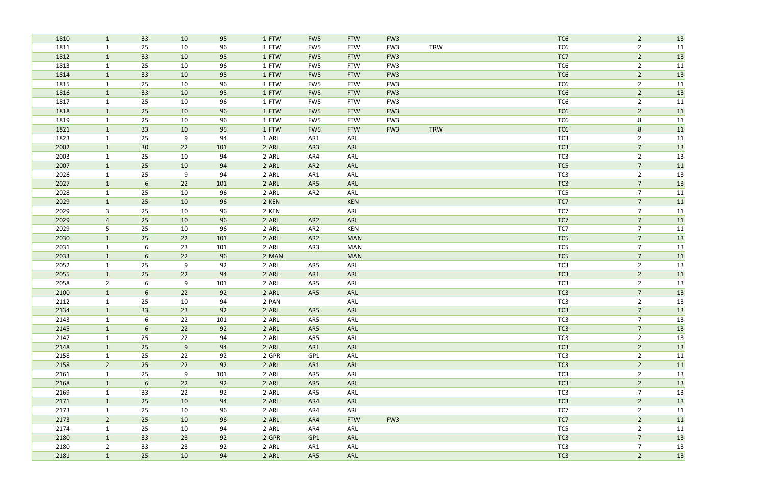| 1810 | $\mathbf{1}$   | 33              | 10 | 95  | 1 FTW | FW <sub>5</sub> | <b>FTW</b> | FW <sub>3</sub> |            | TC6             | $\overline{2}$ | 13 |
|------|----------------|-----------------|----|-----|-------|-----------------|------------|-----------------|------------|-----------------|----------------|----|
| 1811 | $\mathbf{1}$   | 25              | 10 | 96  | 1 FTW | FW5             | <b>FTW</b> | FW <sub>3</sub> | <b>TRW</b> | TC6             | $\overline{2}$ | 11 |
| 1812 | $\mathbf{1}$   | 33              | 10 | 95  | 1 FTW | FW <sub>5</sub> | <b>FTW</b> | FW <sub>3</sub> |            | TC7             | $\overline{2}$ | 13 |
| 1813 | $\mathbf{1}$   | 25              | 10 | 96  | 1 FTW | FW5             | <b>FTW</b> | FW3             |            | TC6             | $\overline{2}$ | 11 |
| 1814 | $\mathbf{1}$   | 33              | 10 | 95  | 1 FTW | FW <sub>5</sub> | <b>FTW</b> | FW <sub>3</sub> |            | TC <sub>6</sub> | $\overline{2}$ | 13 |
| 1815 | $\mathbf{1}$   | 25              | 10 | 96  | 1 FTW | FW5             | <b>FTW</b> | FW <sub>3</sub> |            | TC <sub>6</sub> | $\overline{2}$ | 11 |
| 1816 | $\mathbf{1}$   | 33              | 10 | 95  | 1 FTW | FW <sub>5</sub> | <b>FTW</b> | FW <sub>3</sub> |            | TC <sub>6</sub> | $\overline{2}$ | 13 |
| 1817 | $\mathbf{1}$   | 25              | 10 | 96  | 1 FTW | FW5             | <b>FTW</b> | FW <sub>3</sub> |            | TC <sub>6</sub> | $\overline{2}$ | 11 |
| 1818 | $\mathbf{1}$   | 25              | 10 | 96  | 1 FTW | FW <sub>5</sub> | <b>FTW</b> | FW <sub>3</sub> |            | TC <sub>6</sub> | $\overline{2}$ | 11 |
| 1819 | $\mathbf{1}$   | 25              | 10 | 96  | 1 FTW | FW5             | <b>FTW</b> | FW <sub>3</sub> |            | TC6             | 8              | 11 |
| 1821 | $\mathbf{1}$   | 33              | 10 | 95  | 1 FTW | FW <sub>5</sub> | <b>FTW</b> | FW <sub>3</sub> | <b>TRW</b> | TC <sub>6</sub> | $8\phantom{1}$ | 11 |
| 1823 | $\mathbf{1}$   | 25              | 9  | 94  | 1 ARL | AR1             | ARL        |                 |            | TC <sub>3</sub> | $\overline{2}$ | 11 |
| 2002 | $\mathbf{1}$   | 30              | 22 | 101 | 2 ARL | AR3             | ARL        |                 |            | TC <sub>3</sub> | $\overline{7}$ | 13 |
| 2003 | $\mathbf{1}$   | 25              | 10 | 94  | 2 ARL | AR4             | ARL        |                 |            | TC <sub>3</sub> | $\overline{2}$ | 13 |
| 2007 | $\mathbf{1}$   | 25              | 10 | 94  | 2 ARL | AR <sub>2</sub> | ARL        |                 |            | TC5             | $\overline{7}$ | 11 |
| 2026 | $\mathbf{1}$   | 25              | 9  | 94  | 2 ARL | AR1             | ARL        |                 |            | TC3             | $\overline{2}$ | 13 |
| 2027 | $\mathbf{1}$   | 6               | 22 | 101 | 2 ARL | AR5             | ARL        |                 |            | TC <sub>3</sub> | $\overline{7}$ | 13 |
| 2028 | $\mathbf{1}$   | 25              | 10 | 96  | 2 ARL | AR <sub>2</sub> | ARL        |                 |            | TC5             | $\overline{7}$ | 11 |
| 2029 | $\mathbf{1}$   | 25              | 10 | 96  | 2 KEN |                 | <b>KEN</b> |                 |            | TC7             | $\overline{7}$ | 11 |
| 2029 | $\mathbf{3}$   | 25              | 10 | 96  | 2 KEN |                 | ARL        |                 |            | TC7             | $\overline{7}$ | 11 |
| 2029 | $\overline{4}$ | 25              | 10 | 96  | 2 ARL | AR <sub>2</sub> | ARL        |                 |            | TC7             | $\overline{7}$ | 11 |
| 2029 | 5              | 25              | 10 | 96  | 2 ARL | AR <sub>2</sub> | KEN        |                 |            | TC7             | $\overline{7}$ | 11 |
| 2030 | $\mathbf{1}$   | 25              | 22 | 101 | 2 ARL | AR <sub>2</sub> | <b>MAN</b> |                 |            | TC5             | $\overline{7}$ | 13 |
| 2031 | $\mathbf{1}$   | 6               | 23 | 101 | 2 ARL | AR3             | MAN        |                 |            | TC5             | $\overline{7}$ | 13 |
| 2033 | $\mathbf{1}$   | $6\phantom{.}$  | 22 | 96  | 2 MAN |                 | <b>MAN</b> |                 |            | TC5             | $\overline{7}$ | 11 |
| 2052 | $\mathbf{1}$   | 25              | 9  | 92  | 2 ARL | AR5             | ARL        |                 |            | TC <sub>3</sub> | $\overline{2}$ | 13 |
| 2055 | $\mathbf{1}$   | 25              | 22 | 94  | 2 ARL | AR1             | ARL        |                 |            | TC <sub>3</sub> | $\overline{2}$ | 11 |
| 2058 | $\overline{2}$ | 6               | 9  | 101 | 2 ARL | AR5             | ARL        |                 |            | TC <sub>3</sub> | $\overline{2}$ | 13 |
| 2100 | $\mathbf{1}$   | 6               | 22 | 92  | 2 ARL | AR5             | ARL        |                 |            | TC <sub>3</sub> | $\overline{7}$ | 13 |
| 2112 | $\mathbf{1}$   | 25              | 10 | 94  | 2 PAN |                 | ARL        |                 |            | TC <sub>3</sub> | $\overline{2}$ | 13 |
| 2134 | $\mathbf{1}$   | 33              | 23 | 92  | 2 ARL | AR5             | ARL        |                 |            | TC <sub>3</sub> | $\overline{7}$ | 13 |
| 2143 | 1              | 6               | 22 | 101 | 2 ARL | AR5             | ARL        |                 |            | TC <sub>3</sub> | $\overline{7}$ | 13 |
| 2145 | $\mathbf{1}$   | $6\phantom{1}$  | 22 | 92  | 2 ARL | AR5             | ARL        |                 |            | TC <sub>3</sub> | $\overline{7}$ | 13 |
| 2147 | $\mathbf{1}$   | 25              | 22 | 94  | 2 ARL | AR5             | ARL        |                 |            | TC <sub>3</sub> | $\overline{2}$ | 13 |
| 2148 | $\mathbf{1}$   | 25              | 9  | 94  | 2 ARL | AR1             | ARL        |                 |            | TC <sub>3</sub> | $\overline{2}$ | 13 |
| 2158 | $\mathbf{1}$   | 25              | 22 | 92  | 2 GPR | GP1             | ARL        |                 |            | TC3             | $\overline{2}$ | 11 |
| 2158 | $2^{\circ}$    | 25              | 22 | 92  | 2 ARL | AR1             | ARL        |                 |            | TC <sub>3</sub> | $\overline{2}$ | 11 |
| 2161 | $\mathbf{1}$   | 25              | 9  | 101 | 2 ARL | AR5             | ARL        |                 |            | TC <sub>3</sub> | $\overline{2}$ | 13 |
| 2168 | $\mathbf{1}$   | $6\overline{6}$ | 22 | 92  | 2 ARL | AR5             | ARL        |                 |            | TC <sub>3</sub> | $\overline{2}$ | 13 |
| 2169 | $\mathbf{1}$   | 33              | 22 | 92  | 2 ARL | AR5             | ARL        |                 |            | TC <sub>3</sub> | $\overline{7}$ | 13 |
| 2171 | $\mathbf{1}$   | 25              | 10 | 94  | 2 ARL | AR4             | ARL        |                 |            | TC3             | $\overline{2}$ | 13 |
| 2173 | $\mathbf{1}$   | 25              | 10 | 96  | 2 ARL | AR4             | ARL        |                 |            | TC7             | $\overline{2}$ | 11 |
| 2173 | $2^{\circ}$    | 25              | 10 | 96  | 2 ARL | AR4             | <b>FTW</b> | FW <sub>3</sub> |            | TC7             | $\overline{2}$ | 11 |
| 2174 | $\mathbf{1}$   | 25              | 10 | 94  | 2 ARL | AR4             | ARL        |                 |            | TC5             | $\overline{2}$ | 11 |
| 2180 | $\mathbf{1}$   | 33              | 23 | 92  | 2 GPR | GP1             | ARL        |                 |            | TC <sub>3</sub> | $\overline{7}$ | 13 |
| 2180 | $2^{\circ}$    | 33              | 23 | 92  | 2 ARL | AR1             | ARL        |                 |            | TC <sub>3</sub> | $\overline{7}$ | 13 |
| 2181 | $\mathbf{1}$   | 25              | 10 | 94  | 2 ARL | AR5             | ARL        |                 |            | TC <sub>3</sub> | $\overline{2}$ | 13 |
|      |                |                 |    |     |       |                 |            |                 |            |                 |                |    |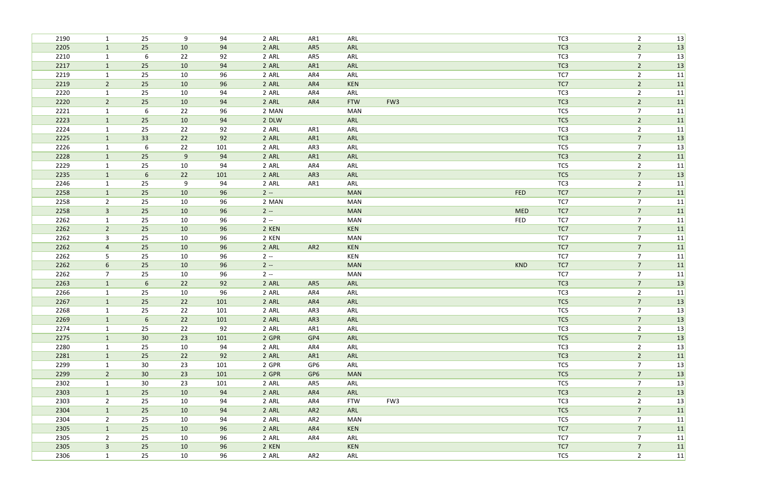| 2190         | $\mathbf{1}$        | 25              | 9        | 94       | 2 ARL          | AR1             | ARL               |     |            | TC3             | $\overline{2}$                   | 13       |
|--------------|---------------------|-----------------|----------|----------|----------------|-----------------|-------------------|-----|------------|-----------------|----------------------------------|----------|
| 2205         | $\mathbf{1}$        | 25              | 10       | 94       | 2 ARL          | AR5             | ARL               |     |            | TC <sub>3</sub> | $\overline{2}$                   | 13       |
| 2210         | $\mathbf{1}$        | 6               | 22       | 92       | 2 ARL          | AR5             | ARL               |     |            | TC <sub>3</sub> | $\overline{7}$                   | 13       |
| 2217         | $\mathbf{1}$        | 25              | 10       | 94       | 2 ARL          | AR1             | ARL               |     |            | TC3             | $\overline{2}$                   | 13       |
| 2219         | $\mathbf{1}$        | 25              | 10       | 96       | 2 ARL          | AR4             | ARL               |     |            | TC7             | $\overline{2}$                   | 11       |
| 2219         | $\overline{2}$      | 25              | 10       | 96       | 2 ARL          | AR4             | <b>KEN</b>        |     |            | TC7             | $\overline{2}$                   | 11       |
| 2220         | $\mathbf{1}$        | 25              | 10       | 94       | 2 ARL          | AR4             | ARL               |     |            | TC3             | $\overline{2}$                   | 11       |
| 2220         | $2^{\circ}$         | 25              | 10       | 94       | 2 ARL          | AR4             | <b>FTW</b>        | FW3 |            | TC3             | $\overline{2}$                   | 11       |
| 2221         | $\mathbf{1}$        | 6               | 22       | 96       | 2 MAN          |                 | <b>MAN</b>        |     |            | TC5             | $\overline{7}$                   | 11       |
| 2223         | $\mathbf{1}$        | 25              | 10       | 94       | 2 DLW          |                 | ARL               |     |            | TC5             | $\overline{2}$                   | 11       |
| 2224         | $\mathbf{1}$        | 25              | 22       | 92       | 2 ARL          | AR1             | ARL               |     |            | TC3             | $\overline{2}$                   | 11       |
| 2225         | $\mathbf{1}$        | 33              | 22       | 92       | 2 ARL          | AR1             | ARL               |     |            | TC3             | $\overline{7}$                   | 13       |
| 2226         | $\mathbf{1}$        | 6               | 22       | 101      | 2 ARL          | AR3             | ARL               |     |            | TC5             | $\overline{7}$                   | 13       |
| 2228         | $\mathbf{1}$        | 25              | 9        | 94       | 2 ARL          | AR1             | ARL               |     |            | TC <sub>3</sub> | $\overline{2}$                   | 11       |
| 2229         | $\mathbf{1}$        | 25              | 10       | 94       | 2 ARL          | AR4             | ARL               |     |            | TC5             | $\overline{2}$                   | 11       |
| 2235         | $\mathbf{1}$        | 6               | 22       | 101      | 2 ARL          | AR3             | ARL               |     |            | TC5             | $\overline{7}$                   | 13       |
| 2246         | $\mathbf{1}$        | 25              | 9        | 94       | 2 ARL          | AR1             | ARL               |     |            | TC3             | $\overline{2}$                   | 11       |
| 2258         | $\mathbf{1}$        | 25              | 10       | 96       | $2 -$          |                 | <b>MAN</b>        |     | FED        | TC7             | $\overline{7}$                   | 11       |
| 2258         | $\overline{2}$      | 25              | 10       | 96       | 2 MAN          |                 | <b>MAN</b>        |     |            | TC7             | $\overline{7}$                   | 11       |
| 2258         | $\mathbf{3}$        | 25              | 10       | 96       | $2 -$          |                 | <b>MAN</b>        |     | <b>MED</b> | TC7             | $\overline{7}$                   | 11       |
| 2262         | $\mathbf{1}$        | 25              | 10       | 96       | $2 -$          |                 | MAN               |     | <b>FED</b> | TC7             | $\overline{7}$                   | 11       |
| 2262         | 2 <sup>1</sup>      | 25              | 10       | 96       | 2 KEN          |                 | KEN               |     |            | TC7             | $\overline{7}$                   | 11       |
| 2262         | $\mathbf{3}$        | 25              | 10       | 96       | 2 KEN          |                 | <b>MAN</b>        |     |            | TC7<br>TC7      | $\overline{7}$<br>$\overline{7}$ | 11       |
| 2262<br>2262 | $\overline{4}$<br>5 | 25<br>25        | 10<br>10 | 96<br>96 | 2 ARL<br>$2 -$ | AR <sub>2</sub> | <b>KEN</b><br>KEN |     |            | TC7             | $\overline{7}$                   | 11<br>11 |
| 2262         | 6                   | 25              | 10       | 96       | $2 -$          |                 | <b>MAN</b>        |     | <b>KND</b> | TC7             | $\overline{7}$                   | 11       |
| 2262         | $\overline{7}$      | 25              | 10       | 96       | $2 -$          |                 | <b>MAN</b>        |     |            | TC7             | $\overline{7}$                   | 11       |
| 2263         | $\mathbf{1}$        | 6               | 22       | 92       | 2 ARL          | AR5             | ARL               |     |            | TC <sub>3</sub> | $\overline{7}$                   | 13       |
| 2266         | $\mathbf{1}$        | 25              | 10       | 96       | 2 ARL          | AR4             | ARL               |     |            | TC3             | $\overline{2}$                   | 11       |
| 2267         | $\mathbf{1}$        | 25              | 22       | 101      | 2 ARL          | AR4             | ARL               |     |            | TC5             | $\overline{7}$                   | 13       |
| 2268         |                     | 25              | 22       | 101      | 2 ARL          | AR3             | ARL               |     |            | TC5             | $\overline{7}$                   | 13       |
| 2269         | $\mathbf{1}$        | 6               | 22       | 101      | 2 ARL          | AR3             | ARL               |     |            | TC5             | $7\overline{ }$                  | 13       |
| 2274         | $\mathbf{1}$        | 25              | 22       | 92       | 2 ARL          | AR1             | ARL               |     |            | TC3             | $\overline{2}$                   | 13       |
| 2275         | $\mathbf{1}$        | 30 <sup>°</sup> | 23       | 101      | 2 GPR          | GP4             | ARL               |     |            | TC5             | $\overline{7}$                   | 13       |
| 2280         | $\mathbf{1}$        | 25              | 10       | 94       | 2 ARL          | AR4             | ARL               |     |            | TC3             | $\overline{2}$                   | 13       |
| 2281         | $\vert$ 1           | 25              | 22       | 92       | 2 ARL          | AR1             | ARL               |     |            | TC <sub>3</sub> | $\overline{2}$                   | 11       |
| 2299         | $\mathbf{1}$        | 30              | 23       | 101      | 2 GPR          | GP6             | ARL               |     |            | TC5             | $\overline{7}$                   | 13       |
| 2299         | $\overline{2}$      | 30 <sup>°</sup> | 23       | 101      | 2 GPR          | GP <sub>6</sub> | <b>MAN</b>        |     |            | TC5             | $\overline{7}$                   | 13       |
| 2302         | $\mathbf{1}$        | 30              | 23       | 101      | 2 ARL          | AR5             | ARL               |     |            | TC5             | $\overline{7}$                   | 13       |
| 2303         | $\mathbf{1}$        | 25              | 10       | 94       | 2 ARL          | AR4             | ARL               |     |            | TC <sub>3</sub> | $\overline{2}$                   | 13       |
| 2303         | $2^{\circ}$         | 25              | 10       | 94       | 2 ARL          | AR4             | <b>FTW</b>        | FW3 |            | TC <sub>3</sub> | $\overline{2}$                   | 13       |
| 2304         | $\mathbf{1}$        | 25              | 10       | 94       | 2 ARL          | AR <sub>2</sub> | ARL               |     |            | TC5             | $\overline{7}$                   | 11       |
| 2304         | $2^{\circ}$         | 25              | 10       | 94       | 2 ARL          | AR <sub>2</sub> | <b>MAN</b>        |     |            | TC5             | $\overline{7}$                   | 11       |
| 2305         | $\mathbf{1}$        | 25              | 10       | 96       | 2 ARL          | AR4             | <b>KEN</b>        |     |            | TC7             | $\overline{7}$                   | 11       |
| 2305         | $\overline{2}$      | 25              | 10       | 96       | 2 ARL          | AR4             | ARL               |     |            | TC7             | $\overline{7}$                   | 11       |
| 2305         | 3 <sup>1</sup>      | 25              | 10       | 96       | 2 KEN          |                 | <b>KEN</b>        |     |            | TC7             | $\overline{7}$                   | 11       |
| 2306         | $\mathbf{1}$        | 25              | 10       | 96       | 2 ARL          | AR2             | ARL               |     |            | TC5             | $\overline{2}$                   | 11       |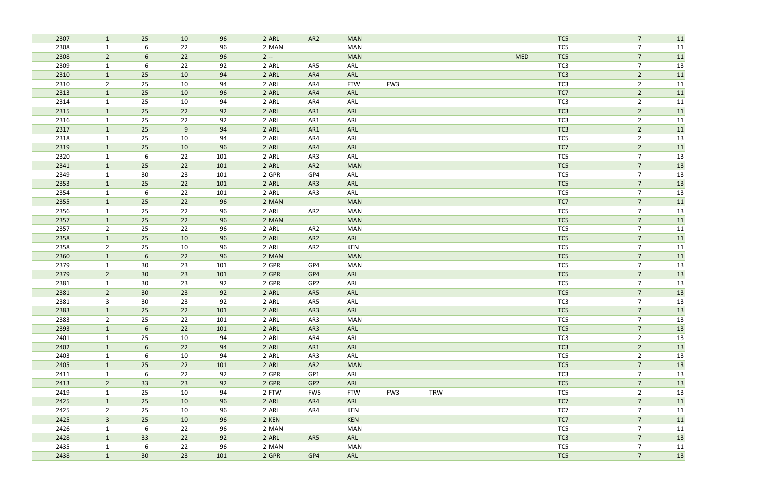| 2307 | $\mathbf{1}$   | 25               | 10 | 96  | 2 ARL | AR <sub>2</sub> | <b>MAN</b> |     |            |            | TC5             | $\overline{7}$ | 11 |
|------|----------------|------------------|----|-----|-------|-----------------|------------|-----|------------|------------|-----------------|----------------|----|
| 2308 | $\mathbf{1}$   | 6                | 22 | 96  | 2 MAN |                 | <b>MAN</b> |     |            |            | TC5             | $\overline{7}$ | 11 |
| 2308 | $2^{\circ}$    | $6\phantom{.}6$  | 22 | 96  | $2 -$ |                 | <b>MAN</b> |     |            | <b>MED</b> | TC5             | $\overline{7}$ | 11 |
| 2309 | $\mathbf{1}$   | 6                | 22 | 92  | 2 ARL | AR5             | ARL        |     |            |            | TC <sub>3</sub> | $\overline{7}$ | 13 |
| 2310 | $\mathbf{1}$   | 25               | 10 | 94  | 2 ARL | AR4             | ARL        |     |            |            | TC <sub>3</sub> | $\overline{2}$ | 11 |
| 2310 | $\overline{2}$ | 25               | 10 | 94  | 2 ARL | AR4             | <b>FTW</b> | FW3 |            |            | TC <sub>3</sub> | $\overline{2}$ | 11 |
| 2313 | $\mathbf{1}$   | 25               | 10 | 96  | 2 ARL | AR4             | ARL        |     |            |            | TC7             | $\overline{2}$ | 11 |
| 2314 | $\mathbf{1}$   | 25               | 10 | 94  | 2 ARL | AR4             | ARL        |     |            |            | TC <sub>3</sub> | $\overline{2}$ | 11 |
| 2315 | $\mathbf{1}$   | 25               | 22 | 92  | 2 ARL | AR1             | ARL        |     |            |            | TC <sub>3</sub> | $\overline{2}$ | 11 |
| 2316 | $\mathbf{1}$   | 25               | 22 | 92  | 2 ARL | AR1             | ARL        |     |            |            | TC3             | $\overline{2}$ | 11 |
| 2317 | $\mathbf{1}$   | 25               | 9  | 94  | 2 ARL | AR1             | ARL        |     |            |            | TC <sub>3</sub> | $\overline{2}$ | 11 |
| 2318 | $\mathbf{1}$   | 25               | 10 | 94  | 2 ARL | AR4             | ARL        |     |            |            | TC5             | $\overline{2}$ | 13 |
| 2319 | $\mathbf{1}$   | 25               | 10 | 96  | 2 ARL | AR4             | ARL        |     |            |            | TC7             | $\overline{2}$ | 11 |
| 2320 | $\mathbf{1}$   | 6                | 22 | 101 | 2 ARL | AR3             | ARL        |     |            |            | TC5             | $\overline{7}$ | 13 |
| 2341 | $\mathbf{1}$   | 25               | 22 | 101 | 2 ARL | AR <sub>2</sub> | <b>MAN</b> |     |            |            | TC5             | $\overline{7}$ | 13 |
| 2349 | $\mathbf{1}$   | 30               | 23 | 101 | 2 GPR | GP4             | ARL        |     |            |            | TC5             | $\overline{7}$ | 13 |
| 2353 | $\mathbf{1}$   | 25               | 22 | 101 | 2 ARL | AR3             | ARL        |     |            |            | TC5             | $\overline{7}$ | 13 |
| 2354 | $\mathbf{1}$   | 6                | 22 | 101 | 2 ARL | AR3             | ARL        |     |            |            | TC5             | $\overline{7}$ | 13 |
| 2355 | $\mathbf{1}$   | 25               | 22 | 96  | 2 MAN |                 | <b>MAN</b> |     |            |            | TC7             | $\overline{7}$ | 11 |
| 2356 | $\mathbf{1}$   | 25               | 22 | 96  | 2 ARL | AR <sub>2</sub> | <b>MAN</b> |     |            |            | TC5             | $\overline{7}$ | 13 |
| 2357 | $\mathbf{1}$   | 25               | 22 | 96  | 2 MAN |                 | <b>MAN</b> |     |            |            | TC5             | $\overline{7}$ | 11 |
| 2357 | $2^{\circ}$    | 25               | 22 | 96  | 2 ARL | AR <sub>2</sub> | <b>MAN</b> |     |            |            | TC5             | $\overline{7}$ | 11 |
| 2358 | $\mathbf{1}$   | 25               | 10 | 96  | 2 ARL | AR <sub>2</sub> | ARL        |     |            |            | TC5             | $\overline{7}$ | 11 |
| 2358 | $2^{\circ}$    | 25               | 10 | 96  | 2 ARL | AR <sub>2</sub> | KEN        |     |            |            | TC5             | $\overline{7}$ | 11 |
| 2360 | $\mathbf{1}$   | $\boldsymbol{6}$ | 22 | 96  | 2 MAN |                 | <b>MAN</b> |     |            |            | TC5             | $\overline{7}$ | 11 |
| 2379 | $\mathbf{1}$   | 30 <sup>°</sup>  | 23 | 101 | 2 GPR | GP4             | <b>MAN</b> |     |            |            | TC5             | $\overline{7}$ | 13 |
| 2379 | $\overline{2}$ | 30 <sup>°</sup>  | 23 | 101 | 2 GPR | GP4             | ARL        |     |            |            | TC5             | $\overline{7}$ | 13 |
| 2381 | $\mathbf{1}$   | 30               | 23 | 92  | 2 GPR | GP <sub>2</sub> | ARL        |     |            |            | TC5             | $\overline{7}$ | 13 |
| 2381 | $\overline{2}$ | 30 <sup>°</sup>  | 23 | 92  | 2 ARL | AR5             | ARL        |     |            |            | TC5             | $\overline{7}$ | 13 |
| 2381 | $\mathbf{3}$   | 30               | 23 | 92  | 2 ARL | AR5             | ARL        |     |            |            | TC <sub>3</sub> | $\overline{7}$ | 13 |
| 2383 | $\mathbf{1}$   | 25               | 22 | 101 | 2 ARL | AR3             | ARL        |     |            |            | TC5             | $\overline{7}$ | 13 |
| 2383 | $\overline{2}$ | 25               | 22 | 101 | 2 ARL | AR3             | <b>MAN</b> |     |            |            | TC5             | $\overline{7}$ | 13 |
| 2393 | $\mathbf{1}$   | $6\phantom{1}$   | 22 | 101 | 2 ARL | AR3             | ARL        |     |            |            | TC5             | $\overline{7}$ | 13 |
| 2401 | $\mathbf{1}$   | 25               | 10 | 94  | 2 ARL | AR4             | ARL        |     |            |            | TC <sub>3</sub> | $\overline{2}$ | 13 |
| 2402 | $\mathbf{1}$   | $6\phantom{1}$   | 22 | 94  | 2 ARL | AR1             | ARL        |     |            |            | TC3             | $\overline{2}$ | 13 |
| 2403 | $\mathbf{1}$   | 6                | 10 | 94  | 2 ARL | AR3             | ARL        |     |            |            | TC5             | $\overline{2}$ | 13 |
| 2405 | $\mathbf{1}$   | 25               | 22 | 101 | 2 ARL | AR <sub>2</sub> | <b>MAN</b> |     |            |            | TC5             | $\overline{7}$ | 13 |
| 2411 | 1              | 6                | 22 | 92  | 2 GPR | GP1             | ARL        |     |            |            | TC <sub>3</sub> | $\overline{7}$ | 13 |
| 2413 | $2^{\circ}$    | 33               | 23 | 92  | 2 GPR | GP <sub>2</sub> | ARL        |     |            |            | TC5             | $\overline{7}$ | 13 |
| 2419 | $\mathbf{1}$   | 25               | 10 | 94  | 2 FTW | FW5             | <b>FTW</b> | FW3 | <b>TRW</b> |            | TC5             | $\overline{2}$ | 13 |
| 2425 | $\mathbf{1}$   | 25               | 10 | 96  | 2 ARL | AR4             | ARL        |     |            |            | TC7             | $\overline{7}$ | 11 |
| 2425 | $2^{\circ}$    | 25               | 10 | 96  | 2 ARL | AR4             | <b>KEN</b> |     |            |            | TC7             | $\overline{7}$ | 11 |
| 2425 | 3 <sup>1</sup> | 25               | 10 | 96  | 2 KEN |                 | <b>KEN</b> |     |            |            | TC7             | $\overline{7}$ | 11 |
| 2426 | $\mathbf{1}$   | 6                | 22 | 96  | 2 MAN |                 | <b>MAN</b> |     |            |            | TC5             | $\overline{7}$ | 11 |
| 2428 | $\mathbf{1}$   | 33               | 22 | 92  | 2 ARL | AR5             | ARL        |     |            |            | TC <sub>3</sub> | $\overline{7}$ | 13 |
| 2435 | $\mathbf{1}$   | 6                | 22 | 96  | 2 MAN |                 | <b>MAN</b> |     |            |            | TC5             | $\overline{7}$ | 11 |
| 2438 | $\mathbf{1}$   | 30 <sup>°</sup>  | 23 | 101 | 2 GPR | GP4             | ARL        |     |            |            | TC5             | $\overline{7}$ | 13 |
|      |                |                  |    |     |       |                 |            |     |            |            |                 |                |    |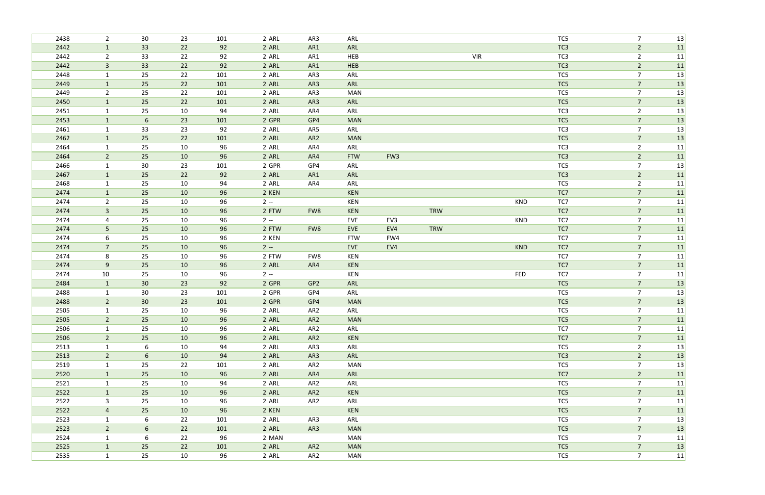| 2438         | $2^{\circ}$                    | 30              | 23       | 101      | 2 ARL          | AR3             | ARL               |                 |            |            |            | TC5             | $\overline{7}$                   | 13       |
|--------------|--------------------------------|-----------------|----------|----------|----------------|-----------------|-------------------|-----------------|------------|------------|------------|-----------------|----------------------------------|----------|
| 2442         | $\mathbf{1}$                   | 33              | 22       | 92       | 2 ARL          | AR1             | ARL               |                 |            |            |            | TC <sub>3</sub> | $\overline{2}$                   | 11       |
| 2442         | $\overline{2}$                 | 33              | 22       | 92       | 2 ARL          | AR1             | HEB               |                 |            | <b>VIR</b> |            | TC3             | $\overline{2}$                   | 11       |
| 2442         | $\overline{3}$                 | 33              | 22       | 92       | 2 ARL          | AR1             | HEB               |                 |            |            |            | TC <sub>3</sub> | $\overline{2}$                   | 11       |
| 2448         | $\mathbf{1}$                   | 25              | 22       | 101      | 2 ARL          | AR3             | ARL               |                 |            |            |            | TC5             | $\overline{7}$                   | 13       |
| 2449         | $\mathbf{1}$                   | 25              | 22       | 101      | 2 ARL          | AR3             | ARL               |                 |            |            |            | TC5             | $\overline{7}$                   | 13       |
| 2449         | $\overline{2}$                 | 25              | 22       | 101      | 2 ARL          | AR3             | <b>MAN</b>        |                 |            |            |            | TC5             | $\overline{7}$                   | 13       |
| 2450         | $\mathbf{1}$                   | 25              | 22       | 101      | 2 ARL          | AR3             | ARL               |                 |            |            |            | TC5             | $\overline{7}$                   | 13       |
| 2451         | $\mathbf{1}$                   | 25              | 10       | 94       | 2 ARL          | AR4             | ARL               |                 |            |            |            | TC <sub>3</sub> | $\overline{2}$                   | 13       |
| 2453         | $\mathbf{1}$                   | $6\phantom{1}6$ | 23       | 101      | 2 GPR          | GP4             | <b>MAN</b>        |                 |            |            |            | TC5             | $\overline{7}$                   | 13       |
| 2461         | $\mathbf{1}$                   | 33              | 23       | 92       | 2 ARL          | AR5             | ARL               |                 |            |            |            | TC <sub>3</sub> | $\overline{7}$                   | 13       |
| 2462         | $\mathbf{1}$                   | 25              | 22       | 101      | 2 ARL          | AR <sub>2</sub> | <b>MAN</b>        |                 |            |            |            | TC5             | $\overline{7}$                   | 13       |
| 2464         | $\mathbf{1}$                   | 25              | 10       | 96       | 2 ARL          | AR4             | ARL               |                 |            |            |            | TC3             | $\overline{2}$                   | 11       |
| 2464         | $\overline{2}$                 | 25              | 10       | 96       | 2 ARL          | AR4             | <b>FTW</b>        | FW <sub>3</sub> |            |            |            | TC <sub>3</sub> | $\overline{2}$                   | 11       |
| 2466         | $\mathbf{1}$                   | 30              | 23       | 101      | 2 GPR          | GP4             | ARL               |                 |            |            |            | TC5             | $\overline{7}$                   | 13       |
| 2467         | $\mathbf{1}$                   | 25              | 22       | 92       | 2 ARL          | AR1             | ARL               |                 |            |            |            | TC <sub>3</sub> | $\overline{2}$                   | 11       |
| 2468         | $\mathbf{1}$                   | 25              | 10       | 94       | 2 ARL          | AR4             | ARL               |                 |            |            |            | TC5             | $\overline{2}$                   | 11       |
| 2474         | $\mathbf{1}$                   | 25              | 10       | 96       | 2 KEN          |                 | KEN               |                 |            |            |            | TC7             | $\overline{7}$                   | 11       |
| 2474<br>2474 | $\overline{2}$<br>$\mathbf{3}$ | 25<br>25        | 10<br>10 | 96       | $2 -$          |                 | KEN               |                 | TRW        |            | <b>KND</b> | TC7<br>TC7      | $\overline{7}$<br>$\overline{7}$ | 11       |
| 2474         |                                | 25              | 10       | 96<br>96 | 2 FTW<br>$2 -$ | FW8             | <b>KEN</b><br>EVE | EV3             |            |            | KND        | TC7             | $\overline{7}$                   | 11<br>11 |
| 2474         | 4<br>$5\phantom{.}$            | 25              | 10       | 96       | 2 FTW          | FW8             | EVE               | EV4             | <b>TRW</b> |            |            | TC7             | $\overline{7}$                   | 11       |
| 2474         | 6                              | 25              | 10       | 96       | 2 KEN          |                 | <b>FTW</b>        | FW4             |            |            |            | TC7             | $\overline{7}$                   | 11       |
| 2474         | $7\overline{ }$                | 25              | 10       | 96       | $2 -$          |                 | EVE               | EV4             |            |            | <b>KND</b> | TC7             | $\overline{7}$                   | 11       |
| 2474         | 8                              | 25              | 10       | 96       | 2 FTW          | FW8             | KEN               |                 |            |            |            | TC7             | $\overline{7}$                   | 11       |
| 2474         | 9                              | 25              | 10       | 96       | 2 ARL          | AR4             | <b>KEN</b>        |                 |            |            |            | TC7             | $\overline{7}$                   | 11       |
| 2474         | 10                             | 25              | 10       | 96       | $2 -$          |                 | KEN               |                 |            |            | <b>FED</b> | TC7             | $\overline{7}$                   | 11       |
| 2484         | $\mathbf{1}$                   | 30              | 23       | 92       | 2 GPR          | GP <sub>2</sub> | ARL               |                 |            |            |            | TC5             | $\overline{7}$                   | 13       |
| 2488         | $\mathbf{1}$                   | 30              | 23       | 101      | 2 GPR          | GP4             | ARL               |                 |            |            |            | TC5             | $\overline{7}$                   | 13       |
| 2488         | $2^{\circ}$                    | 30              | 23       | 101      | 2 GPR          | GP4             | <b>MAN</b>        |                 |            |            |            | TC5             | $\overline{7}$                   | 13       |
| 2505         |                                | 25              | 10       | 96       | 2 ARL          | AR <sub>2</sub> | ARL               |                 |            |            |            | TC5             | $\overline{7}$                   | 11       |
| 2505         | 2 <sup>7</sup>                 | 25              | 10       | 96       | 2 ARL          | AR <sub>2</sub> | <b>MAN</b>        |                 |            |            |            | TC5             | $7\overline{ }$                  | 11       |
| 2506         | $\mathbf{1}$                   | 25              | 10       | 96       | 2 ARL          | AR <sub>2</sub> | ARL               |                 |            |            |            | TC7             | $\overline{7}$                   | 11       |
| 2506         | $2^{\circ}$                    | 25              | 10       | 96       | 2 ARL          | AR <sub>2</sub> | <b>KEN</b>        |                 |            |            |            | TC7             | $\overline{7}$                   | 11       |
| 2513         | $\mathbf{1}$                   | 6               | 10       | 94       | 2 ARL          | AR3             | ARL               |                 |            |            |            | TC5             | $\overline{2}$                   | 13       |
| 2513         | $2^{\circ}$                    | $6\overline{6}$ | 10       | 94       | 2 ARL          | AR3             | ARL               |                 |            |            |            | TC3             | $\overline{2}$                   | 13       |
| 2519         | $\mathbf{1}$                   | 25              | 22       | 101      | 2 ARL          | AR <sub>2</sub> | <b>MAN</b>        |                 |            |            |            | TC5             | $\overline{7}$                   | 13       |
| 2520         | $\mathbf{1}$                   | 25              | 10       | 96       | 2 ARL          | AR4             | ARL               |                 |            |            |            | TC7             | $\overline{2}$                   | 11       |
| 2521         | $\mathbf{1}$                   | 25              | 10       | 94       | 2 ARL          | AR <sub>2</sub> | ARL               |                 |            |            |            | TC5             | $\overline{7}$                   | 11       |
| 2522         | $\mathbf{1}$                   | 25              | 10       | 96       | 2 ARL          | AR <sub>2</sub> | <b>KEN</b>        |                 |            |            |            | TC5             | $\overline{7}$                   | 11       |
| 2522         | $\mathbf{3}$                   | 25              | 10       | 96       | 2 ARL          | AR <sub>2</sub> | ARL               |                 |            |            |            | TC5             | $\overline{7}$                   | 11       |
| 2522         | $\overline{4}$                 | 25              | 10       | 96       | 2 KEN          |                 | <b>KEN</b>        |                 |            |            |            | TC5             | $\overline{7}$                   | 11       |
| 2523         | $\mathbf{1}$                   | 6               | 22       | 101      | 2 ARL          | AR3             | ARL               |                 |            |            |            | TC5             | $\overline{7}$                   | 13       |
| 2523         | $2^{\circ}$                    | $6\overline{6}$ | 22       | 101      | 2 ARL          | AR3             | <b>MAN</b>        |                 |            |            |            | TC5             | $\overline{7}$                   | 13       |
| 2524         | $\mathbf{1}$                   | 6               | 22       | 96       | 2 MAN          |                 | <b>MAN</b>        |                 |            |            |            | TC5             | $\overline{7}$                   | 11       |
| 2525         | $\mathbf{1}$                   | 25              | 22       | 101      | 2 ARL          | AR <sub>2</sub> | <b>MAN</b>        |                 |            |            |            | TC5             | $\overline{7}$                   | 13       |
| 2535         | $\mathbf{1}$                   | 25              | 10       | 96       | 2 ARL          | AR <sub>2</sub> | <b>MAN</b>        |                 |            |            |            | TC5             | $7\overline{ }$                  | 11       |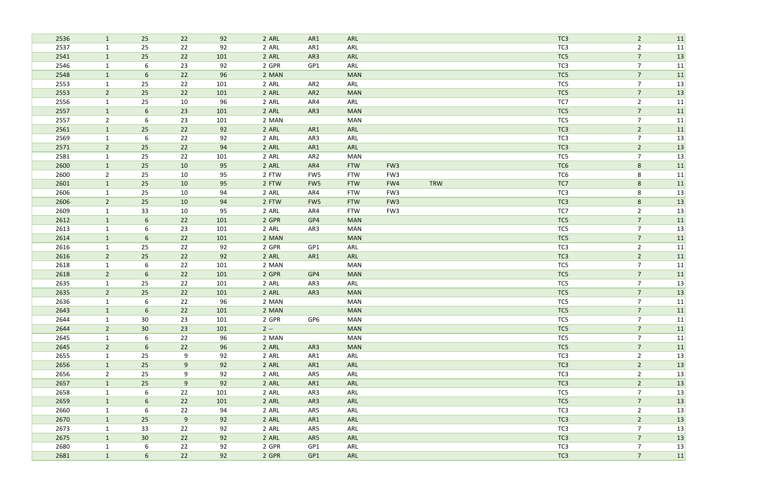| 2536 | $\mathbf{1}$   | 25              | 22 | 92  | 2 ARL | AR1             | ARL        |                 |            | TC <sub>3</sub> | $\overline{2}$ | 11 |
|------|----------------|-----------------|----|-----|-------|-----------------|------------|-----------------|------------|-----------------|----------------|----|
| 2537 | $\mathbf{1}$   | 25              | 22 | 92  | 2 ARL | AR1             | ARL        |                 |            | TC <sub>3</sub> | $\overline{2}$ | 11 |
| 2541 | $\mathbf{1}$   | 25              | 22 | 101 | 2 ARL | AR3             | ARL        |                 |            | TC5             | $\overline{7}$ | 13 |
| 2546 | $\mathbf{1}$   | 6               | 23 | 92  | 2 GPR | GP1             | ARL        |                 |            | TC <sub>3</sub> | $\overline{7}$ | 11 |
| 2548 | $\mathbf{1}$   | 6               | 22 | 96  | 2 MAN |                 | <b>MAN</b> |                 |            | TC5             | $\overline{7}$ | 11 |
| 2553 | $\mathbf{1}$   | 25              | 22 | 101 | 2 ARL | AR <sub>2</sub> | ARL        |                 |            | TC5             | $\overline{7}$ | 13 |
| 2553 | $\overline{2}$ | 25              | 22 | 101 | 2 ARL | AR <sub>2</sub> | <b>MAN</b> |                 |            | TC5             | $\overline{7}$ | 13 |
| 2556 | $\mathbf{1}$   | 25              | 10 | 96  | 2 ARL | AR4             | ARL        |                 |            | TC7             | $\overline{2}$ | 11 |
| 2557 | $\mathbf{1}$   | $6\phantom{1}6$ | 23 | 101 | 2 ARL | AR3             | <b>MAN</b> |                 |            | TC5             | $\overline{7}$ | 11 |
| 2557 | $\overline{2}$ | 6               | 23 | 101 | 2 MAN |                 | <b>MAN</b> |                 |            | TC5             | $\overline{7}$ | 11 |
| 2561 | $\mathbf{1}$   | 25              | 22 | 92  | 2 ARL | AR1             | ARL        |                 |            | TC <sub>3</sub> | $\overline{2}$ | 11 |
| 2569 | 1              | 6               | 22 | 92  | 2 ARL | AR3             | ARL        |                 |            | TC <sub>3</sub> | $\overline{7}$ | 13 |
| 2571 | $2^{\circ}$    | 25              | 22 | 94  | 2 ARL | AR1             | ARL        |                 |            | TC <sub>3</sub> | $\overline{2}$ | 13 |
| 2581 | $\mathbf{1}$   | 25              | 22 | 101 | 2 ARL | AR <sub>2</sub> | <b>MAN</b> |                 |            | TC5             | $\overline{7}$ | 13 |
| 2600 | $\mathbf{1}$   | 25              | 10 | 95  | 2 ARL | AR4             | <b>FTW</b> | FW <sub>3</sub> |            | TC <sub>6</sub> | 8              | 11 |
| 2600 | $\overline{2}$ | 25              | 10 | 95  | 2 FTW | FW5             | <b>FTW</b> | FW <sub>3</sub> |            | TC <sub>6</sub> | 8              | 11 |
| 2601 | $\mathbf{1}$   | 25              | 10 | 95  | 2 FTW | FW <sub>5</sub> | <b>FTW</b> | FW4             | <b>TRW</b> | TC7             | $8\phantom{1}$ | 11 |
| 2606 | $\mathbf{1}$   | 25              | 10 | 94  | 2 ARL | AR4             | <b>FTW</b> | FW <sub>3</sub> |            | TC <sub>3</sub> | 8              | 13 |
| 2606 | $2^{\circ}$    | 25              | 10 | 94  | 2 FTW | FW <sub>5</sub> | <b>FTW</b> | FW <sub>3</sub> |            | TC <sub>3</sub> | $8\phantom{1}$ | 13 |
| 2609 | $\mathbf{1}$   | 33              | 10 | 95  | 2 ARL | AR4             | <b>FTW</b> | FW <sub>3</sub> |            | TC7             | $\overline{2}$ | 13 |
| 2612 | $\mathbf{1}$   | 6               | 22 | 101 | 2 GPR | GP4             | <b>MAN</b> |                 |            | TC5             | $\overline{7}$ | 11 |
| 2613 | $\mathbf{1}$   | 6               | 23 | 101 | 2 ARL | AR3             | <b>MAN</b> |                 |            | TC5             | $\overline{7}$ | 13 |
| 2614 | $\mathbf{1}$   | 6               | 22 | 101 | 2 MAN |                 | <b>MAN</b> |                 |            | TC5             | $\overline{7}$ | 11 |
| 2616 | $\mathbf{1}$   | 25              | 22 | 92  | 2 GPR | GP1             | ARL        |                 |            | TC3             | $\overline{2}$ | 11 |
| 2616 | $2^{\circ}$    | 25              | 22 | 92  | 2 ARL | AR1             | ARL        |                 |            | TC <sub>3</sub> | $\overline{2}$ | 11 |
| 2618 | $\mathbf{1}$   | 6               | 22 | 101 | 2 MAN |                 | <b>MAN</b> |                 |            | TC5             | $\overline{7}$ | 11 |
| 2618 | $2^{\circ}$    | 6               | 22 | 101 | 2 GPR | GP4             | <b>MAN</b> |                 |            | TC5             | $\overline{7}$ | 11 |
| 2635 | $\mathbf{1}$   | 25              | 22 | 101 | 2 ARL | AR3             | ARL        |                 |            | TC5             | $\overline{7}$ | 13 |
| 2635 | $\overline{2}$ | 25              | 22 | 101 | 2 ARL | AR3             | <b>MAN</b> |                 |            | TC5             | $\overline{7}$ | 13 |
| 2636 | $\mathbf{1}$   | 6               | 22 | 96  | 2 MAN |                 | <b>MAN</b> |                 |            | TC5             | $\overline{7}$ | 11 |
| 2643 |                | 6               | 22 | 101 | 2 MAN |                 | <b>MAN</b> |                 |            | TC5             | $\overline{7}$ | 11 |
| 2644 | 1              | 30              | 23 | 101 | 2 GPR | GP6             | MAN        |                 |            | TC5             | $\overline{7}$ | 11 |
| 2644 | $2^{\circ}$    | 30 <sup>°</sup> | 23 | 101 | $2 -$ |                 | <b>MAN</b> |                 |            | TC5             | $\overline{7}$ | 11 |
| 2645 | $\mathbf{1}$   | 6               | 22 | 96  | 2 MAN |                 | <b>MAN</b> |                 |            | TC5             | $\overline{7}$ | 11 |
| 2645 | 2 <sup>7</sup> | 6               | 22 | 96  | 2 ARL | AR3             | <b>MAN</b> |                 |            | TC5             | $\overline{7}$ | 11 |
| 2655 | $\mathbf{1}$   | 25              | 9  | 92  | 2 ARL | AR1             | ARL        |                 |            | TC3             | $\overline{2}$ | 13 |
| 2656 | $\mathbf{1}$   | 25              | 9  | 92  | 2 ARL | AR1             | ARL        |                 |            | TC <sub>3</sub> | $\overline{2}$ | 13 |
| 2656 | $\overline{2}$ | 25              | 9  | 92  | 2 ARL | AR5             | ARL        |                 |            | TC <sub>3</sub> | $\overline{2}$ | 13 |
| 2657 | $\mathbf{1}$   | 25              | 9  | 92  | 2 ARL | AR1             | ARL        |                 |            | TC <sub>3</sub> | $\overline{2}$ | 13 |
| 2658 | $\mathbf{1}$   | 6               | 22 | 101 | 2 ARL | AR3             | ARL        |                 |            | TC5             | $\overline{7}$ | 13 |
| 2659 | $\mathbf{1}$   | $6\overline{6}$ | 22 | 101 | 2 ARL | AR3             | ARL        |                 |            | TC5             | $\overline{7}$ | 13 |
| 2660 | $\mathbf{1}$   | 6               | 22 | 94  | 2 ARL | AR5             | ARL        |                 |            | TC <sub>3</sub> | $\overline{2}$ | 13 |
| 2670 | $\mathbf{1}$   | 25              | 9  | 92  | 2 ARL | AR1             | ARL        |                 |            | TC <sub>3</sub> | $\overline{2}$ | 13 |
| 2673 | $\mathbf{1}$   | 33              | 22 | 92  | 2 ARL | AR5             | ARL        |                 |            | TC <sub>3</sub> | $\overline{7}$ | 13 |
| 2675 | $\mathbf{1}$   | 30 <sup>°</sup> | 22 | 92  | 2 ARL | AR5             | ARL        |                 |            | TC <sub>3</sub> | $\overline{7}$ | 13 |
| 2680 | $\mathbf{1}$   | 6               | 22 | 92  | 2 GPR | GP1             | ARL        |                 |            | TC <sub>3</sub> | $\overline{7}$ | 13 |
| 2681 | $\mathbf{1}$   | $6\overline{6}$ | 22 | 92  | 2 GPR | GP1             | ARL        |                 |            | TC <sub>3</sub> | $\overline{7}$ | 11 |
|      |                |                 |    |     |       |                 |            |                 |            |                 |                |    |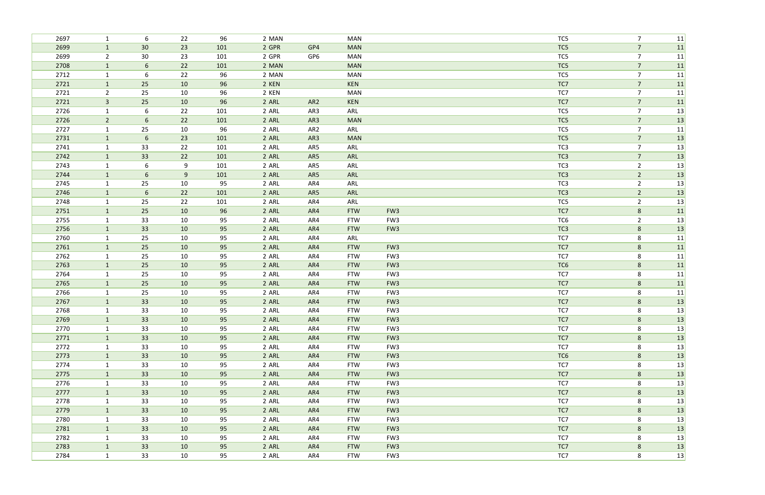| 2697         | 1                            | 6               | 22       | 96       | 2 MAN          |                 | <b>MAN</b>               |                                    | TC5             | $\overline{7}$      | 11       |
|--------------|------------------------------|-----------------|----------|----------|----------------|-----------------|--------------------------|------------------------------------|-----------------|---------------------|----------|
| 2699         | $\mathbf{1}$                 | 30              | 23       | 101      | 2 GPR          | GP4             | <b>MAN</b>               |                                    | TC5             | $\overline{7}$      | 11       |
| 2699         | $2^{\circ}$                  | 30              | 23       | 101      | 2 GPR          | GP <sub>6</sub> | <b>MAN</b>               |                                    | TC5             | $\overline{7}$      | 11       |
| 2708         | $\mathbf{1}$                 | $6\phantom{1}6$ | 22       | 101      | 2 MAN          |                 | <b>MAN</b>               |                                    | TC5             | $\overline{7}$      | 11       |
| 2712         | $\mathbf{1}$                 | 6               | 22       | 96       | 2 MAN          |                 | <b>MAN</b>               |                                    | TC5             | $\overline{7}$      | 11       |
| 2721         | $\mathbf{1}$                 | 25              | 10       | 96       | 2 KEN          |                 | KEN                      |                                    | TC7             | $\overline{7}$      | 11       |
| 2721         | $\overline{2}$               | 25              | 10       | 96       | 2 KEN          |                 | <b>MAN</b>               |                                    | TC7             | $\overline{7}$      | 11       |
| 2721         | $\mathbf{3}$                 | 25              | 10       | 96       | 2 ARL          | AR <sub>2</sub> | <b>KEN</b>               |                                    | TC7             | $\overline{7}$      | 11       |
| 2726         | $\mathbf{1}$                 | 6               | 22       | 101      | 2 ARL          | AR3             | ARL                      |                                    | TC5             | $\overline{7}$      | 13       |
| 2726         | $2^{\circ}$                  | 6               | 22       | 101      | 2 ARL          | AR3             | <b>MAN</b>               |                                    | TC5             | $\overline{7}$      | 13       |
| 2727         | $\mathbf{1}$                 | 25              | 10       | 96       | 2 ARL          | AR <sub>2</sub> | ARL                      |                                    | TC5             | $\overline{7}$      | 11       |
| 2731         | $\mathbf{1}$                 | 6               | 23       | 101      | 2 ARL          | AR3             | <b>MAN</b>               |                                    | TC5             | $\overline{7}$      | 13       |
| 2741         | $\mathbf{1}$                 | 33              | 22       | 101      | 2 ARL          | AR5             | ARL                      |                                    | TC <sub>3</sub> | $\overline{7}$      | 13       |
| 2742         | $\mathbf{1}$                 | 33              | 22       | 101      | 2 ARL          | AR5             | ARL                      |                                    | TC <sub>3</sub> | $\overline{7}$      | 13       |
| 2743         | $\mathbf{1}$                 | 6               | 9        | 101      | 2 ARL          | AR5             | ARL                      |                                    | TC <sub>3</sub> | $\overline{2}$      | 13       |
| 2744         | $\mathbf{1}$                 | 6               | 9        | 101      | 2 ARL          | AR5             | ARL                      |                                    | TC <sub>3</sub> | $\overline{2}$      | 13       |
| 2745         | $\mathbf{1}$                 | 25              | 10       | 95       | 2 ARL          | AR4             | ARL                      |                                    | TC <sub>3</sub> | $\overline{2}$      | 13       |
| 2746         | $\mathbf{1}$                 | $6\phantom{1}6$ | 22       | 101      | 2 ARL          | AR5             | ARL                      |                                    | TC <sub>3</sub> | $\overline{2}$      | 13       |
| 2748         | 1                            | 25              | 22       | 101      | 2 ARL          | AR4             | ARL                      |                                    | TC5             | $\overline{2}$      | 13       |
| 2751         | $\mathbf{1}$                 | 25              | 10       | 96       | 2 ARL          | AR4             | <b>FTW</b>               | FW <sub>3</sub>                    | TC7             | $8\phantom{1}$      | 11       |
| 2755         | $\mathbf{1}$                 | 33              | 10       | 95       | 2 ARL          | AR4             | <b>FTW</b>               | FW <sub>3</sub>                    | TC <sub>6</sub> | $\overline{2}$      | 13       |
| 2756         | $\mathbf{1}$                 | 33              | 10       | 95       | 2 ARL          | AR4             | <b>FTW</b>               | FW <sub>3</sub>                    | TC3             | 8                   | 13       |
| 2760         | $\mathbf{1}$                 | 25              | 10       | 95       | 2 ARL          | AR4             | ARL                      |                                    | TC7             | 8                   | 11       |
| 2761         | $\mathbf{1}$                 | 25              | 10       | 95       | 2 ARL          | AR4             | <b>FTW</b>               | FW <sub>3</sub>                    | TC7             | $8\phantom{1}$      | 11       |
| 2762<br>2763 | $\mathbf{1}$<br>$\mathbf{1}$ | 25<br>25        | 10<br>10 | 95       | 2 ARL<br>2 ARL | AR4<br>AR4      | <b>FTW</b><br><b>FTW</b> | FW <sub>3</sub><br>FW <sub>3</sub> | TC7<br>TC6      | 8<br>$8\phantom{1}$ | 11       |
| 2764         |                              | 25              | 10       | 95<br>95 | 2 ARL          | AR4             | <b>FTW</b>               | FW <sub>3</sub>                    | TC7             | 8                   | 11       |
| 2765         | $\mathbf{1}$<br>$\mathbf{1}$ | 25              | 10       | 95       | 2 ARL          | AR4             | <b>FTW</b>               | FW <sub>3</sub>                    | TC7             | $8\phantom{1}$      | 11<br>11 |
| 2766         | $\mathbf{1}$                 | 25              | 10       | 95       | 2 ARL          | AR4             | <b>FTW</b>               | FW <sub>3</sub>                    | TC7             | 8                   | 11       |
| 2767         | $\mathbf{1}$                 | 33              | 10       | 95       | 2 ARL          | AR4             | <b>FTW</b>               | FW <sub>3</sub>                    | TC7             | $\bf 8$             | 13       |
| 2768         |                              | 33              | 10       | 95       | 2 ARL          | AR4             | FTW                      | FW3                                | TC7             | 8                   | 13       |
| 2769         | $\mathbf{1}$                 | 33              | 10       | 95       | 2 ARL          | AR4             | <b>FTW</b>               | FW <sub>3</sub>                    | TC7             | 8                   | 13       |
| 2770         | $\mathbf{1}$                 | 33              | 10       | 95       | 2 ARL          | AR4             | <b>FTW</b>               | FW3                                | TC7             | 8                   | 13       |
| 2771         | $\mathbf{1}$                 | 33              | 10       | 95       | 2 ARL          | AR4             | <b>FTW</b>               | FW <sub>3</sub>                    | TC7             | 8                   | 13       |
| 2772         | $\mathbf{1}$                 | 33              | 10       | 95       | 2 ARL          | AR4             | <b>FTW</b>               | FW3                                | TC7             | 8                   | 13       |
| 2773         | $\mathbf{1}$                 | 33              | 10       | 95       | 2 ARL          | AR4             | <b>FTW</b>               | FW <sub>3</sub>                    | TC6             | 8                   | 13       |
| 2774         | $\mathbf{1}$                 | 33              | 10       | 95       | 2 ARL          | AR4             | <b>FTW</b>               | FW3                                | TC7             | 8                   | 13       |
| 2775         | $\mathbf{1}$                 | 33              | 10       | 95       | 2 ARL          | AR4             | <b>FTW</b>               | FW <sub>3</sub>                    | TC7             | 8                   | 13       |
| 2776         | $\mathbf{1}$                 | 33              | 10       | 95       | 2 ARL          | AR4             | <b>FTW</b>               | FW3                                | TC7             | 8                   | 13       |
| 2777         | $\vert$ 1                    | 33              | 10       | 95       | 2 ARL          | AR4             | <b>FTW</b>               | FW <sub>3</sub>                    | TC7             | 8                   | 13       |
| 2778         | $\mathbf{1}$                 | 33              | 10       | 95       | 2 ARL          | AR4             | <b>FTW</b>               | FW3                                | TC7             | 8                   | 13       |
| 2779         | $\mathbf{1}$                 | 33              | 10       | 95       | 2 ARL          | AR4             | <b>FTW</b>               | FW <sub>3</sub>                    | TC7             | $8\phantom{1}$      | 13       |
| 2780         | $\mathbf{1}$                 | 33              | 10       | 95       | 2 ARL          | AR4             | <b>FTW</b>               | FW3                                | TC7             | 8                   | 13       |
| 2781         | 1                            | 33              | 10       | 95       | 2 ARL          | AR4             | <b>FTW</b>               | FW <sub>3</sub>                    | TC7             | $8\phantom{1}$      | 13       |
| 2782         | $\mathbf{1}$                 | 33              | 10       | 95       | 2 ARL          | AR4             | <b>FTW</b>               | FW3                                | TC7             | 8                   | 13       |
| 2783         | $\mathbf{1}$                 | 33              | 10       | 95       | 2 ARL          | AR4             | <b>FTW</b>               | FW <sub>3</sub>                    | TC7             | 8                   | 13       |
| 2784         | $\mathbf{1}$                 | 33              | 10       | 95       | 2 ARL          | AR4             | <b>FTW</b>               | FW3                                | TC7             | 8                   | 13       |
|              |                              |                 |          |          |                |                 |                          |                                    |                 |                     |          |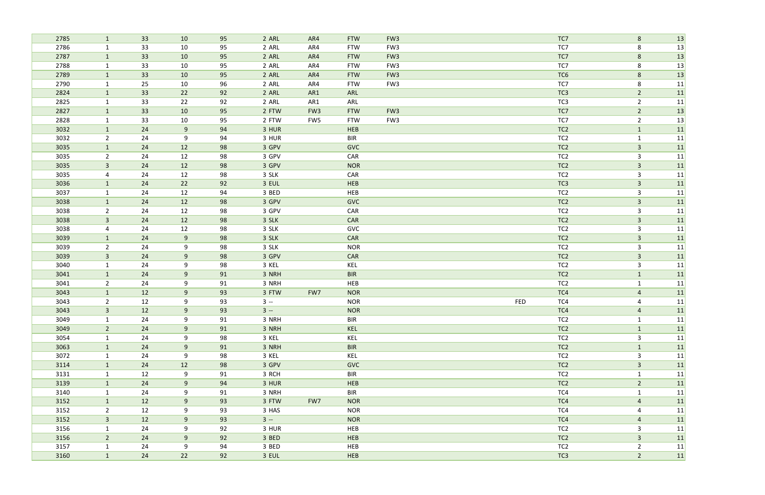| 2785 | $\mathbf{1}$   | 33 | 10 | 95 | 2 ARL | AR4             | <b>FTW</b> | FW <sub>3</sub> |            | TC7             | 8              | 13 |
|------|----------------|----|----|----|-------|-----------------|------------|-----------------|------------|-----------------|----------------|----|
| 2786 | $\mathbf{1}$   | 33 | 10 | 95 | 2 ARL | AR4             | <b>FTW</b> | FW3             |            | TC7             | 8              | 13 |
| 2787 | $\mathbf{1}$   | 33 | 10 | 95 | 2 ARL | AR4             | <b>FTW</b> | FW <sub>3</sub> |            | TC7             | $8\phantom{1}$ | 13 |
| 2788 | $\mathbf{1}$   | 33 | 10 | 95 | 2 ARL | AR4             | <b>FTW</b> | FW3             |            | TC7             | 8              | 13 |
| 2789 | $\mathbf{1}$   | 33 | 10 | 95 | 2 ARL | AR4             | <b>FTW</b> | FW <sub>3</sub> |            | TC <sub>6</sub> | $8\phantom{1}$ | 13 |
| 2790 | $\mathbf{1}$   | 25 | 10 | 96 | 2 ARL | AR4             | <b>FTW</b> | FW3             |            | TC7             | 8              | 11 |
| 2824 | $\mathbf{1}$   | 33 | 22 | 92 | 2 ARL | AR1             | ARL        |                 |            | TC <sub>3</sub> | $\overline{2}$ | 11 |
| 2825 | $\mathbf{1}$   | 33 | 22 | 92 | 2 ARL | AR1             | ARL        |                 |            | TC3             | $\overline{2}$ | 11 |
| 2827 | $\mathbf{1}$   | 33 | 10 | 95 | 2 FTW | FW <sub>3</sub> | <b>FTW</b> | FW <sub>3</sub> |            | TC7             | $\overline{2}$ | 13 |
| 2828 | $\mathbf{1}$   | 33 | 10 | 95 | 2 FTW | FW5             | <b>FTW</b> | FW3             |            | TC7             | $\overline{2}$ | 13 |
| 3032 | $\mathbf{1}$   | 24 | 9  | 94 | 3 HUR |                 | HEB        |                 |            | TC <sub>2</sub> | $\mathbf{1}$   | 11 |
| 3032 | $\overline{2}$ | 24 | 9  | 94 | 3 HUR |                 | <b>BIR</b> |                 |            | TC <sub>2</sub> | $\mathbf{1}$   | 11 |
| 3035 | $\mathbf{1}$   | 24 | 12 | 98 | 3 GPV |                 | <b>GVC</b> |                 |            | TC <sub>2</sub> | $\mathbf{3}$   | 11 |
| 3035 | $2^{\circ}$    | 24 | 12 | 98 | 3 GPV |                 | CAR        |                 |            | TC <sub>2</sub> | $\mathbf{3}$   | 11 |
| 3035 | $\mathbf{3}$   | 24 | 12 | 98 | 3 GPV |                 | <b>NOR</b> |                 |            | TC <sub>2</sub> | $\mathbf{3}$   | 11 |
| 3035 | 4              | 24 | 12 | 98 | 3 SLK |                 | CAR        |                 |            | TC <sub>2</sub> | $\mathbf{3}$   | 11 |
| 3036 | $\mathbf{1}$   | 24 | 22 | 92 | 3 EUL |                 | HEB        |                 |            | TC <sub>3</sub> | $\mathbf{3}$   | 11 |
| 3037 | $\mathbf{1}$   | 24 | 12 | 94 | 3 BED |                 | HEB        |                 |            | TC <sub>2</sub> | $\mathbf{3}$   | 11 |
| 3038 | $\mathbf{1}$   | 24 | 12 | 98 | 3 GPV |                 | <b>GVC</b> |                 |            | TC <sub>2</sub> | $\mathbf{3}$   | 11 |
| 3038 | $\overline{2}$ | 24 | 12 | 98 | 3 GPV |                 | CAR        |                 |            | TC <sub>2</sub> | $\mathbf{3}$   | 11 |
| 3038 | $\mathbf{3}$   | 24 | 12 | 98 | 3 SLK |                 | <b>CAR</b> |                 |            | TC <sub>2</sub> | $\mathbf{3}$   | 11 |
| 3038 | $\overline{4}$ | 24 | 12 | 98 | 3 SLK |                 | GVC        |                 |            | TC <sub>2</sub> | $\overline{3}$ | 11 |
| 3039 | $\mathbf{1}$   | 24 | 9  | 98 | 3 SLK |                 | <b>CAR</b> |                 |            | TC <sub>2</sub> | $\mathbf{3}$   | 11 |
| 3039 | $\overline{2}$ | 24 | 9  | 98 | 3 SLK |                 | <b>NOR</b> |                 |            | TC <sub>2</sub> | 3              | 11 |
| 3039 | $\mathbf{3}$   | 24 | 9  | 98 | 3 GPV |                 | CAR        |                 |            | TC <sub>2</sub> | $\overline{3}$ | 11 |
| 3040 | $\mathbf{1}$   | 24 | 9  | 98 | 3 KEL |                 | KEL        |                 |            | TC <sub>2</sub> | $\mathbf{3}$   | 11 |
| 3041 | $\mathbf{1}$   | 24 | 9  | 91 | 3 NRH |                 | <b>BIR</b> |                 |            | TC <sub>2</sub> | $\mathbf{1}$   | 11 |
| 3041 | $\overline{2}$ | 24 | 9  | 91 | 3 NRH |                 | HEB        |                 |            | TC <sub>2</sub> | $\mathbf{1}$   | 11 |
| 3043 | $\mathbf{1}$   | 12 | 9  | 93 | 3 FTW | FW7             | <b>NOR</b> |                 |            | TC4             | $\overline{4}$ | 11 |
| 3043 | $\overline{2}$ | 12 | 9  | 93 | $3 -$ |                 | <b>NOR</b> |                 | <b>FED</b> | TC4             | 4              | 11 |
| 3043 | $\overline{3}$ | 12 | 9  | 93 | $3 -$ |                 | <b>NOR</b> |                 |            | TC4             | $\overline{4}$ | 11 |
| 3049 | $\mathbf{1}$   | 24 | 9  | 91 | 3 NRH |                 | <b>BIR</b> |                 |            | TC <sub>2</sub> | $\mathbf{1}$   | 11 |
| 3049 | $2^{\circ}$    | 24 | 9  | 91 | 3 NRH |                 | KEL        |                 |            | TC <sub>2</sub> | $\mathbf{1}$   | 11 |
| 3054 | $\mathbf{1}$   | 24 | 9  | 98 | 3 KEL |                 | KEL        |                 |            | TC <sub>2</sub> | $\mathbf{3}$   | 11 |
| 3063 | $\mathbf{1}$   | 24 | 9  | 91 | 3 NRH |                 | <b>BIR</b> |                 |            | TC <sub>2</sub> | $\mathbf{1}$   | 11 |
| 3072 | $\mathbf{1}$   | 24 | 9  | 98 | 3 KEL |                 | KEL        |                 |            | TC <sub>2</sub> | 3              | 11 |
| 3114 | 1              | 24 | 12 | 98 | 3 GPV |                 | <b>GVC</b> |                 |            | TC <sub>2</sub> | $\mathbf{3}$   | 11 |
| 3131 | $\mathbf{1}$   | 12 | 9  | 91 | 3 RCH |                 | <b>BIR</b> |                 |            | TC <sub>2</sub> | $\mathbf{1}$   | 11 |
| 3139 | $\mathbf{1}$   | 24 | 9  | 94 | 3 HUR |                 | <b>HEB</b> |                 |            | TC <sub>2</sub> | $\overline{2}$ | 11 |
| 3140 | $\mathbf{1}$   | 24 | 9  | 91 | 3 NRH |                 | <b>BIR</b> |                 |            | TC4             | $\mathbf{1}$   | 11 |
| 3152 | $\mathbf{1}$   | 12 | 9  | 93 | 3 FTW | FW7             | <b>NOR</b> |                 |            | TC4             | $\overline{4}$ | 11 |
| 3152 | $2^{\circ}$    | 12 | 9  | 93 | 3 HAS |                 | <b>NOR</b> |                 |            | TC4             | 4              | 11 |
| 3152 | $\mathbf{3}$   | 12 | 9  | 93 | $3 -$ |                 | <b>NOR</b> |                 |            | TC4             | $\overline{4}$ | 11 |
| 3156 | $\mathbf{1}$   | 24 | 9  | 92 | 3 HUR |                 | <b>HEB</b> |                 |            | TC <sub>2</sub> | 3              | 11 |
| 3156 | $2^{\circ}$    | 24 | 9  | 92 | 3 BED |                 | HEB        |                 |            | TC <sub>2</sub> | $\mathbf{3}$   | 11 |
| 3157 | $\mathbf{1}$   | 24 | 9  | 94 | 3 BED |                 | HEB        |                 |            | TC <sub>2</sub> | $\overline{2}$ | 11 |
| 3160 | $\mathbf{1}$   | 24 | 22 | 92 | 3 EUL |                 | HEB        |                 |            | TC3             | $\overline{2}$ | 11 |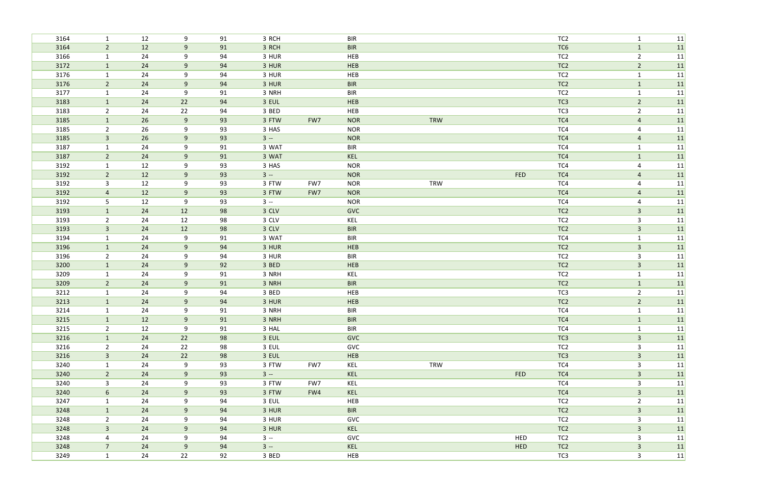| 3164         | $\mathbf{1}$                 | 12       | 9              | 91       | 3 RCH          |     | <b>BIR</b> |            |            | TC <sub>2</sub>                    | $\mathbf{1}$                     | 11       |
|--------------|------------------------------|----------|----------------|----------|----------------|-----|------------|------------|------------|------------------------------------|----------------------------------|----------|
| 3164         | $\overline{2}$               | 12       | 9              | 91       | 3 RCH          |     | <b>BIR</b> |            |            | TC6                                | $\mathbf{1}$                     | 11       |
| 3166         | $\mathbf{1}$                 | 24       | 9              | 94       | 3 HUR          |     | HEB        |            |            | TC <sub>2</sub>                    | $\overline{2}$                   | 11       |
| 3172         | $\mathbf{1}$                 | 24       | 9              | 94       | 3 HUR          |     | HEB        |            |            | TC <sub>2</sub>                    | $\overline{2}$                   | 11       |
| 3176         | $\mathbf{1}$                 | 24       | 9              | 94       | 3 HUR          |     | HEB        |            |            | TC <sub>2</sub>                    | $\mathbf{1}$                     | 11       |
| 3176         | $\overline{2}$               | 24       | 9              | 94       | 3 HUR          |     | <b>BIR</b> |            |            | TC <sub>2</sub>                    | $\mathbf{1}$                     | 11       |
| 3177         | $\mathbf{1}$                 | 24       | 9              | 91       | 3 NRH          |     | <b>BIR</b> |            |            | TC <sub>2</sub>                    | $\mathbf{1}$                     | 11       |
| 3183         | $\mathbf{1}$                 | 24       | 22             | 94       | 3 EUL          |     | HEB        |            |            | TC3                                | $\overline{2}$                   | 11       |
| 3183         | $\overline{2}$               | 24       | 22             | 94       | 3 BED          |     | HEB        |            |            | TC3                                | $\overline{2}$                   | 11       |
| 3185         | $\mathbf{1}$                 | 26       | 9              | 93       | 3 FTW          | FW7 | <b>NOR</b> | <b>TRW</b> |            | TC4                                | $\overline{a}$                   | 11       |
| 3185         | $2^{\circ}$                  | 26       | 9              | 93       | 3 HAS          |     | <b>NOR</b> |            |            | TC4                                | $\overline{4}$                   | 11       |
| 3185         | $\mathbf{3}$                 | 26       | 9              | 93       | $3 -$          |     | <b>NOR</b> |            |            | TC4                                | $\overline{a}$                   | 11       |
| 3187         | $\mathbf{1}$                 | 24       | 9              | 91       | 3 WAT          |     | <b>BIR</b> |            |            | TC4                                | $\mathbf{1}$                     | 11       |
| 3187         | $\overline{2}$               | 24       | 9              | 91       | 3 WAT          |     | KEL        |            |            | TC4                                | $\mathbf{1}$                     | 11       |
| 3192         | $\mathbf{1}$                 | 12       | 9              | 93       | 3 HAS          |     | <b>NOR</b> |            |            | TC4                                | $\overline{4}$                   | 11       |
| 3192         | $\overline{2}$               | 12       | 9              | 93       | $3 -$          |     | <b>NOR</b> |            | <b>FED</b> | TC4                                | $\overline{4}$                   | 11       |
| 3192         | $\mathbf{3}$                 | 12       | 9              | 93       | 3 FTW          | FW7 | <b>NOR</b> | <b>TRW</b> |            | TC4                                | $\overline{4}$                   | 11       |
| 3192         | $\overline{4}$               | 12       | 9              | 93       | 3 FTW          | FW7 | <b>NOR</b> |            |            | TC4                                | $\overline{4}$                   | 11       |
| 3192         | 5                            | 12       | 9              | 93       | $3 -$          |     | <b>NOR</b> |            |            | TC4                                | 4                                | 11       |
| 3193         | $\mathbf{1}$                 | 24       | 12             | 98       | 3 CLV          |     | GVC        |            |            | TC <sub>2</sub>                    | $\mathbf{3}$                     | 11       |
| 3193         | $\overline{2}$               | 24       | 12             | 98       | 3 CLV          |     | KEL        |            |            | TC <sub>2</sub>                    | $\overline{3}$                   | 11       |
| 3193         | $\overline{3}$               | 24       | 12             | 98       | 3 CLV          |     | <b>BIR</b> |            |            | TC <sub>2</sub>                    | $\mathbf{3}$                     | 11       |
| 3194         | $\mathbf{1}$                 | 24       | 9              | 91       | 3 WAT          |     | <b>BIR</b> |            |            | TC4                                | $\mathbf{1}$                     | 11       |
| 3196         | $\mathbf{1}$                 | 24       | 9              | 94       | 3 HUR          |     | HEB        |            |            | TC <sub>2</sub>                    | $\mathbf{3}$                     | 11       |
| 3196         | $2^{\circ}$                  | 24       | 9              | 94       | 3 HUR          |     | <b>BIR</b> |            |            | TC <sub>2</sub>                    | $\overline{3}$                   | 11       |
| 3200         | $\mathbf{1}$                 | 24       | 9              | 92       | 3 BED          |     | HEB        |            |            | TC <sub>2</sub>                    | $\mathbf{3}$                     | 11       |
| 3209         | $\mathbf{1}$                 | 24       | 9              | 91       | 3 NRH          |     | KEL        |            |            | TC <sub>2</sub>                    | $\mathbf{1}$                     | 11       |
| 3209         | $2^{\circ}$                  | 24       | 9<br>9         | 91       | 3 NRH          |     | <b>BIR</b> |            |            | TC <sub>2</sub>                    | $\mathbf{1}$                     | 11       |
| 3212<br>3213 | $\mathbf{1}$<br>$\mathbf{1}$ | 24<br>24 | 9              | 94<br>94 | 3 BED<br>3 HUR |     | HEB<br>HEB |            |            | TC <sub>3</sub><br>TC <sub>2</sub> | $\overline{2}$<br>$\overline{2}$ | 11<br>11 |
| 3214         |                              | 24       | 9              | 91       | 3 NRH          |     | <b>BIR</b> |            |            | TC4                                |                                  | 11       |
| 3215         | $\mathbf{1}$<br>$\mathbf{1}$ | 12       | 9              | 91       | 3 NRH          |     | <b>BIR</b> |            |            | TC4                                | $\mathbf{1}$<br>$\mathbf{1}$     | 11       |
| 3215         | $\overline{2}$               | 12       | 9              | 91       | 3 HAL          |     | <b>BIR</b> |            |            | TC4                                | $\mathbf{1}$                     | 11       |
| 3216         | 1                            | 24       | 22             | 98       | 3 EUL          |     | <b>GVC</b> |            |            | TC <sub>3</sub>                    | $\mathbf{3}$                     | 11       |
| 3216         | $2^{\circ}$                  | 24       | 22             | 98       | 3 EUL          |     | GVC        |            |            | TC <sub>2</sub>                    | $\mathbf{3}$                     | 11       |
| 3216         | 3 <sup>1</sup>               | 24       | 22             | 98       | 3 EUL          |     | HEB        |            |            | TC <sub>3</sub>                    | $\mathbf{3}$                     | 11       |
| 3240         | $\mathbf{1}$                 | 24       | 9              | 93       | 3 FTW          | FW7 | KEL        | TRW        |            | TC4                                | $\mathsf{3}$                     | 11       |
| 3240         | 2 <sup>7</sup>               | 24       | 9              | 93       | $3 -$          |     | KEL        |            | <b>FED</b> | TC4                                | $\mathbf{3}$                     | 11       |
| 3240         | $\mathbf{3}$                 | 24       | 9              | 93       | 3 FTW          | FW7 | KEL        |            |            | TC4                                | $\mathsf{3}$                     | 11       |
| 3240         | $6\overline{6}$              | 24       | 9              | 93       | 3 FTW          | FW4 | KEL        |            |            | TC4                                | $\overline{\mathbf{3}}$          | 11       |
| 3247         | $\mathbf{1}$                 | 24       | 9              | 94       | 3 EUL          |     | HEB        |            |            | TC <sub>2</sub>                    | $\overline{2}$                   | 11       |
| 3248         | $\mathbf{1}$                 | 24       | 9 <sub>o</sub> | 94       | 3 HUR          |     | <b>BIR</b> |            |            | TC <sub>2</sub>                    | $\overline{\mathbf{3}}$          | 11       |
| 3248         | $2^{\circ}$                  | 24       | 9              | 94       | 3 HUR          |     | GVC        |            |            | TC <sub>2</sub>                    | $\mathsf{3}$                     | 11       |
| 3248         | $\mathbf{3}$                 | 24       | 9              | 94       | 3 HUR          |     | KEL        |            |            | TC <sub>2</sub>                    | $\mathbf{3}$                     | 11       |
| 3248         | $\overline{4}$               | 24       | 9              | 94       | $3 -$          |     | GVC        |            | HED        | TC <sub>2</sub>                    | 3                                | 11       |
| 3248         | 7 <sup>7</sup>               | 24       | 9              | 94       | $3 -$          |     | KEL        |            | <b>HED</b> | TC <sub>2</sub>                    | $\mathbf{3}$                     | 11       |
| 3249         | $\mathbf{1}$                 | 24       | 22             | 92       | 3 BED          |     | HEB        |            |            | TC3                                | $\mathbf{3}$                     | 11       |
|              |                              |          |                |          |                |     |            |            |            |                                    |                                  |          |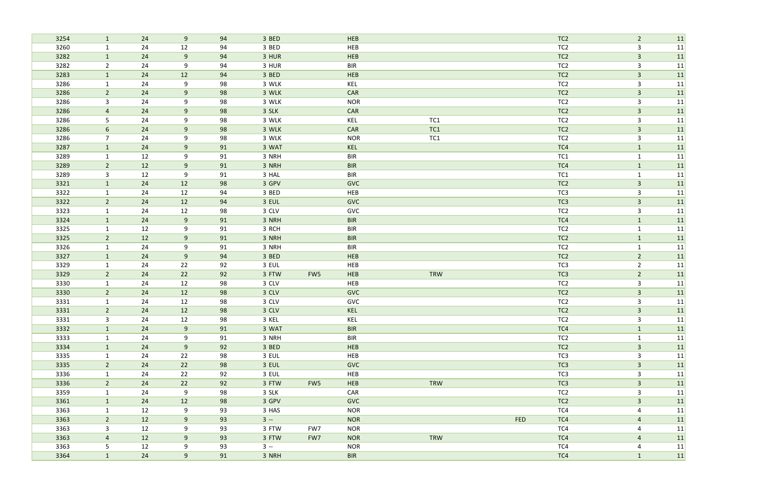| 3254         | $\mathbf{1}$                   | 24       | 9                | 94       | 3 BED          |     | HEB        |            |            | TC <sub>2</sub>                    | $\overline{2}$      | 11         |
|--------------|--------------------------------|----------|------------------|----------|----------------|-----|------------|------------|------------|------------------------------------|---------------------|------------|
| 3260         | $\mathbf{1}$                   | 24       | 12               | 94       | 3 BED          |     | HEB        |            |            | TC <sub>2</sub>                    | 3                   | 11         |
| 3282         | $\mathbf{1}$                   | 24       | $9\,$            | 94       | 3 HUR          |     | HEB        |            |            | TC <sub>2</sub>                    | $\mathbf{3}$        | 11         |
| 3282         | $\overline{2}$                 | 24       | 9                | 94       | 3 HUR          |     | <b>BIR</b> |            |            | TC <sub>2</sub>                    | $\mathbf{3}$        | 11         |
| 3283         | $\mathbf{1}$                   | 24       | 12               | 94       | 3 BED          |     | HEB        |            |            | TC <sub>2</sub>                    | $\mathbf{3}$        | 11         |
| 3286         | $\mathbf{1}$                   | 24       | 9                | 98       | 3 WLK          |     | KEL        |            |            | TC <sub>2</sub>                    | $\mathsf{3}$        | 11         |
| 3286         | $\overline{2}$                 | 24       | 9                | 98       | 3 WLK          |     | CAR        |            |            | TC <sub>2</sub>                    | $\mathbf{3}$        | 11         |
| 3286         | $\mathbf{3}$                   | 24       | 9                | 98       | 3 WLK          |     | <b>NOR</b> |            |            | TC <sub>2</sub>                    | $\mathbf{3}$        | 11         |
| 3286         | 4                              | 24       | 9                | 98       | 3 SLK          |     | CAR        |            |            | TC <sub>2</sub>                    | $\overline{3}$      | 11         |
| 3286         | 5                              | 24       | 9                | 98       | 3 WLK          |     | KEL        | TC1        |            | TC <sub>2</sub>                    | 3                   | 11         |
| 3286         | $6\phantom{.}6$                | 24       | 9                | 98       | 3 WLK          |     | CAR        | TC1        |            | TC <sub>2</sub>                    | $\mathbf{3}$        | 11         |
| 3286         | $\overline{7}$                 | 24       | 9                | 98       | 3 WLK          |     | <b>NOR</b> | TC1        |            | TC <sub>2</sub>                    | $\mathsf{3}$        | 11         |
| 3287         | $\mathbf{1}$                   | 24       | 9                | 91       | 3 WAT          |     | KEL        |            |            | TC4                                | $\mathbf{1}$        | 11         |
| 3289         | $\mathbf{1}$                   | 12       | 9                | 91       | 3 NRH          |     | <b>BIR</b> |            |            | TC1                                | $\mathbf{1}$        | 11         |
| 3289         | $2^{\circ}$                    | 12       | $9\,$            | 91       | 3 NRH          |     | <b>BIR</b> |            |            | TC4                                | $\mathbf{1}$        | 11         |
| 3289         | $\mathbf{3}$                   | 12       | 9                | 91       | 3 HAL          |     | <b>BIR</b> |            |            | TC1                                | $\mathbf{1}$        | 11         |
| 3321         | $\mathbf{1}$                   | 24       | 12               | 98       | 3 GPV          |     | <b>GVC</b> |            |            | TC <sub>2</sub>                    | $\mathbf{3}$        | 11         |
| 3322         | $\mathbf{1}$                   | 24       | 12               | 94       | 3 BED          |     | HEB        |            |            | TC3                                | $\mathbf{3}$        | 11         |
| 3322         | $2^{\circ}$                    | 24       | 12               | 94       | 3 EUL          |     | <b>GVC</b> |            |            | TC <sub>3</sub>                    | $\mathbf{3}$        | 11         |
| 3323         | $\mathbf{1}$                   | 24       | 12               | 98       | 3 CLV          |     | GVC        |            |            | TC <sub>2</sub>                    | $\mathsf{3}$        | 11         |
| 3324         | $\mathbf{1}$                   | 24       | 9                | 91       | 3 NRH          |     | <b>BIR</b> |            |            | TC4                                | $\mathbf{1}$        | 11         |
| 3325         | $\mathbf{1}$                   | 12       | 9                | 91       | 3 RCH          |     | <b>BIR</b> |            |            | TC <sub>2</sub>                    | $\mathbf{1}$        | 11         |
| 3325         | $\overline{2}$                 | 12       | 9                | 91       | 3 NRH          |     | <b>BIR</b> |            |            | TC <sub>2</sub>                    | $\mathbf{1}$        | 11         |
| 3326         | $\mathbf{1}$                   | 24       | 9                | 91       | 3 NRH          |     | <b>BIR</b> |            |            | TC <sub>2</sub>                    | $\mathbf{1}$        | 11         |
| 3327         | $\mathbf{1}$                   | 24       | $\boldsymbol{9}$ | 94       | 3 BED          |     | HEB        |            |            | TC <sub>2</sub>                    | $\overline{2}$      | 11         |
| 3329         | $\mathbf{1}$                   | 24       | 22               | 92       | 3 EUL          |     | HEB        |            |            | TC <sub>3</sub>                    | $\overline{2}$      | 11         |
| 3329         | $2^{\circ}$                    | 24       | 22               | 92       | 3 FTW          | FW5 | HEB        | <b>TRW</b> |            | TC3                                | $\overline{2}$      | 11         |
| 3330         | $\mathbf{1}$                   | 24       | 12               | 98       | 3 CLV          |     | HEB        |            |            | TC <sub>2</sub>                    | 3                   | 11         |
| 3330         | $\overline{2}$                 | 24<br>24 | 12<br>12         | 98       | 3 CLV          |     | <b>GVC</b> |            |            | TC <sub>2</sub><br>TC <sub>2</sub> | $\overline{3}$<br>3 | 11         |
| 3331         | $\mathbf{1}$<br>$\overline{2}$ |          |                  | 98       | 3 CLV          |     | GVC        |            |            |                                    | $\overline{3}$      | 11         |
| 3331<br>3331 | $\mathbf{3}$                   | 24<br>24 | 12<br>12         | 98       | 3 CLV<br>3 KEL |     | KEL<br>KEL |            |            | TC <sub>2</sub><br>TC <sub>2</sub> |                     | 11 <br> 11 |
| 3332         | 1                              | 24       | 9                | 98<br>91 | 3 WAT          |     | <b>BIR</b> |            |            | TC4                                | 3<br>$\mathbf{1}$   | 11         |
| 3333         | $\mathbf{1}$                   | 24       | 9                | 91       | 3 NRH          |     | <b>BIR</b> |            |            | TC <sub>2</sub>                    | $\mathbf{1}$        | 11         |
| 3334         | $\mathbf{1}$                   | 24       | $9$              | 92       | 3 BED          |     | HEB        |            |            | TC <sub>2</sub>                    | $\mathbf{3}$        | 11         |
| 3335         | $\mathbf{1}$                   | 24       | 22               | 98       | 3 EUL          |     | HEB        |            |            | TC3                                | 3                   | 11         |
| 3335         | $2\overline{ }$                | 24       | 22               | 98       | 3 EUL          |     | <b>GVC</b> |            |            | TC <sub>3</sub>                    | $\mathbf{3}$        | 11         |
| 3336         | $\mathbf{1}$                   | 24       | 22               | 92       | 3 EUL          |     | HEB        |            |            | TC3                                | $\mathbf{3}$        | 11         |
| 3336         | 2 <sup>7</sup>                 | 24       | 22               | 92       | 3 FTW          | FW5 | <b>HEB</b> | TRW        |            | TC <sub>3</sub>                    | $\mathbf{3}$        | 11         |
| 3359         | $\mathbf{1}$                   | 24       | 9                | 98       | 3 SLK          |     | CAR        |            |            | TC <sub>2</sub>                    | $\mathbf{3}$        | 11         |
| 3361         | 1                              | 24       | 12               | 98       | 3 GPV          |     | <b>GVC</b> |            |            | TC <sub>2</sub>                    | $\mathbf{3}$        | 11         |
| 3363         | $\mathbf{1}$                   | 12       | 9                | 93       | 3 HAS          |     | <b>NOR</b> |            |            | TC4                                | 4                   | 11         |
| 3363         | $2^{\circ}$                    | 12       | 9                | 93       | $3 -$          |     | <b>NOR</b> |            | <b>FED</b> | TC4                                | $\overline{4}$      | 11         |
| 3363         | $\mathbf{3}$                   | 12       | 9                | 93       | 3 FTW          | FW7 | <b>NOR</b> |            |            | TC4                                | 4                   | 11         |
| 3363         | 4                              | 12       | 9                | 93       | 3 FTW          | FW7 | <b>NOR</b> | TRW        |            | TC4                                | 4                   | 11         |
| 3363         | 5                              | 12       | 9                | 93       | $3 -$          |     | <b>NOR</b> |            |            | TC4                                | $\overline{4}$      | 11         |
| 3364         | $\mathbf{1}$                   | 24       | 9                | 91       | 3 NRH          |     | <b>BIR</b> |            |            | TC4                                | $\mathbf{1}$        | 11         |
|              |                                |          |                  |          |                |     |            |            |            |                                    |                     |            |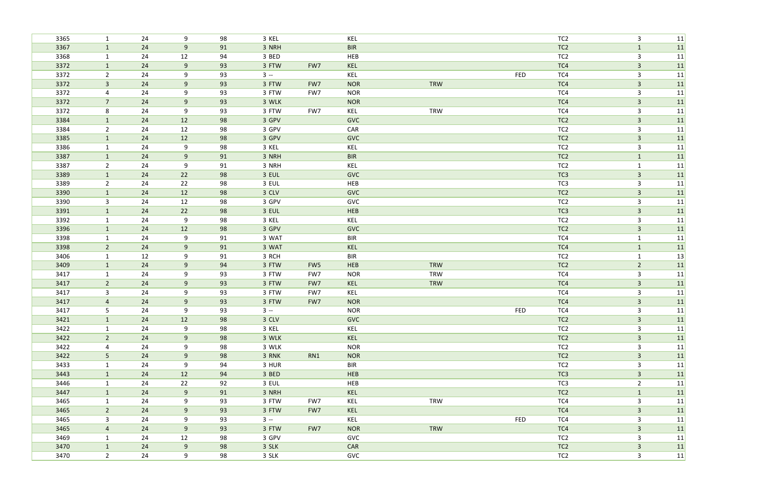| 3365         | $\mathbf{1}$                   | 24       | 9              | 98       | 3 KEL          |                 | KEL               |            |            | TC <sub>2</sub> | $\mathsf{3}$                 | 11        |
|--------------|--------------------------------|----------|----------------|----------|----------------|-----------------|-------------------|------------|------------|-----------------|------------------------------|-----------|
| 3367         | $\mathbf{1}$                   | 24       | 9              | 91       | 3 NRH          |                 | <b>BIR</b>        |            |            | TC <sub>2</sub> | $\mathbf{1}$                 | 11        |
| 3368         | $\mathbf{1}$                   | 24       | 12             | 94       | 3 BED          |                 | HEB               |            |            | TC <sub>2</sub> | $\mathbf{3}$                 | 11        |
| 3372         | $\mathbf{1}$                   | 24       | 9              | 93       | 3 FTW          | FW7             | KEL               |            |            | TC4             | $\overline{\mathbf{3}}$      | 11        |
| 3372         | $\overline{2}$                 | 24       | 9              | 93       | $3 -$          |                 | KEL               |            | FED        | TC4             | $\mathsf{3}$                 | 11        |
| 3372         | $\mathbf{3}$                   | 24       | 9              | 93       | 3 FTW          | FW7             | <b>NOR</b>        | <b>TRW</b> |            | TC4             | $\mathbf{3}$                 | 11        |
| 3372         | 4                              | 24       | 9              | 93       | 3 FTW          | FW7             | <b>NOR</b>        |            |            | TC4             | 3                            | 11        |
| 3372         | $\overline{7}$                 | 24       | 9              | 93       | 3 WLK          |                 | <b>NOR</b>        |            |            | TC4             | $\mathbf{3}$                 | 11        |
| 3372         | 8                              | 24       | 9              | 93       | 3 FTW          | FW7             | KEL               | <b>TRW</b> |            | TC4             | 3                            | 11        |
| 3384         | $\mathbf{1}$                   | 24       | 12             | 98       | 3 GPV          |                 | <b>GVC</b>        |            |            | TC <sub>2</sub> | $\mathbf{3}$                 | 11        |
| 3384         | $\overline{2}$                 | 24       | 12             | 98       | 3 GPV          |                 | CAR               |            |            | TC <sub>2</sub> | $\mathsf{3}$                 | 11        |
| 3385         | $\mathbf{1}$                   | 24       | 12             | 98       | 3 GPV          |                 | <b>GVC</b>        |            |            | TC <sub>2</sub> | $\overline{3}$               | 11        |
| 3386         | $\mathbf{1}$                   | 24       | 9              | 98       | 3 KEL          |                 | KEL               |            |            | TC <sub>2</sub> | $\mathsf{3}$                 | 11        |
| 3387         | $\mathbf{1}$                   | 24       | 9              | 91       | 3 NRH          |                 | <b>BIR</b>        |            |            | TC <sub>2</sub> | $\mathbf{1}$                 | 11        |
| 3387         | $\overline{2}$                 | 24       | 9              | 91       | 3 NRH          |                 | KEL               |            |            | TC <sub>2</sub> | $\mathbf{1}$                 | 11        |
| 3389         | $\mathbf{1}$                   | 24       | 22             | 98       | 3 EUL          |                 | <b>GVC</b>        |            |            | TC <sub>3</sub> | $\overline{3}$               | 11        |
| 3389         | $\overline{2}$                 | 24       | 22             | 98       | 3 EUL          |                 | HEB               |            |            | TC <sub>3</sub> | 3                            | 11        |
| 3390         | $\mathbf{1}$                   | 24       | 12             | 98       | 3 CLV          |                 | GVC               |            |            | TC <sub>2</sub> | $\mathbf{3}$                 | 11        |
| 3390         | 3                              | 24       | 12             | 98       | 3 GPV          |                 | GVC               |            |            | TC <sub>2</sub> | $\mathsf{3}$                 | 11        |
| 3391         | $\mathbf{1}$                   | 24       | 22             | 98       | 3 EUL          |                 | HEB               |            |            | TC <sub>3</sub> | $\mathbf{3}$                 | 11        |
| 3392         | $\mathbf{1}$                   | 24       | 9              | 98       | 3 KEL          |                 | KEL               |            |            | TC <sub>2</sub> | $\mathsf{3}$                 | 11        |
| 3396         | $\mathbf{1}$                   | 24<br>24 | 12             | 98       | 3 GPV          |                 | <b>GVC</b>        |            |            | TC <sub>2</sub> | $\mathbf{3}$                 | 11        |
| 3398         | $\mathbf{1}$                   | 24       | 9<br>9         | 91       | 3 WAT<br>3 WAT |                 | <b>BIR</b>        |            |            | TC4<br>TC4      | $\mathbf{1}$                 | 11        |
| 3398<br>3406 | $\overline{2}$<br>$\mathbf{1}$ | 12       | 9              | 91<br>91 | 3 RCH          |                 | KEL<br><b>BIR</b> |            |            | TC <sub>2</sub> | $\mathbf{1}$<br>$\mathbf{1}$ | 11 <br>13 |
| 3409         | $\mathbf{1}$                   | 24       | 9              | 94       | 3 FTW          | FW <sub>5</sub> | <b>HEB</b>        | <b>TRW</b> |            | TC <sub>2</sub> | $\overline{2}$               | 11        |
| 3417         | $\mathbf{1}$                   | 24       | 9              | 93       | 3 FTW          | FW7             | <b>NOR</b>        | <b>TRW</b> |            | TC4             | $\mathbf{3}$                 | 11        |
| 3417         | $2^{\circ}$                    | 24       | 9              | 93       | 3 FTW          | FW7             | KEL               | <b>TRW</b> |            | TC4             | $\overline{\mathbf{3}}$      | 11        |
| 3417         | 3                              | 24       | 9              | 93       | 3 FTW          | FW7             | KEL               |            |            | TC4             | 3                            | 11        |
| 3417         | $\overline{4}$                 | 24       | 9              | 93       | 3 FTW          | FW7             | <b>NOR</b>        |            |            | TC4             | $\overline{3}$               | 11        |
| 3417         | 5                              | 24       | 9              | 93       | $3 -$          |                 | <b>NOR</b>        |            | FED        | TC4             | 3                            | 11        |
| 3421         | $\mathbf{1}$                   | 24       | 12             | 98       | 3 CLV          |                 | <b>GVC</b>        |            |            | TC <sub>2</sub> | $\mathbf{3}$                 | 11        |
| 3422         | $\mathbf{1}$                   | 24       | 9              | 98       | 3 KEL          |                 | KEL               |            |            | TC <sub>2</sub> | 3                            | 11        |
| 3422         | 2 <sup>7</sup>                 | 24       | 9 <sub>o</sub> | 98       | 3 WLK          |                 | KEL               |            |            | TC <sub>2</sub> | $\mathbf{3}$                 | 11        |
| 3422         | $\overline{4}$                 | 24       | 9              | 98       | 3 WLK          |                 | <b>NOR</b>        |            |            | TC <sub>2</sub> | 3                            | 11        |
| 3422         | 5 <sub>1</sub>                 | 24       | 9              | 98       | 3 RNK          | RN1             | <b>NOR</b>        |            |            | TC <sub>2</sub> | $\mathbf{3}$                 | 11        |
| 3433         | $\mathbf{1}$                   | 24       | 9              | 94       | 3 HUR          |                 | <b>BIR</b>        |            |            | TC <sub>2</sub> | $\mathbf{3}$                 | 11        |
| 3443         | $\mathbf{1}$                   | 24       | 12             | 94       | 3 BED          |                 | <b>HEB</b>        |            |            | TC <sub>3</sub> | $\mathbf{3}$                 | 11        |
| 3446         | $\mathbf{1}$                   | 24       | 22             | 92       | 3 EUL          |                 | HEB               |            |            | TC3             | $\overline{2}$               | 11        |
| 3447         | $\mathbf{1}$                   | 24       | 9              | 91       | 3 NRH          |                 | KEL               |            |            | TC <sub>2</sub> | $\mathbf{1}$                 | 11        |
| 3465         | $\mathbf{1}$                   | 24       | 9              | 93       | 3 FTW          | FW7             | KEL               | TRW        |            | TC4             | $\mathbf{3}$                 | 11        |
| 3465         | $2^{\circ}$                    | 24       | 9              | 93       | 3 FTW          | FW7             | KEL               |            |            | TC4             | $\overline{3}$               | 11        |
| 3465         | $\mathbf{3}$                   | 24       | 9              | 93       | $3 -$          |                 | KEL               |            | <b>FED</b> | TC4             | $\mathbf{3}$                 | 11        |
| 3465         | $\overline{4}$                 | 24       | 9              | 93       | 3 FTW          | FW7             | <b>NOR</b>        | TRW        |            | TC4             | $\overline{3}$               | 11        |
| 3469         | $\mathbf{1}$                   | 24       | 12             | 98       | 3 GPV          |                 | GVC               |            |            | TC <sub>2</sub> | 3                            | 11        |
| 3470         | $\mathbf{1}$                   | 24       | 9              | 98       | 3 SLK          |                 | CAR               |            |            | TC <sub>2</sub> | $\overline{3}$               | 11        |
| 3470         | $2^{\circ}$                    | 24       | 9              | 98       | 3 SLK          |                 | GVC               |            |            | TC <sub>2</sub> | $\mathbf{3}$                 | 11        |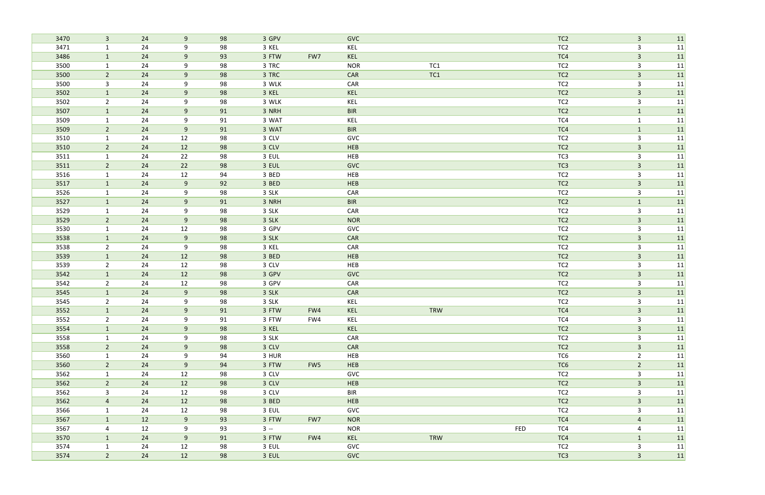| 3470         | $\mathbf{3}$                   | 24       | 9        | 98       | 3 GPV          |     | <b>GVC</b>        |     |            | TC <sub>2</sub>                    | $\mathbf{3}$      | 11        |
|--------------|--------------------------------|----------|----------|----------|----------------|-----|-------------------|-----|------------|------------------------------------|-------------------|-----------|
| 3471         | $\mathbf{1}$                   | 24       | 9        | 98       | 3 KEL          |     | KEL               |     |            | TC <sub>2</sub>                    | 3                 | 11        |
| 3486         | $\mathbf{1}$                   | 24       | 9        | 93       | 3 FTW          | FW7 | KEL               |     |            | TC4                                | $\overline{3}$    | 11        |
| 3500         | $\mathbf{1}$                   | 24       | 9        | 98       | 3 TRC          |     | <b>NOR</b>        | TC1 |            | TC <sub>2</sub>                    | $\mathsf{3}$      | 11        |
| 3500         | $\overline{2}$                 | 24       | 9        | 98       | 3 TRC          |     | CAR               | TC1 |            | TC <sub>2</sub>                    | $\overline{3}$    | 11        |
| 3500         | $\mathbf{3}$                   | 24       | 9        | 98       | 3 WLK          |     | CAR               |     |            | TC <sub>2</sub>                    | $\mathsf{3}$      | 11        |
| 3502         | $\mathbf{1}$                   | 24       | 9        | 98       | 3 KEL          |     | KEL               |     |            | TC <sub>2</sub>                    | $\mathbf{3}$      | 11        |
| 3502         | $\overline{2}$                 | 24       | 9        | 98       | 3 WLK          |     | KEL               |     |            | TC <sub>2</sub>                    | $\mathbf{3}$      | 11        |
| 3507         | $\mathbf{1}$                   | 24       | 9        | 91       | 3 NRH          |     | <b>BIR</b>        |     |            | TC <sub>2</sub>                    | $\mathbf{1}$      | 11        |
| 3509         | $\mathbf{1}$                   | 24       | 9        | 91       | 3 WAT          |     | KEL               |     |            | TC4                                | $\mathbf{1}$      | 11        |
| 3509         | $2^{\circ}$                    | 24       | 9        | 91       | 3 WAT          |     | <b>BIR</b>        |     |            | TC4                                | $\mathbf{1}$      | 11        |
| 3510         | $\mathbf{1}$                   | 24       | 12       | 98       | 3 CLV          |     | GVC               |     |            | TC <sub>2</sub>                    | $\mathbf{3}$      | 11        |
| 3510         | $\overline{2}$                 | 24       | 12       | 98       | 3 CLV          |     | HEB               |     |            | TC <sub>2</sub>                    | $\mathbf{3}$      | 11        |
| 3511         | $\mathbf{1}$                   | 24       | 22       | 98       | 3 EUL          |     | HEB               |     |            | TC3                                | 3                 | 11        |
| 3511         | $\overline{2}$                 | 24       | 22       | 98       | 3 EUL          |     | <b>GVC</b>        |     |            | TC <sub>3</sub>                    | $\mathbf{3}$      | 11        |
| 3516         | $\mathbf{1}$                   | 24       | 12       | 94       | 3 BED          |     | HEB               |     |            | TC <sub>2</sub>                    | $\mathsf{3}$      | 11        |
| 3517         | $\mathbf{1}$                   | 24       | $9\,$    | 92       | 3 BED          |     | HEB               |     |            | TC <sub>2</sub>                    | $\overline{3}$    | 11        |
| 3526         | $\mathbf{1}$                   | 24       | 9        | 98       | 3 SLK          |     | CAR               |     |            | TC <sub>2</sub>                    | $\mathbf{3}$      | 11        |
| 3527         | $\mathbf{1}$                   | 24       | 9        | 91       | 3 NRH          |     | <b>BIR</b>        |     |            | TC <sub>2</sub>                    | $\mathbf{1}$      | 11        |
| 3529         | $\mathbf{1}$                   | 24       | 9        | 98       | 3 SLK          |     | CAR               |     |            | TC <sub>2</sub>                    | $\mathsf{3}$      | 11        |
| 3529         | $\overline{2}$                 | 24       | 9        | 98       | 3 SLK          |     | <b>NOR</b>        |     |            | TC <sub>2</sub>                    | $\mathbf{3}$      | 11        |
| 3530         | $\mathbf{1}$                   | 24       | 12       | 98       | 3 GPV          |     | GVC               |     |            | TC <sub>2</sub>                    | 3                 | 11        |
| 3538         | $\mathbf{1}$                   | 24       | 9        | 98       | 3 SLK          |     | CAR               |     |            | TC <sub>2</sub>                    | $\overline{3}$    | 11        |
| 3538         | $\overline{2}$                 | 24       | 9        | 98       | 3 KEL          |     | CAR               |     |            | TC <sub>2</sub>                    | 3                 | 11        |
| 3539         | $\mathbf{1}$                   | 24       | 12       | 98       | 3 BED          |     | HEB               |     |            | TC <sub>2</sub>                    | $\overline{3}$    | 11        |
| 3539<br>3542 | $\overline{2}$<br>$\mathbf{1}$ | 24<br>24 | 12<br>12 | 98       | 3 CLV<br>3 GPV |     | HEB<br><b>GVC</b> |     |            | TC <sub>2</sub><br>TC <sub>2</sub> | 3<br>$\mathbf{3}$ | 11        |
| 3542         | $\overline{2}$                 | 24       | 12       | 98<br>98 | 3 GPV          |     | CAR               |     |            | TC <sub>2</sub>                    | 3                 | 11<br> 11 |
| 3545         | $\mathbf{1}$                   | 24       | $9\,$    | 98       | 3 SLK          |     | CAR               |     |            | TC <sub>2</sub>                    | $\overline{3}$    | 11        |
| 3545         | $\overline{2}$                 | 24       | 9        | 98       | 3 SLK          |     | KEL               |     |            | TC <sub>2</sub>                    | 3                 | 11        |
| 3552         | $\mathbf{1}$                   | 24       | 9        | 91       | 3 FTW          | FW4 | KEL               | TRW |            | TC4                                | 3                 | 11        |
| 3552         | $\overline{2}$                 | 24       | 9        | 91       | 3 FTW          | FW4 | KEL               |     |            | TC4                                | 3                 | 11        |
| 3554         | $\mathbf{1}$                   | 24       | 9        | 98       | 3 KEL          |     | KEL               |     |            | TC <sub>2</sub>                    | $\mathbf{3}$      | 11        |
| 3558         | $\mathbf{1}$                   | 24       | 9        | 98       | 3 SLK          |     | CAR               |     |            | TC <sub>2</sub>                    | 3                 | 11        |
| 3558         | $2^{\circ}$                    | 24       | 9        | 98       | 3 CLV          |     | CAR               |     |            | TC <sub>2</sub>                    | $\mathbf{3}$      | 11        |
| 3560         | $\mathbf{1}$                   | 24       | 9        | 94       | 3 HUR          |     | HEB               |     |            | TC6                                | $\overline{2}$    | 11        |
| 3560         | $2\overline{ }$                | 24       | 9        | 94       | 3 FTW          | FW5 | HEB               |     |            | TC6                                | $\overline{2}$    | 11        |
| 3562         | $\mathbf{1}$                   | 24       | 12       | 98       | 3 CLV          |     | GVC               |     |            | TC <sub>2</sub>                    | $\mathbf{3}$      | 11        |
| 3562         | 2 <sup>7</sup>                 | 24       | 12       | 98       | 3 CLV          |     | HEB               |     |            | TC <sub>2</sub>                    | $\mathbf{3}$      | 11        |
| 3562         | $\mathbf{3}$                   | 24       | 12       | 98       | 3 CLV          |     | BIR               |     |            | TC <sub>2</sub>                    | $\mathbf{3}$      | 11        |
| 3562         | $\overline{4}$                 | 24       | 12       | 98       | 3 BED          |     | HEB               |     |            | TC <sub>2</sub>                    | $\mathbf{3}$      | 11        |
| 3566         | $\mathbf{1}$                   | 24       | 12       | 98       | 3 EUL          |     | GVC               |     |            | TC <sub>2</sub>                    | 3                 | 11        |
| 3567         | $\mathbf{1}$                   | 12       | 9        | 93       | 3 FTW          | FW7 | <b>NOR</b>        |     |            | TC4                                | $\overline{4}$    | 11        |
| 3567         | $\overline{4}$                 | 12       | 9        | 93       | $3 -$          |     | <b>NOR</b>        |     | <b>FED</b> | TC4                                | 4                 | 11        |
| 3570         | $\mathbf{1}$                   | 24       | 9        | 91       | 3 FTW          | FW4 | KEL               | TRW |            | TC4                                | $\mathbf{1}$      | 11        |
| 3574         | $\mathbf{1}$                   | 24       | 12       | 98       | 3 EUL          |     | GVC               |     |            | TC <sub>2</sub>                    | $\mathbf{3}$      | 11        |
| 3574         | $\overline{2}$                 | 24       | 12       | 98       | 3 EUL          |     | <b>GVC</b>        |     |            | TC <sub>3</sub>                    | $\overline{3}$    | 11        |
|              |                                |          |          |          |                |     |                   |     |            |                                    |                   |           |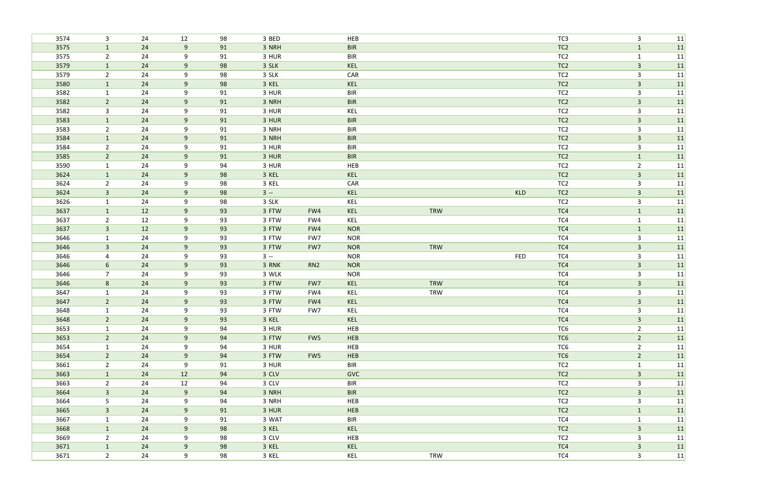| 3574         | $\mathbf{3}$                   | 24       | 12     | 98       | 3 BED          |                 | HEB        |                          |            | TC <sub>3</sub> | $\mathbf{3}$            | 11       |
|--------------|--------------------------------|----------|--------|----------|----------------|-----------------|------------|--------------------------|------------|-----------------|-------------------------|----------|
| 3575         | $\mathbf{1}$                   | 24       | 9      | 91       | 3 NRH          |                 | <b>BIR</b> |                          |            | TC <sub>2</sub> | $\mathbf{1}$            | 11       |
| 3575         | $2^{\circ}$                    | 24       | 9      | 91       | 3 HUR          |                 | <b>BIR</b> |                          |            | TC <sub>2</sub> | $\mathbf{1}$            | 11       |
| 3579         | $\mathbf{1}$                   | 24       | 9      | 98       | 3 SLK          |                 | KEL        |                          |            | TC <sub>2</sub> | $\mathbf{3}$            | 11       |
| 3579         | $\overline{2}$                 | 24       | 9      | 98       | 3 SLK          |                 | CAR        |                          |            | TC <sub>2</sub> | $\overline{3}$          | 11       |
| 3580         | $\mathbf{1}$                   | 24       | 9      | 98       | 3 KEL          |                 | KEL        |                          |            | TC <sub>2</sub> | $\overline{\mathbf{3}}$ | 11       |
| 3582         | $\mathbf{1}$                   | 24       | 9      | 91       | 3 HUR          |                 | <b>BIR</b> |                          |            | TC <sub>2</sub> | $\mathbf{3}$            | 11       |
| 3582         | $\overline{2}$                 | 24       | 9      | 91       | 3 NRH          |                 | <b>BIR</b> |                          |            | TC <sub>2</sub> | $\mathbf{3}$            | 11       |
| 3582         | 3                              | 24       | 9      | 91       | 3 HUR          |                 | KEL        |                          |            | TC <sub>2</sub> | $\mathbf{3}$            | 11       |
| 3583         | $\mathbf{1}$                   | 24       | 9      | 91       | 3 HUR          |                 | <b>BIR</b> |                          |            | TC <sub>2</sub> | $\mathbf{3}$            | 11       |
| 3583         | $2^{\circ}$                    | 24       | 9      | 91       | 3 NRH          |                 | <b>BIR</b> |                          |            | TC <sub>2</sub> | $\mathbf{3}$            | 11       |
| 3584         | $\mathbf{1}$                   | 24       | 9      | 91       | 3 NRH          |                 | <b>BIR</b> |                          |            | TC <sub>2</sub> | $\mathbf{3}$            | 11       |
| 3584         | $\overline{2}$                 | 24       | 9      | 91       | 3 HUR          |                 | <b>BIR</b> |                          |            | TC <sub>2</sub> | $\mathbf{3}$            | 11       |
| 3585         | $2^{\circ}$                    | 24       | 9      | 91       | 3 HUR          |                 | <b>BIR</b> |                          |            | TC <sub>2</sub> | $\mathbf{1}$            | 11       |
| 3590         | $\mathbf{1}$                   | 24       | 9      | 94       | 3 HUR          |                 | HEB        |                          |            | TC <sub>2</sub> | $\overline{2}$          | 11       |
| 3624         | $\mathbf{1}$                   | 24       | 9      | 98       | 3 KEL          |                 | KEL        |                          |            | TC <sub>2</sub> | $\mathbf{3}$            | 11       |
| 3624         | $\overline{2}$                 | 24       | 9      | 98       | 3 KEL          |                 | CAR        |                          |            | TC <sub>2</sub> | 3                       | 11       |
| 3624         | $\mathbf{3}$                   | 24       | 9      | 98       | $3 -$          |                 | KEL        |                          | <b>KLD</b> | TC <sub>2</sub> | $\mathbf{3}$            | 11       |
| 3626         | $\mathbf{1}$                   | 24       | 9      | 98       | 3 SLK          |                 | KEL        |                          |            | TC <sub>2</sub> | $\mathbf{3}$            | 11       |
| 3637         | $\mathbf{1}$                   | 12       | 9      | 93       | 3 FTW          | FW4             | KEL        | TRW                      |            | TC4             | $\mathbf{1}$            | 11       |
| 3637         | $\overline{2}$                 | 12       | 9      | 93       | 3 FTW          | FW4             | KEL        |                          |            | TC4             | $\mathbf{1}$            | 11       |
| 3637         | $\overline{3}$                 | 12       | 9      | 93       | 3 FTW          | FW4             | <b>NOR</b> |                          |            | TC4             | $\mathbf{1}$            | 11       |
| 3646         | $\mathbf{1}$                   | 24       | 9      | 93       | 3 FTW          | FW7             | <b>NOR</b> |                          |            | TC4             | $\mathbf{3}$            | 11       |
| 3646         | $\mathbf{3}$                   | 24       | 9      | 93       | 3 FTW          | FW7             | <b>NOR</b> | TRW                      |            | TC4             | $\mathbf{3}$            | 11       |
| 3646         | 4                              | 24       | 9      | 93       | $3 -$          |                 | <b>NOR</b> |                          | FED        | TC4             | $\overline{3}$          | 11       |
| 3646         | 6 <sup>1</sup>                 | 24       | 9      | 93       | 3 RNK          | RN <sub>2</sub> | <b>NOR</b> |                          |            | TC4             | $\mathbf{3}$            | 11       |
| 3646         | $\overline{7}$                 | 24<br>24 | 9      | 93       | 3 WLK          |                 | <b>NOR</b> |                          |            | TC4             | $\mathbf{3}$            | 11       |
| 3646<br>3647 | 8                              | 24       | 9<br>9 | 93<br>93 | 3 FTW<br>3 FTW | FW7<br>FW4      | KEL<br>KEL | <b>TRW</b><br><b>TRW</b> |            | TC4<br>TC4      | $\overline{3}$<br>3     | 11       |
| 3647         | $\mathbf{1}$<br>$\overline{2}$ | 24       | 9      | 93       | 3 FTW          | FW4             | KEL        |                          |            | TC4             | $\mathbf{3}$            | 11<br>11 |
| 3648         |                                | 24       | 9      | 93       | 3 FTW          | FW7             | KEL        |                          |            | TC4             | 3                       | 11       |
| 3648         | $2^{\circ}$                    | 24       | 9      | 93       | 3 KEL          |                 | KEL        |                          |            | TC4             | $\mathbf{3}$            | 11       |
| 3653         | $\mathbf{1}$                   | 24       | 9      | 94       | 3 HUR          |                 | HEB        |                          |            | TC6             | $\overline{2}$          | 11       |
| 3653         | $2^{\circ}$                    | 24       | 9      | 94       | 3 FTW          | FW5             | <b>HEB</b> |                          |            | TC6             | $\overline{2}$          | 11       |
| 3654         | $\mathbf{1}$                   | 24       | 9      | 94       | 3 HUR          |                 | HEB        |                          |            | TC6             | $\overline{2}$          | 11       |
| 3654         | 2 <sup>7</sup>                 | 24       | 9      | 94       | 3 FTW          | FW5             | <b>HEB</b> |                          |            | TC6             | $\overline{2}$          | 11       |
| 3661         | $2^{\circ}$                    | 24       | 9      | 91       | 3 HUR          |                 | <b>BIR</b> |                          |            | TC <sub>2</sub> | $\mathbf{1}$            | 11       |
| 3663         | $\mathbf{1}$                   | 24       | 12     | 94       | 3 CLV          |                 | <b>GVC</b> |                          |            | TC <sub>2</sub> | $\overline{3}$          | 11       |
| 3663         | $2^{\circ}$                    | 24       | 12     | 94       | 3 CLV          |                 | <b>BIR</b> |                          |            | TC <sub>2</sub> | $\mathbf{3}$            | 11       |
| 3664         | $\mathbf{3}$                   | 24       | 9      | 94       | 3 NRH          |                 | <b>BIR</b> |                          |            | TC <sub>2</sub> | $\mathbf{3}$            | 11       |
| 3664         | 5                              | 24       | 9      | 94       | 3 NRH          |                 | HEB        |                          |            | TC <sub>2</sub> | $\mathsf{3}$            | 11       |
| 3665         | $\overline{3}$                 | 24       | 9      | 91       | 3 HUR          |                 | HEB        |                          |            | TC <sub>2</sub> | $\mathbf{1}$            | 11       |
| 3667         | $\mathbf{1}$                   | 24       | 9      | 91       | 3 WAT          |                 | <b>BIR</b> |                          |            | TC4             | $\mathbf{1}$            | 11       |
| 3668         | $\mathbf{1}$                   | 24       | 9      | 98       | 3 KEL          |                 | KEL        |                          |            | TC <sub>2</sub> | $\mathbf{3}$            | 11       |
| 3669         | $\overline{2}$                 | 24       | 9      | 98       | 3 CLV          |                 | HEB        |                          |            | TC <sub>2</sub> | 3                       | 11       |
| 3671         | $\mathbf{1}$                   | 24       | 9      | 98       | 3 KEL          |                 | KEL        |                          |            | TC4             | $\mathbf{3}$            | 11       |
| 3671         | $\overline{2}$                 | 24       | 9      | 98       | 3 KEL          |                 | KEL        | <b>TRW</b>               |            | TC4             | $\mathbf{3}$            | 11       |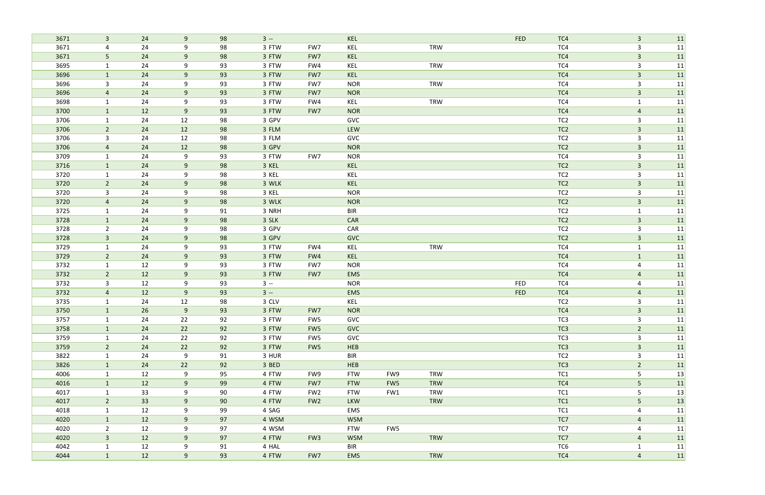| 3671                | $\mathbf{3}$<br>24   | 9     | 98 | $3 -$ |                 | KEL        |                 |            | <b>FED</b> | TC4             | $\mathbf{3}$            | 11 |
|---------------------|----------------------|-------|----|-------|-----------------|------------|-----------------|------------|------------|-----------------|-------------------------|----|
| 3671                | 24<br>4              | 9     | 98 | 3 FTW | FW7             | KEL        |                 | <b>TRW</b> |            | TC4             | $\mathsf{3}$            | 11 |
| 3671                | 5 <sub>o</sub><br>24 | 9     | 98 | 3 FTW | FW7             | KEL        |                 |            |            | TC4             | $\overline{3}$          | 11 |
| 3695                | 24<br>$\mathbf{1}$   | 9     | 93 | 3 FTW | FW4             | KEL        |                 | <b>TRW</b> |            | TC4             | $\mathbf{3}$            | 11 |
| 3696                | 24<br>$\mathbf{1}$   | 9     | 93 | 3 FTW | FW7             | KEL        |                 |            |            | TC4             | $\overline{3}$          | 11 |
| 3696                | 24<br>3              | 9     | 93 | 3 FTW | FW7             | <b>NOR</b> |                 | <b>TRW</b> |            | TC4             | $\mathsf{3}$            | 11 |
| 3696                | 24<br>$\overline{4}$ | 9     | 93 | 3 FTW | FW7             | <b>NOR</b> |                 |            |            | TC4             | $\mathbf{3}$            | 11 |
| 3698                | 24<br>$\mathbf{1}$   | 9     | 93 | 3 FTW | FW4             | KEL        |                 | <b>TRW</b> |            | TC4             | $\mathbf{1}$            | 11 |
| 3700                | 12<br>$\mathbf{1}$   | 9     | 93 | 3 FTW | FW7             | <b>NOR</b> |                 |            |            | TC4             | $\overline{4}$          | 11 |
| 3706<br>$\mathbf 1$ | 24                   | 12    | 98 | 3 GPV |                 | GVC        |                 |            |            | TC <sub>2</sub> | 3                       | 11 |
| 3706                | $\overline{2}$<br>24 | 12    | 98 | 3 FLM |                 | LEW        |                 |            |            | TC <sub>2</sub> | $\overline{3}$          | 11 |
| 3706                | 3<br>24              | 12    | 98 | 3 FLM |                 | GVC        |                 |            |            | TC <sub>2</sub> | 3                       | 11 |
| 3706                | 24<br>$\overline{4}$ | 12    | 98 | 3 GPV |                 | <b>NOR</b> |                 |            |            | TC <sub>2</sub> | $\mathbf{3}$            | 11 |
| 3709                | 24<br>$\mathbf{1}$   | 9     | 93 | 3 FTW | FW7             | <b>NOR</b> |                 |            |            | TC4             | $\mathsf{3}$            | 11 |
| 3716                | 24<br>$\mathbf{1}$   | $9$   | 98 | 3 KEL |                 | KEL        |                 |            |            | TC <sub>2</sub> | $\mathbf{3}$            | 11 |
| 3720                | 24<br>$\mathbf{1}$   | 9     | 98 | 3 KEL |                 | KEL        |                 |            |            | TC <sub>2</sub> | $\mathbf{3}$            | 11 |
| 3720                | $\overline{2}$<br>24 | 9     | 98 | 3 WLK |                 | KEL        |                 |            |            | TC <sub>2</sub> | $\overline{3}$          | 11 |
| 3720                | 24<br>3              | 9     | 98 | 3 KEL |                 | <b>NOR</b> |                 |            |            | TC <sub>2</sub> | $\mathsf{3}$            | 11 |
| 3720                | 24<br>4              | 9     | 98 | 3 WLK |                 | <b>NOR</b> |                 |            |            | TC <sub>2</sub> | $\overline{3}$          | 11 |
| 3725                | 24<br>$\mathbf{1}$   | 9     | 91 | 3 NRH |                 | <b>BIR</b> |                 |            |            | TC <sub>2</sub> | $\mathbf{1}$            | 11 |
| 3728                | 24<br>$\mathbf{1}$   | $9\,$ | 98 | 3 SLK |                 | CAR        |                 |            |            | TC <sub>2</sub> | $\overline{\mathbf{3}}$ | 11 |
| 3728                | 24<br>$\overline{2}$ | 9     | 98 | 3 GPV |                 | CAR        |                 |            |            | TC <sub>2</sub> | 3                       | 11 |
| 3728                | 24<br>$\mathbf{3}$   | 9     | 98 | 3 GPV |                 | <b>GVC</b> |                 |            |            | TC <sub>2</sub> | $\overline{3}$          | 11 |
| 3729                | 24<br>$\mathbf{1}$   | 9     | 93 | 3 FTW | FW4             | KEL        |                 | <b>TRW</b> |            | TC4             | $\mathbf{1}$            | 11 |
| 3729                | $\overline{2}$<br>24 | $9\,$ | 93 | 3 FTW | FW4             | KEL        |                 |            |            | TC4             | $\mathbf{1}$            | 11 |
| 3732                | 12<br>1              | 9     | 93 | 3 FTW | FW7             | <b>NOR</b> |                 |            |            | TC4             | $\overline{4}$          | 11 |
| 3732                | $2^{\circ}$<br>12    | $9\,$ | 93 | 3 FTW | FW7             | EMS        |                 |            |            | TC4             | $\overline{\mathbf{r}}$ | 11 |
| 3732                | 12<br>3              | 9     | 93 | $3 -$ |                 | <b>NOR</b> |                 |            | <b>FED</b> | TC4             | 4                       | 11 |
| 3732                | 12<br>$\overline{4}$ | 9     | 93 | $3 -$ |                 | EMS        |                 |            | <b>FED</b> | TC4             | $\overline{a}$          | 11 |
| 3735                | 24<br>$\mathbf{1}$   | 12    | 98 | 3 CLV |                 | KEL        |                 |            |            | TC <sub>2</sub> | $\mathsf{3}$            | 11 |
| 3750                | 26                   | 9     | 93 | 3 FTW | FW7             | <b>NOR</b> |                 |            |            | TC4             | 3                       | 11 |
| 3757                | 24<br>1              | 22    | 92 | 3 FTW | FW5             | GVC        |                 |            |            | TC <sub>3</sub> | 3                       | 11 |
| 3758                | 24<br>$\mathbf{1}$   | 22    | 92 | 3 FTW | FW5             | <b>GVC</b> |                 |            |            | TC <sub>3</sub> | $\overline{2}$          | 11 |
| 3759                | 24<br>$\mathbf{1}$   | 22    | 92 | 3 FTW | FW5             | GVC        |                 |            |            | TC <sub>3</sub> | 3                       | 11 |
| 3759                | $\overline{2}$<br>24 | 22    | 92 | 3 FTW | FW5             | HEB        |                 |            |            | TC3             | $\mathbf{3}$            | 11 |
| 3822                | 24<br>$\mathbf{1}$   | 9     | 91 | 3 HUR |                 | <b>BIR</b> |                 |            |            | TC <sub>2</sub> | $\mathbf{3}$            | 11 |
| 3826                | 24<br>$\mathbf{1}$   | 22    | 92 | 3 BED |                 | <b>HEB</b> |                 |            |            | TC <sub>3</sub> | $\overline{2}$          | 11 |
| 4006                | 12<br>1              | 9     | 95 | 4 FTW | FW9             | <b>FTW</b> | FW9             | <b>TRW</b> |            | TC1             | 5                       | 13 |
| 4016                | $\mathbf{1}$<br>12   | 9     | 99 | 4 FTW | FW7             | <b>FTW</b> | FW <sub>5</sub> | <b>TRW</b> |            | TC4             | 5                       | 11 |
| 4017                | 33<br>$\mathbf{1}$   | 9     | 90 | 4 FTW | FW <sub>2</sub> | <b>FTW</b> | FW1             | TRW        |            | TC1             | 5                       | 13 |
| 4017                | 33<br>$2^{\circ}$    | 9     | 90 | 4 FTW | FW <sub>2</sub> | <b>LKW</b> |                 | <b>TRW</b> |            | TC1             | 5                       | 13 |
| 4018                | 12<br>$\mathbf{1}$   | 9     | 99 | 4 SAG |                 | EMS        |                 |            |            | TC <sub>1</sub> | 4                       | 11 |
| 4020                | 12<br>$\mathbf{1}$   | 9     | 97 | 4 WSM |                 | <b>WSM</b> |                 |            |            | TC7             | $\overline{4}$          | 11 |
| 4020                | $2^{\circ}$<br>12    | 9     | 97 | 4 WSM |                 | <b>FTW</b> | FW5             |            |            | TC7             | $\overline{4}$          | 11 |
| 4020                | $\mathbf{3}$<br>12   | 9     | 97 | 4 FTW | FW <sub>3</sub> | <b>WSM</b> |                 | <b>TRW</b> |            | TC7             | $\overline{4}$          | 11 |
| 4042                | 12<br>$\mathbf{1}$   | 9     | 91 | 4 HAL |                 | <b>BIR</b> |                 |            |            | TC6             | $\mathbf{1}$            | 11 |
| 4044                | $\mathbf{1}$<br>12   | 9     | 93 | 4 FTW | FW7             | <b>EMS</b> |                 | TRW        |            | TC4             | $\overline{4}$          | 11 |
|                     |                      |       |    |       |                 |            |                 |            |            |                 |                         |    |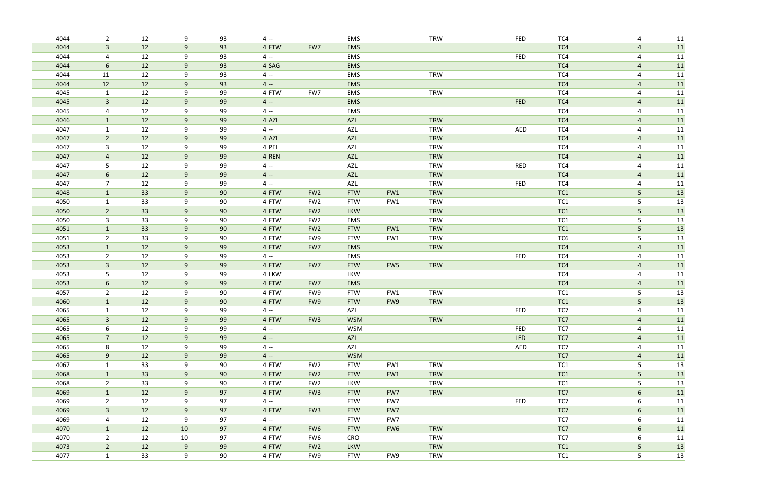| 4044 | $\overline{2}$ | 12 | 9     | 93 | $4 -$ |                 | EMS        |                 | <b>TRW</b> | <b>FED</b> | TC4             | 4               | 11 |
|------|----------------|----|-------|----|-------|-----------------|------------|-----------------|------------|------------|-----------------|-----------------|----|
| 4044 | $\mathbf{3}$   | 12 | 9     | 93 | 4 FTW | FW7             | EMS        |                 |            |            | TC4             | $\overline{a}$  | 11 |
| 4044 | 4              | 12 | 9     | 93 | $4 -$ |                 | EMS        |                 |            | <b>FED</b> | TC4             | 4               | 11 |
| 4044 | $6\phantom{1}$ | 12 | 9     | 93 | 4 SAG |                 | EMS        |                 |            |            | TC4             | $\overline{a}$  | 11 |
| 4044 | 11             | 12 | 9     | 93 | $4 -$ |                 | EMS        |                 | <b>TRW</b> |            | TC4             | 4               | 11 |
| 4044 | 12             | 12 | 9     | 93 | $4 -$ |                 | EMS        |                 |            |            | TC4             | $\overline{4}$  | 11 |
| 4045 | $\mathbf{1}$   | 12 | 9     | 99 | 4 FTW | FW7             | EMS        |                 | <b>TRW</b> |            | TC4             | $\overline{4}$  | 11 |
| 4045 | $\overline{3}$ | 12 | 9     | 99 | $4 -$ |                 | EMS        |                 |            | <b>FED</b> | TC4             | $\overline{a}$  | 11 |
| 4045 | 4              | 12 | 9     | 99 | $4 -$ |                 | EMS        |                 |            |            | TC4             | $\overline{4}$  | 11 |
| 4046 | $\mathbf{1}$   | 12 | 9     | 99 | 4 AZL |                 | AZL        |                 | <b>TRW</b> |            | TC4             | $\overline{4}$  | 11 |
| 4047 | $\mathbf{1}$   | 12 | 9     | 99 | $4 -$ |                 | AZL        |                 | <b>TRW</b> | AED        | TC4             | $\overline{4}$  | 11 |
| 4047 | $\overline{2}$ | 12 | 9     | 99 | 4 AZL |                 | AZL        |                 | <b>TRW</b> |            | TC4             | $\overline{4}$  | 11 |
| 4047 | 3              | 12 | 9     | 99 | 4 PEL |                 | <b>AZL</b> |                 | <b>TRW</b> |            | TC4             | 4               | 11 |
| 4047 | $\overline{4}$ | 12 | 9     | 99 | 4 REN |                 | <b>AZL</b> |                 | <b>TRW</b> |            | TC4             | $\overline{4}$  | 11 |
| 4047 | 5              | 12 | 9     | 99 | $4 -$ |                 | <b>AZL</b> |                 | <b>TRW</b> | <b>RED</b> | TC4             | $\overline{4}$  | 11 |
| 4047 | 6              | 12 | 9     | 99 | $4 -$ |                 | AZL        |                 | <b>TRW</b> |            | TC4             | $\overline{4}$  | 11 |
| 4047 | $\overline{7}$ | 12 | 9     | 99 | $4 -$ |                 | AZL        |                 | <b>TRW</b> | <b>FED</b> | TC4             | 4               | 11 |
| 4048 | $\mathbf{1}$   | 33 | 9     | 90 | 4 FTW | FW <sub>2</sub> | <b>FTW</b> | FW1             | <b>TRW</b> |            | TC1             | 5               | 13 |
| 4050 | 1              | 33 | 9     | 90 | 4 FTW | FW <sub>2</sub> | <b>FTW</b> | FW1             | <b>TRW</b> |            | TC1             | 5               | 13 |
| 4050 | $\overline{2}$ | 33 | 9     | 90 | 4 FTW | FW <sub>2</sub> | <b>LKW</b> |                 | <b>TRW</b> |            | TC1             | 5 <sub>1</sub>  | 13 |
| 4050 | 3              | 33 | 9     | 90 | 4 FTW | FW <sub>2</sub> | EMS        |                 | <b>TRW</b> |            | TC1             | 5               | 13 |
| 4051 | $\mathbf{1}$   | 33 | 9     | 90 | 4 FTW | FW <sub>2</sub> | <b>FTW</b> | FW1             | <b>TRW</b> |            | TC1             | 5               | 13 |
| 4051 | $\overline{2}$ | 33 | 9     | 90 | 4 FTW | FW9             | <b>FTW</b> | FW1             | <b>TRW</b> |            | TC6             | 5               | 13 |
| 4053 | $\mathbf{1}$   | 12 | 9     | 99 | 4 FTW | FW7             | EMS        |                 | <b>TRW</b> |            | TC4             | $\overline{4}$  | 11 |
| 4053 | $\overline{2}$ | 12 | 9     | 99 | $4 -$ |                 | EMS        |                 |            | <b>FED</b> | TC4             | $\overline{4}$  | 11 |
| 4053 | $\mathbf{3}$   | 12 | $9\,$ | 99 | 4 FTW | FW7             | <b>FTW</b> | FW5             | <b>TRW</b> |            | TC4             | $\overline{a}$  | 11 |
| 4053 | 5              | 12 | 9     | 99 | 4 LKW |                 | LKW        |                 |            |            | TC4             | 4               | 11 |
| 4053 | $6\phantom{1}$ | 12 | 9     | 99 | 4 FTW | FW7             | EMS        |                 |            |            | TC4             | $\overline{4}$  | 11 |
| 4057 | $\overline{2}$ | 12 | 9     | 90 | 4 FTW | FW9             | <b>FTW</b> | FW1             | <b>TRW</b> |            | TC <sub>1</sub> | 5               | 13 |
| 4060 | $\mathbf{1}$   | 12 | 9     | 90 | 4 FTW | FW9             | <b>FTW</b> | FW9             | <b>TRW</b> |            | TC1             | 5               | 13 |
| 4065 |                | 12 | 9     | 99 | $4 -$ |                 | AZL        |                 |            | <b>FED</b> | TC7             | 4               | 11 |
| 4065 | $\mathbf{3}$   | 12 | 9     | 99 | 4 FTW | FW <sub>3</sub> | <b>WSM</b> |                 | TRW        |            | TC7             | $\overline{4}$  | 11 |
| 4065 | 6              | 12 | 9     | 99 | $4 -$ |                 | <b>WSM</b> |                 |            | <b>FED</b> | TC7             | $\overline{a}$  | 11 |
| 4065 | $7^{\circ}$    | 12 | 9     | 99 | $4 -$ |                 | AZL        |                 |            | <b>LED</b> | TC7             | $\overline{4}$  | 11 |
| 4065 | 8              | 12 | 9     | 99 | $4 -$ |                 | AZL        |                 |            | AED        | TC7             | $\overline{4}$  | 11 |
| 4065 | 9              | 12 | 9     | 99 | $4 -$ |                 | <b>WSM</b> |                 |            |            | TC7             | $\overline{4}$  | 11 |
| 4067 | $\mathbf{1}$   | 33 | 9     | 90 | 4 FTW | FW <sub>2</sub> | <b>FTW</b> | FW1             | <b>TRW</b> |            | TC <sub>1</sub> | 5               | 13 |
| 4068 | $\mathbf{1}$   | 33 | 9     | 90 | 4 FTW | FW <sub>2</sub> | <b>FTW</b> | FW1             | <b>TRW</b> |            | TC1             | 5 <sub>o</sub>  | 13 |
| 4068 | $2^{\circ}$    | 33 | 9     | 90 | 4 FTW | FW <sub>2</sub> | LKW        |                 | <b>TRW</b> |            | TC1             | 5               | 13 |
| 4069 | $\mathbf{1}$   | 12 | 9     | 97 | 4 FTW | FW <sub>3</sub> | <b>FTW</b> | FW7             | TRW        |            | TC7             | $6\phantom{.}6$ | 11 |
| 4069 | $\overline{2}$ | 12 | 9     | 97 | $4 -$ |                 | <b>FTW</b> | FW7             |            | <b>FED</b> | TC7             | 6               | 11 |
| 4069 | $\mathbf{3}$   | 12 | 9     | 97 | 4 FTW | FW <sub>3</sub> | <b>FTW</b> | FW7             |            |            | TC7             | 6               | 11 |
| 4069 | 4              | 12 | 9     | 97 | $4 -$ |                 | <b>FTW</b> | FW7             |            |            | TC7             | 6               | 11 |
| 4070 | 1              | 12 | 10    | 97 | 4 FTW | FW6             | <b>FTW</b> | FW <sub>6</sub> | <b>TRW</b> |            | TC7             | 6               | 11 |
| 4070 | $2^{\circ}$    | 12 | 10    | 97 | 4 FTW | FW6             | CRO        |                 | <b>TRW</b> |            | TC7             | 6               | 11 |
| 4073 | $2^{\circ}$    | 12 | 9     | 99 | 4 FTW | FW <sub>2</sub> | LKW        |                 | <b>TRW</b> |            | TC1             | 5 <sub>1</sub>  | 13 |
| 4077 | $\mathbf{1}$   | 33 | 9     | 90 | 4 FTW | FW9             | <b>FTW</b> | FW9             | TRW        |            | TC1             | $5\phantom{.}$  | 13 |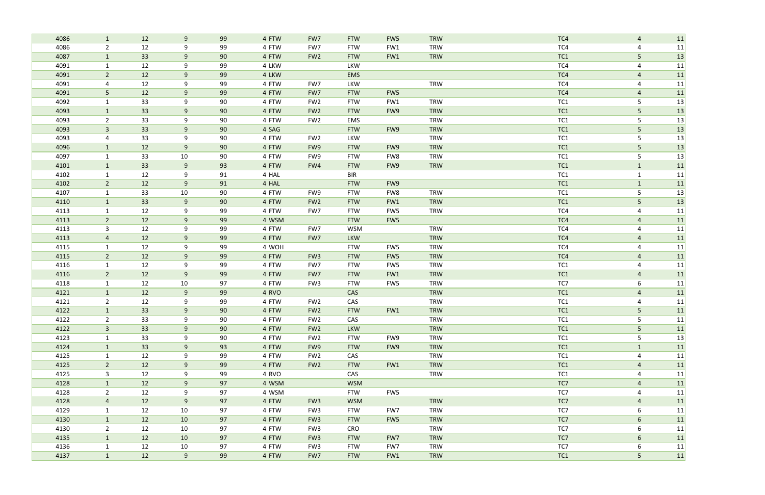| 4086 | $\mathbf{1}$   | 12 | 9     | 99 | 4 FTW | FW7             | <b>FTW</b> | FW <sub>5</sub> | <b>TRW</b> | TC4             | $\overline{4}$ | 11 |
|------|----------------|----|-------|----|-------|-----------------|------------|-----------------|------------|-----------------|----------------|----|
| 4086 | $\overline{2}$ | 12 | 9     | 99 | 4 FTW | FW7             | <b>FTW</b> | FW1             | <b>TRW</b> | TC4             | $\overline{4}$ | 11 |
| 4087 | $\mathbf{1}$   | 33 | 9     | 90 | 4 FTW | FW <sub>2</sub> | <b>FTW</b> | FW1             | <b>TRW</b> | TC1             | 5              | 13 |
| 4091 | $\mathbf{1}$   | 12 | 9     | 99 | 4 LKW |                 | LKW        |                 |            | TC4             | 4              | 11 |
| 4091 | $\overline{2}$ | 12 | 9     | 99 | 4 LKW |                 | EMS        |                 |            | TC4             | 4              | 11 |
| 4091 | 4              | 12 | 9     | 99 | 4 FTW | FW7             | LKW        |                 | <b>TRW</b> | TC4             | $\overline{4}$ | 11 |
| 4091 | 5              | 12 | 9     | 99 | 4 FTW | FW7             | <b>FTW</b> | FW5             |            | TC4             | $\overline{4}$ | 11 |
| 4092 | $\mathbf{1}$   | 33 | 9     | 90 | 4 FTW | FW <sub>2</sub> | <b>FTW</b> | FW1             | <b>TRW</b> | TC1             | 5              | 13 |
| 4093 | $\mathbf{1}$   | 33 | 9     | 90 | 4 FTW | FW <sub>2</sub> | <b>FTW</b> | FW9             | <b>TRW</b> | TC1             | 5              | 13 |
| 4093 | $\overline{2}$ | 33 | 9     | 90 | 4 FTW | FW <sub>2</sub> | EMS        |                 | <b>TRW</b> | TC1             | 5              | 13 |
| 4093 | $\mathbf{3}$   | 33 | $9\,$ | 90 | 4 SAG |                 | <b>FTW</b> | FW9             | TRW        | TC1             | 5 <sub>5</sub> | 13 |
| 4093 | 4              | 33 | 9     | 90 | 4 FTW | FW <sub>2</sub> | LKW        |                 | <b>TRW</b> | TC1             | 5              | 13 |
| 4096 | $\mathbf{1}$   | 12 | 9     | 90 | 4 FTW | FW9             | <b>FTW</b> | FW9             | <b>TRW</b> | TC1             | 5              | 13 |
| 4097 | $\mathbf{1}$   | 33 | 10    | 90 | 4 FTW | FW9             | <b>FTW</b> | FW8             | <b>TRW</b> | TC <sub>1</sub> | 5              | 13 |
| 4101 | $\mathbf{1}$   | 33 | 9     | 93 | 4 FTW | FW4             | <b>FTW</b> | FW9             | <b>TRW</b> | TC1             | $\mathbf{1}$   | 11 |
| 4102 | $\mathbf{1}$   | 12 | 9     | 91 | 4 HAL |                 | <b>BIR</b> |                 |            | TC1             | $\mathbf{1}$   | 11 |
| 4102 | $\overline{2}$ | 12 | 9     | 91 | 4 HAL |                 | <b>FTW</b> | FW9             |            | TC1             | $\mathbf{1}$   | 11 |
| 4107 | $\mathbf{1}$   | 33 | 10    | 90 | 4 FTW | FW9             | <b>FTW</b> | FW8             | <b>TRW</b> | TC1             | 5              | 13 |
| 4110 | $\mathbf{1}$   | 33 | $9\,$ | 90 | 4 FTW | FW <sub>2</sub> | <b>FTW</b> | FW1             | <b>TRW</b> | TC1             | 5              | 13 |
| 4113 | $\mathbf{1}$   | 12 | 9     | 99 | 4 FTW | FW7             | <b>FTW</b> | FW5             | <b>TRW</b> | TC4             | 4              | 11 |
| 4113 | $\overline{2}$ | 12 | 9     | 99 | 4 WSM |                 | <b>FTW</b> | FW5             |            | TC4             | $\overline{4}$ | 11 |
| 4113 | 3              | 12 | 9     | 99 | 4 FTW | FW7             | <b>WSM</b> |                 | <b>TRW</b> | TC4             | 4              | 11 |
| 4113 | $\overline{a}$ | 12 | $9\,$ | 99 | 4 FTW | FW7             | <b>LKW</b> |                 | <b>TRW</b> | TC4             | $\overline{a}$ | 11 |
| 4115 | 1              | 12 | 9     | 99 | 4 WOH |                 | <b>FTW</b> | FW5             | <b>TRW</b> | TC4             | 4              | 11 |
| 4115 | $2^{\circ}$    | 12 | 9     | 99 | 4 FTW | FW <sub>3</sub> | <b>FTW</b> | FW5             | <b>TRW</b> | TC4             | $\overline{4}$ | 11 |
| 4116 | 1              | 12 | 9     | 99 | 4 FTW | FW7             | <b>FTW</b> | FW5             | <b>TRW</b> | TC1             | 4              | 11 |
| 4116 | $2^{\circ}$    | 12 | 9     | 99 | 4 FTW | FW7             | <b>FTW</b> | FW1             | <b>TRW</b> | TC1             | $\overline{4}$ | 11 |
| 4118 | $\mathbf 1$    | 12 | 10    | 97 | 4 FTW | FW <sub>3</sub> | <b>FTW</b> | FW5             | <b>TRW</b> | TC7             | 6              | 11 |
| 4121 | $\mathbf{1}$   | 12 | 9     | 99 | 4 RVO |                 | CAS        |                 | <b>TRW</b> | TC1             | $\overline{a}$ | 11 |
| 4121 | $\overline{2}$ | 12 | 9     | 99 | 4 FTW | FW <sub>2</sub> | CAS        |                 | <b>TRW</b> | TC1             | 4              | 11 |
| 4122 |                | 33 | 9     | 90 | 4 FTW | FW <sub>2</sub> | <b>FTW</b> | FW1             | <b>TRW</b> | TC1             | 5              | 11 |
| 4122 | $\overline{2}$ | 33 | 9     | 90 | 4 FTW | FW <sub>2</sub> | CAS        |                 | TRW        | TC1             | 5              | 11 |
| 4122 | $\mathbf{3}$   | 33 | 9     | 90 | 4 FTW | FW <sub>2</sub> | LKW        |                 | <b>TRW</b> | TC1             | 5 <sub>1</sub> | 11 |
| 4123 | $\mathbf{1}$   | 33 | 9     | 90 | 4 FTW | FW <sub>2</sub> | <b>FTW</b> | FW9             | TRW        | TC1             | 5              | 13 |
| 4124 | $\mathbf{1}$   | 33 | 9     | 93 | 4 FTW | FW9             | <b>FTW</b> | FW9             | <b>TRW</b> | TC1             | $\mathbf{1}$   | 11 |
| 4125 | $\mathbf{1}$   | 12 | 9     | 99 | 4 FTW | FW <sub>2</sub> | CAS        |                 | <b>TRW</b> | TC1             | 4              | 11 |
| 4125 | $2^{\circ}$    | 12 | 9     | 99 | 4 FTW | FW <sub>2</sub> | <b>FTW</b> | FW1             | <b>TRW</b> | TC1             | $\overline{4}$ | 11 |
| 4125 | $\mathbf{3}$   | 12 | 9     | 99 | 4 RVO |                 | CAS        |                 | TRW        | TC1             | $\overline{4}$ | 11 |
| 4128 | $\mathbf{1}$   | 12 | 9     | 97 | 4 WSM |                 | <b>WSM</b> |                 |            | TC7             | $\overline{a}$ | 11 |
| 4128 | $2^{\circ}$    | 12 | 9     | 97 | 4 WSM |                 | <b>FTW</b> | FW5             |            | TC7             | 4              | 11 |
| 4128 | $\overline{4}$ | 12 | 9     | 97 | 4 FTW | FW <sub>3</sub> | <b>WSM</b> |                 | <b>TRW</b> | TC7             | $\overline{4}$ | 11 |
| 4129 | $\mathbf{1}$   | 12 | 10    | 97 | 4 FTW | FW3             | <b>FTW</b> | FW7             | TRW        | TC7             | 6              | 11 |
| 4130 | $\mathbf{1}$   | 12 | 10    | 97 | 4 FTW | FW <sub>3</sub> | <b>FTW</b> | FW5             | <b>TRW</b> | TC7             | 6              | 11 |
| 4130 | $2^{\circ}$    | 12 | 10    | 97 | 4 FTW | FW <sub>3</sub> | <b>CRO</b> |                 | <b>TRW</b> | TC7             | 6              | 11 |
| 4135 | $\mathbf{1}$   | 12 | 10    | 97 | 4 FTW | FW <sub>3</sub> | <b>FTW</b> | FW7             | <b>TRW</b> | TC7             | 6              | 11 |
| 4136 | $\mathbf{1}$   | 12 | 10    | 97 | 4 FTW | FW3             | <b>FTW</b> | FW7             | <b>TRW</b> | TC7             | 6              | 11 |
| 4137 | $\mathbf{1}$   | 12 | 9     | 99 | 4 FTW | FW7             | <b>FTW</b> | FW1             | TRW        | TC1             | 5 <sub>1</sub> | 11 |
|      |                |    |       |    |       |                 |            |                 |            |                 |                |    |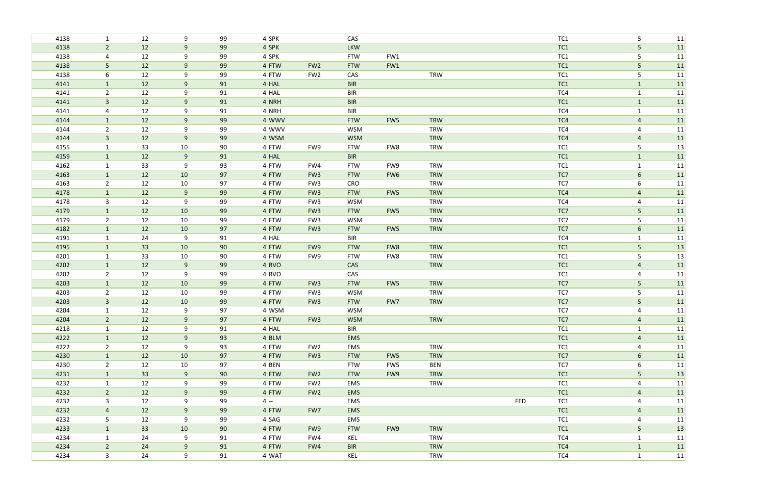| 4138 | $\mathbf{1}$   | 12 | 9     | 99 | 4 SPK |                 | CAS        |     |            |     | TC1             | 5               | 11 |
|------|----------------|----|-------|----|-------|-----------------|------------|-----|------------|-----|-----------------|-----------------|----|
| 4138 | $2^{\circ}$    | 12 | 9     | 99 | 4 SPK |                 | LKW        |     |            |     | TC1             | 5               | 11 |
| 4138 | 4              | 12 | 9     | 99 | 4 SPK |                 | <b>FTW</b> | FW1 |            |     | TC <sub>1</sub> | 5               | 11 |
| 4138 | 5              | 12 | 9     | 99 | 4 FTW | FW <sub>2</sub> | <b>FTW</b> | FW1 |            |     | TC1             | 5               | 11 |
| 4138 | 6              | 12 | 9     | 99 | 4 FTW | FW <sub>2</sub> | CAS        |     | <b>TRW</b> |     | TC1             | 5               | 11 |
| 4141 | $\mathbf{1}$   | 12 | $9\,$ | 91 | 4 HAL |                 | <b>BIR</b> |     |            |     | TC1             | $\mathbf{1}$    | 11 |
| 4141 | $\overline{2}$ | 12 | 9     | 91 | 4 HAL |                 | <b>BIR</b> |     |            |     | TC4             | $\mathbf 1$     | 11 |
| 4141 | $\mathbf{3}$   | 12 | 9     | 91 | 4 NRH |                 | <b>BIR</b> |     |            |     | TC1             | $\mathbf{1}$    | 11 |
| 4141 | 4              | 12 | 9     | 91 | 4 NRH |                 | <b>BIR</b> |     |            |     | TC4             | $\mathbf{1}$    | 11 |
| 4144 | $\mathbf{1}$   | 12 | 9     | 99 | 4 WWV |                 | <b>FTW</b> | FW5 | <b>TRW</b> |     | TC4             | $\overline{a}$  | 11 |
| 4144 | $\overline{2}$ | 12 | 9     | 99 | 4 WWV |                 | <b>WSM</b> |     | <b>TRW</b> |     | TC4             | 4               | 11 |
| 4144 | $\mathbf{3}$   | 12 | 9     | 99 | 4 WSM |                 | <b>WSM</b> |     | TRW        |     | TC4             | $\overline{4}$  | 11 |
| 4155 | $\mathbf{1}$   | 33 | 10    | 90 | 4 FTW | FW9             | <b>FTW</b> | FW8 | <b>TRW</b> |     | TC1             | 5               | 13 |
| 4159 | $\mathbf{1}$   | 12 | 9     | 91 | 4 HAL |                 | <b>BIR</b> |     |            |     | TC1             | $\mathbf{1}$    | 11 |
| 4162 | $\mathbf{1}$   | 33 | 9     | 93 | 4 FTW | FW4             | <b>FTW</b> | FW9 | <b>TRW</b> |     | TC <sub>1</sub> | $\mathbf{1}$    | 11 |
| 4163 | $\mathbf{1}$   | 12 | 10    | 97 | 4 FTW | FW <sub>3</sub> | <b>FTW</b> | FW6 | <b>TRW</b> |     | TC7             | $6\overline{6}$ | 11 |
| 4163 | $\overline{2}$ | 12 | 10    | 97 | 4 FTW | FW <sub>3</sub> | CRO        |     | <b>TRW</b> |     | TC7             | 6               | 11 |
| 4178 | $\mathbf{1}$   | 12 | $9\,$ | 99 | 4 FTW | FW <sub>3</sub> | <b>FTW</b> | FW5 | <b>TRW</b> |     | TC4             | $\overline{4}$  | 11 |
| 4178 | 3              | 12 | 9     | 99 | 4 FTW | FW <sub>3</sub> | <b>WSM</b> |     | <b>TRW</b> |     | TC4             | $\overline{4}$  | 11 |
| 4179 | $\mathbf{1}$   | 12 | 10    | 99 | 4 FTW | FW <sub>3</sub> | <b>FTW</b> | FW5 | <b>TRW</b> |     | TC7             | $5\phantom{.}$  | 11 |
| 4179 | $\overline{2}$ | 12 | 10    | 99 | 4 FTW | FW <sub>3</sub> | <b>WSM</b> |     | <b>TRW</b> |     | TC7             | 5               | 11 |
| 4182 | $\mathbf{1}$   | 12 | 10    | 97 | 4 FTW | FW <sub>3</sub> | <b>FTW</b> | FW5 | <b>TRW</b> |     | TC7             | 6               | 11 |
| 4191 | 1              | 24 | 9     | 91 | 4 HAL |                 | <b>BIR</b> |     |            |     | TC4             | $\mathbf{1}$    | 11 |
| 4195 | $\mathbf{1}$   | 33 | 10    | 90 | 4 FTW | FW9             | <b>FTW</b> | FW8 | <b>TRW</b> |     | TC1             | 5 <sub>1</sub>  | 13 |
| 4201 | $\mathbf{1}$   | 33 | 10    | 90 | 4 FTW | FW9             | <b>FTW</b> | FW8 | <b>TRW</b> |     | TC1             | 5               | 13 |
| 4202 | $\mathbf{1}$   | 12 | 9     | 99 | 4 RVO |                 | CAS        |     | <b>TRW</b> |     | TC1             | $\overline{4}$  | 11 |
| 4202 | $2^{\circ}$    | 12 | 9     | 99 | 4 RVO |                 | CAS        |     |            |     | TC1             | 4               | 11 |
| 4203 | $\mathbf{1}$   | 12 | 10    | 99 | 4 FTW | FW <sub>3</sub> | <b>FTW</b> | FW5 | <b>TRW</b> |     | TC7             | 5               | 11 |
| 4203 | $\overline{2}$ | 12 | 10    | 99 | 4 FTW | FW <sub>3</sub> | <b>WSM</b> |     | <b>TRW</b> |     | TC7             | 5               | 11 |
| 4203 | $\mathbf{3}$   | 12 | 10    | 99 | 4 FTW | FW <sub>3</sub> | <b>FTW</b> | FW7 | <b>TRW</b> |     | TC7             | 5               | 11 |
| 4204 | $\mathbf{1}$   | 12 | 9     | 97 | 4 WSM |                 | <b>WSM</b> |     |            |     | TC7             | $\overline{4}$  | 11 |
| 4204 | 2 <sup>2</sup> | 12 | 9     | 97 | 4 FTW | FW <sub>3</sub> | <b>WSM</b> |     | <b>TRW</b> |     | TC7             | $\overline{4}$  | 11 |
| 4218 | $\mathbf{1}$   | 12 | 9     | 91 | 4 HAL |                 | <b>BIR</b> |     |            |     | TC1             | $\mathbf{1}$    | 11 |
| 4222 | $\mathbf{1}$   | 12 | 9     | 93 | 4 BLM |                 | <b>EMS</b> |     |            |     | TC1             | $\overline{4}$  | 11 |
| 4222 | $\overline{2}$ | 12 | 9     | 93 | 4 FTW | FW <sub>2</sub> | EMS        |     | <b>TRW</b> |     | TC <sub>1</sub> | 4               | 11 |
| 4230 | $\mathbf{1}$   | 12 | 10    | 97 | 4 FTW | FW <sub>3</sub> | <b>FTW</b> | FW5 | <b>TRW</b> |     | TC7             | 6               | 11 |
| 4230 | $2^{\circ}$    | 12 | 10    | 97 | 4 BEN |                 | <b>FTW</b> | FW5 | <b>BEN</b> |     | TC7             | 6               | 11 |
| 4231 | $\mathbf{1}$   | 33 | 9     | 90 | 4 FTW | FW <sub>2</sub> | <b>FTW</b> | FW9 | <b>TRW</b> |     | TC1             | 5 <sup>1</sup>  | 13 |
| 4232 | $\mathbf{1}$   | 12 | 9     | 99 | 4 FTW | FW <sub>2</sub> | EMS        |     | <b>TRW</b> |     | TC <sub>1</sub> | $\overline{4}$  | 11 |
| 4232 | 2 <sup>2</sup> | 12 | 9     | 99 | 4 FTW | FW <sub>2</sub> | <b>EMS</b> |     |            |     | TC1             | $\overline{a}$  | 11 |
| 4232 | $\mathbf{3}$   | 12 | 9     | 99 | $4 -$ |                 | EMS        |     |            | FED | TC1             | 4               | 11 |
| 4232 | $\overline{4}$ | 12 | 9     | 99 | 4 FTW | FW7             | <b>EMS</b> |     |            |     | TC1             | $\overline{4}$  | 11 |
| 4232 | 5 <sub>1</sub> | 12 | 9     | 99 | 4 SAG |                 | EMS        |     |            |     | TC1             | 4               | 11 |
| 4233 | $\mathbf{1}$   | 33 | 10    | 90 | 4 FTW | FW9             | <b>FTW</b> | FW9 | <b>TRW</b> |     | TC1             | 5               | 13 |
| 4234 | $\mathbf{1}$   | 24 | 9     | 91 | 4 FTW | FW4             | KEL        |     | TRW        |     | TC4             | $\mathbf{1}$    | 11 |
| 4234 | 2 <sup>2</sup> | 24 | 9     | 91 | 4 FTW | FW4             | <b>BIR</b> |     | <b>TRW</b> |     | TC4             | $\mathbf{1}$    | 11 |
| 4234 | 3 <sup>7</sup> | 24 | 9     | 91 | 4 WAT |                 | KEL        |     | TRW        |     | TC4             | $\mathbf{1}$    | 11 |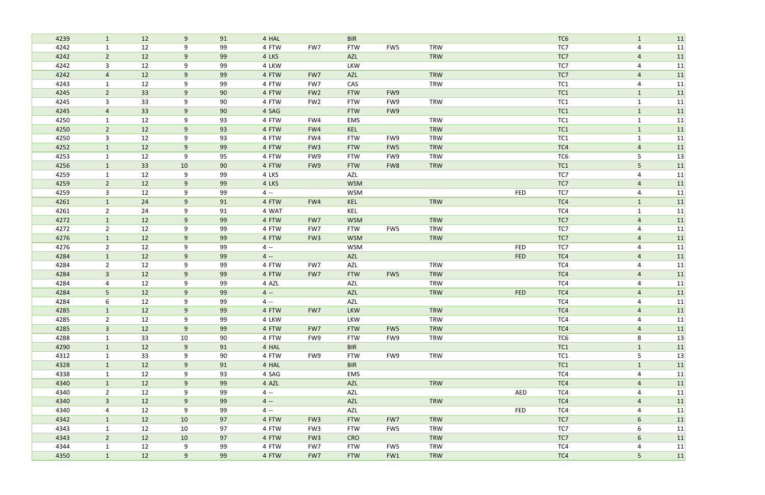| 4239 | $\mathbf{1}$   | 12 | 9              | 91 | 4 HAL |                 | <b>BIR</b> |     |            |            | TC <sub>6</sub> | $\mathbf{1}$   | 11 |
|------|----------------|----|----------------|----|-------|-----------------|------------|-----|------------|------------|-----------------|----------------|----|
| 4242 | 1              | 12 | 9              | 99 | 4 FTW | FW7             | <b>FTW</b> | FW5 | <b>TRW</b> |            | TC7             | 4              | 11 |
| 4242 | $\overline{2}$ | 12 | 9              | 99 | 4 LKS |                 | AZL        |     | TRW        |            | TC7             | $\overline{a}$ | 11 |
| 4242 | 3              | 12 | 9              | 99 | 4 LKW |                 | LKW        |     |            |            | TC7             | $\overline{4}$ | 11 |
| 4242 | $\overline{4}$ | 12 | 9              | 99 | 4 FTW | FW7             | AZL        |     | <b>TRW</b> |            | TC7             | $\overline{a}$ | 11 |
| 4243 | $\mathbf{1}$   | 12 | 9              | 99 | 4 FTW | FW7             | CAS        |     | <b>TRW</b> |            | TC1             | $\overline{4}$ | 11 |
| 4245 | $2^{\circ}$    | 33 | 9              | 90 | 4 FTW | FW <sub>2</sub> | <b>FTW</b> | FW9 |            |            | TC1             | $\mathbf{1}$   | 11 |
| 4245 | 3              | 33 | 9              | 90 | 4 FTW | FW <sub>2</sub> | <b>FTW</b> | FW9 | <b>TRW</b> |            | TC1             | $\mathbf{1}$   | 11 |
| 4245 | $\overline{4}$ | 33 | 9              | 90 | 4 SAG |                 | <b>FTW</b> | FW9 |            |            | TC1             | $\mathbf{1}$   | 11 |
| 4250 | 1              | 12 | 9              | 93 | 4 FTW | FW4             | EMS        |     | <b>TRW</b> |            | TC <sub>1</sub> | $\mathbf 1$    | 11 |
| 4250 | $\overline{2}$ | 12 | 9              | 93 | 4 FTW | FW4             | KEL        |     | <b>TRW</b> |            | TC1             | $\mathbf{1}$   | 11 |
| 4250 | 3              | 12 | 9              | 93 | 4 FTW | FW4             | <b>FTW</b> | FW9 | <b>TRW</b> |            | TC1             | $\mathbf 1$    | 11 |
| 4252 | $\mathbf{1}$   | 12 | 9              | 99 | 4 FTW | FW <sub>3</sub> | <b>FTW</b> | FW5 | <b>TRW</b> |            | TC4             | $\overline{4}$ | 11 |
| 4253 | 1              | 12 | 9              | 95 | 4 FTW | FW9             | <b>FTW</b> | FW9 | <b>TRW</b> |            | TC <sub>6</sub> | 5              | 13 |
| 4256 | $\mathbf{1}$   | 33 | 10             | 90 | 4 FTW | FW9             | <b>FTW</b> | FW8 | <b>TRW</b> |            | TC1             | 5 <sub>1</sub> | 11 |
| 4259 | $\mathbf{1}$   | 12 | 9              | 99 | 4 LKS |                 | AZL        |     |            |            | TC7             | 4              | 11 |
| 4259 | $2^{\circ}$    | 12 | 9              | 99 | 4 LKS |                 | <b>WSM</b> |     |            |            | TC7             | $\overline{4}$ | 11 |
| 4259 | 3              | 12 | 9              | 99 | $4 -$ |                 | <b>WSM</b> |     |            | FED        | TC7             | $\overline{4}$ | 11 |
| 4261 | $\mathbf{1}$   | 24 | 9              | 91 | 4 FTW | FW4             | KEL        |     | <b>TRW</b> |            | TC4             | $\mathbf{1}$   | 11 |
| 4261 | $\overline{2}$ | 24 | 9              | 91 | 4 WAT |                 | KEL        |     |            |            | TC4             | $\mathbf{1}$   | 11 |
| 4272 | $\mathbf{1}$   | 12 | 9              | 99 | 4 FTW | FW7             | <b>WSM</b> |     | <b>TRW</b> |            | TC7             | $\overline{4}$ | 11 |
| 4272 | $\overline{2}$ | 12 | 9              | 99 | 4 FTW | FW7             | <b>FTW</b> | FW5 | <b>TRW</b> |            | TC7             | 4              | 11 |
| 4276 | $\mathbf{1}$   | 12 | 9              | 99 | 4 FTW | FW <sub>3</sub> | <b>WSM</b> |     | <b>TRW</b> |            | TC7             | $\overline{4}$ | 11 |
| 4276 | $\overline{2}$ | 12 | 9              | 99 | $4 -$ |                 | <b>WSM</b> |     |            | <b>FED</b> | TC7             | $\overline{a}$ | 11 |
| 4284 | $\mathbf{1}$   | 12 | 9              | 99 | $4 -$ |                 | AZL        |     |            | <b>FED</b> | TC4             | $\overline{4}$ | 11 |
| 4284 | $\overline{2}$ | 12 | 9              | 99 | 4 FTW | FW7             | AZL        |     | <b>TRW</b> |            | TC4             | 4              | 11 |
| 4284 | $\overline{3}$ | 12 | 9              | 99 | 4 FTW | FW7             | <b>FTW</b> | FW5 | <b>TRW</b> |            | TC4             | $\overline{4}$ | 11 |
| 4284 | 4              | 12 | 9              | 99 | 4 AZL |                 | AZL        |     | <b>TRW</b> |            | TC4             | 4              | 11 |
| 4284 | 5              | 12 | 9              | 99 | $4 -$ |                 | <b>AZL</b> |     | <b>TRW</b> | <b>FED</b> | TC4             | $\overline{a}$ | 11 |
| 4284 | 6              | 12 | 9              | 99 | $4 -$ |                 | AZL        |     |            |            | TC4             | 4              | 11 |
| 4285 |                | 12 | 9              | 99 | 4 FTW | FW7             | <b>LKW</b> |     | TRW        |            | TC4             | $\overline{4}$ | 11 |
| 4285 | $\overline{2}$ | 12 | 9              | 99 | 4 LKW |                 | LKW        |     | <b>TRW</b> |            | TC4             | 4              | 11 |
| 4285 | 3 <sup>1</sup> | 12 | 9              | 99 | 4 FTW | FW7             | <b>FTW</b> | FW5 | <b>TRW</b> |            | TC4             | $\overline{4}$ | 11 |
| 4288 | $\mathbf{1}$   | 33 | 10             | 90 | 4 FTW | FW9             | <b>FTW</b> | FW9 | TRW        |            | TC6             | 8              | 13 |
| 4290 | $\mathbf{1}$   | 12 | 9              | 91 | 4 HAL |                 | <b>BIR</b> |     |            |            | TC1             | $\mathbf{1}$   | 11 |
| 4312 | $\mathbf{1}$   | 33 | 9              | 90 | 4 FTW | FW9             | <b>FTW</b> | FW9 | <b>TRW</b> |            | TC1             | 5              | 13 |
| 4328 | $\mathbf{1}$   | 12 | 9              | 91 | 4 HAL |                 | <b>BIR</b> |     |            |            | TC1             | $\mathbf{1}$   | 11 |
| 4338 | $\mathbf{1}$   | 12 | 9              | 93 | 4 SAG |                 | EMS        |     |            |            | TC4             | 4              | 11 |
| 4340 | 1              | 12 | 9              | 99 | 4 AZL |                 | AZL        |     | TRW        |            | TC4             | $\overline{4}$ | 11 |
| 4340 | $2^{\circ}$    | 12 | 9              | 99 | $4 -$ |                 | AZL        |     |            | AED        | TC4             | 4              | 11 |
| 4340 | 3 <sup>1</sup> | 12 | 9              | 99 | $4 -$ |                 | AZL        |     | <b>TRW</b> |            | TC4             | $\overline{4}$ | 11 |
| 4340 | 4              | 12 | 9              | 99 | $4 -$ |                 | AZL        |     |            | <b>FED</b> | TC4             | 4              | 11 |
| 4342 | $\mathbf{1}$   | 12 | 10             | 97 | 4 FTW | FW <sub>3</sub> | <b>FTW</b> | FW7 | TRW        |            | TC7             | 6              | 11 |
| 4343 | $\mathbf{1}$   | 12 | 10             | 97 | 4 FTW | FW3             | <b>FTW</b> | FW5 | TRW        |            | TC7             | 6              | 11 |
| 4343 | 2 <sup>2</sup> | 12 | 10             | 97 | 4 FTW | FW <sub>3</sub> | <b>CRO</b> |     | <b>TRW</b> |            | TC7             | 6              | 11 |
| 4344 | $\mathbf{1}$   | 12 | 9              | 99 | 4 FTW | FW7             | <b>FTW</b> | FW5 | <b>TRW</b> |            | TC4             | 4              | 11 |
| 4350 | $\mathbf{1}$   | 12 | 9 <sup>°</sup> | 99 | 4 FTW | FW7             | <b>FTW</b> | FW1 | <b>TRW</b> |            | TC4             | 5 <sub>1</sub> | 11 |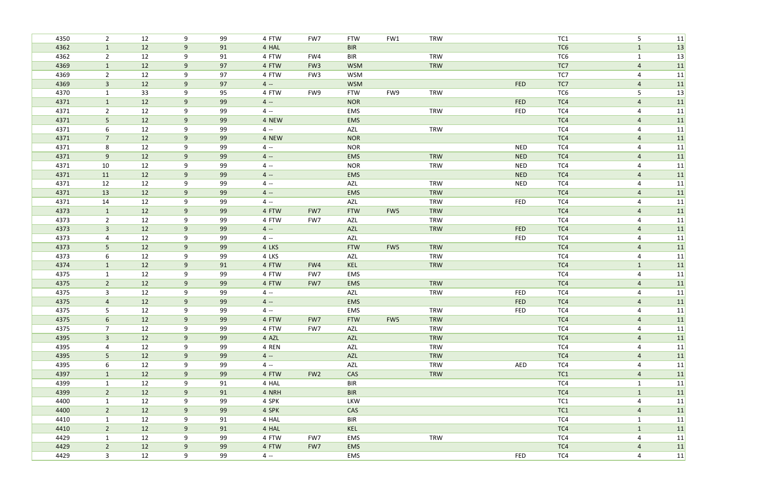| 4350 | $\overline{2}$  | 12 | 9     | 99 | 4 FTW | FW7             | <b>FTW</b> | FW1 | <b>TRW</b> |            | TC1             | 5              | 11 |
|------|-----------------|----|-------|----|-------|-----------------|------------|-----|------------|------------|-----------------|----------------|----|
| 4362 | $\mathbf{1}$    | 12 | $9\,$ | 91 | 4 HAL |                 | <b>BIR</b> |     |            |            | TC <sub>6</sub> | $\mathbf{1}$   | 13 |
| 4362 | $\overline{2}$  | 12 | 9     | 91 | 4 FTW | FW4             | <b>BIR</b> |     | <b>TRW</b> |            | TC <sub>6</sub> | $\mathbf 1$    | 13 |
| 4369 | $\mathbf{1}$    | 12 | 9     | 97 | 4 FTW | FW <sub>3</sub> | <b>WSM</b> |     | <b>TRW</b> |            | TC7             | $\overline{a}$ | 11 |
| 4369 | $\overline{2}$  | 12 | 9     | 97 | 4 FTW | FW3             | <b>WSM</b> |     |            |            | TC7             | $\overline{4}$ | 11 |
| 4369 | $\mathbf{3}$    | 12 | 9     | 97 | $4 -$ |                 | <b>WSM</b> |     |            | <b>FED</b> | TC7             | $\overline{a}$ | 11 |
| 4370 | 1               | 33 | 9     | 95 | 4 FTW | FW9             | <b>FTW</b> | FW9 | <b>TRW</b> |            | TC6             | 5              | 13 |
| 4371 | $\mathbf{1}$    | 12 | $9$   | 99 | $4 -$ |                 | <b>NOR</b> |     |            | <b>FED</b> | TC4             | $\overline{4}$ | 11 |
| 4371 | $\overline{2}$  | 12 | 9     | 99 | $4 -$ |                 | EMS        |     | <b>TRW</b> | <b>FED</b> | TC4             | $\overline{4}$ | 11 |
| 4371 | 5               | 12 | 9     | 99 | 4 NEW |                 | EMS        |     |            |            | TC4             | $\overline{4}$ | 11 |
| 4371 | 6               | 12 | 9     | 99 | $4 -$ |                 | AZL        |     | <b>TRW</b> |            | TC4             | $\overline{4}$ | 11 |
| 4371 | $\overline{7}$  | 12 | 9     | 99 | 4 NEW |                 | <b>NOR</b> |     |            |            | TC4             | $\overline{4}$ | 11 |
| 4371 | 8               | 12 | 9     | 99 | $4 -$ |                 | <b>NOR</b> |     |            | <b>NED</b> | TC4             | 4              | 11 |
| 4371 | 9               | 12 | 9     | 99 | $4 -$ |                 | EMS        |     | <b>TRW</b> | <b>NED</b> | TC4             | $\overline{4}$ | 11 |
| 4371 | 10              | 12 | 9     | 99 | $4 -$ |                 | <b>NOR</b> |     | <b>TRW</b> | <b>NED</b> | TC4             | $\overline{4}$ | 11 |
| 4371 | 11              | 12 | 9     | 99 | $4 -$ |                 | EMS        |     |            | <b>NED</b> | TC4             | $\overline{a}$ | 11 |
| 4371 | 12              | 12 | 9     | 99 | $4 -$ |                 | AZL        |     | <b>TRW</b> | <b>NED</b> | TC4             | 4              | 11 |
| 4371 | 13              | 12 | $9\,$ | 99 | $4 -$ |                 | EMS        |     | TRW        |            | TC4             | $\overline{a}$ | 11 |
| 4371 | 14              | 12 | 9     | 99 | $4 -$ |                 | AZL        |     | <b>TRW</b> | FED        | TC4             | -4             | 11 |
| 4373 | $\mathbf{1}$    | 12 | 9     | 99 | 4 FTW | FW7             | <b>FTW</b> | FW5 | <b>TRW</b> |            | TC4             | $\overline{a}$ | 11 |
| 4373 | $\overline{2}$  | 12 | 9     | 99 | 4 FTW | FW7             | <b>AZL</b> |     | <b>TRW</b> |            | TC4             | $\overline{4}$ | 11 |
| 4373 | $\mathbf{3}$    | 12 | 9     | 99 | $4 -$ |                 | <b>AZL</b> |     | TRW        | <b>FED</b> | TC4             | $\overline{a}$ | 11 |
| 4373 | 4               | 12 | 9     | 99 | $4 -$ |                 | AZL        |     |            | FED        | TC4             | 4              | 11 |
| 4373 | 5               | 12 | 9     | 99 | 4 LKS |                 | <b>FTW</b> | FW5 | <b>TRW</b> |            | TC4             | $\overline{4}$ | 11 |
| 4373 | 6               | 12 | 9     | 99 | 4 LKS |                 | AZL        |     | <b>TRW</b> |            | TC4             | $\overline{4}$ | 11 |
| 4374 | $\mathbf{1}$    | 12 | 9     | 91 | 4 FTW | FW4             | KEL        |     | <b>TRW</b> |            | TC4             | $\mathbf{1}$   | 11 |
| 4375 | $\mathbf{1}$    | 12 | 9     | 99 | 4 FTW | FW7             | EMS        |     |            |            | TC4             | 4              | 11 |
| 4375 | $\overline{2}$  | 12 | 9     | 99 | 4 FTW | FW7             | EMS        |     | <b>TRW</b> |            | TC4             | 4              | 11 |
| 4375 | 3               | 12 | 9     | 99 | $4 -$ |                 | AZL        |     | <b>TRW</b> | <b>FED</b> | TC4             | 4              | 11 |
| 4375 | $\overline{4}$  | 12 | $9\,$ | 99 | $4 -$ |                 | <b>EMS</b> |     |            | <b>FED</b> | TC4             | $\overline{a}$ | 11 |
| 4375 | 5               | 12 | 9     | 99 | $4 -$ |                 | EMS        |     | <b>TRW</b> | FED        | TC4             | 4              | 11 |
| 4375 | $6\overline{6}$ | 12 | 9     | 99 | 4 FTW | FW7             | <b>FTW</b> | FW5 | <b>TRW</b> |            | TC4             | $\overline{a}$ | 11 |
| 4375 | 7 <sup>1</sup>  | 12 | 9     | 99 | 4 FTW | FW7             | AZL        |     | <b>TRW</b> |            | TC4             | 4              | 11 |
| 4395 | $\mathbf{3}$    | 12 | 9     | 99 | 4 AZL |                 | AZL        |     | <b>TRW</b> |            | TC4             | $\overline{4}$ | 11 |
| 4395 | 4               | 12 | 9     | 99 | 4 REN |                 | AZL        |     | <b>TRW</b> |            | TC4             | 4              | 11 |
| 4395 | 5 <sub>1</sub>  | 12 | 9     | 99 | $4 -$ |                 | AZL        |     | <b>TRW</b> |            | TC4             | 4              | 11 |
| 4395 | 6               | 12 | 9     | 99 | $4 -$ |                 | AZL        |     | <b>TRW</b> | AED        | TC4             | 4              | 11 |
| 4397 | $\mathbf{1}$    | 12 | 9     | 99 | 4 FTW | FW <sub>2</sub> | CAS        |     | TRW        |            | TC1             | $\overline{4}$ | 11 |
| 4399 | $\mathbf{1}$    | 12 | 9     | 91 | 4 HAL |                 | <b>BIR</b> |     |            |            | TC4             | $\mathbf{1}$   | 11 |
| 4399 | $\overline{2}$  | 12 | $9\,$ | 91 | 4 NRH |                 | <b>BIR</b> |     |            |            | TC4             | $\mathbf{1}$   | 11 |
| 4400 | $\mathbf{1}$    | 12 | 9     | 99 | 4 SPK |                 | LKW        |     |            |            | TC1             | 4              | 11 |
| 4400 | $\overline{2}$  | 12 | 9     | 99 | 4 SPK |                 | CAS        |     |            |            | TC1             | $\overline{4}$ | 11 |
| 4410 | $\mathbf{1}$    | 12 | 9     | 91 | 4 HAL |                 | <b>BIR</b> |     |            |            | TC4             | $\mathbf{1}$   | 11 |
| 4410 | $2^{\circ}$     | 12 | 9     | 91 | 4 HAL |                 | KEL        |     |            |            | TC4             | $\mathbf{1}$   | 11 |
| 4429 | $\mathbf{1}$    | 12 | 9     | 99 | 4 FTW | FW7             | EMS        |     | <b>TRW</b> |            | TC4             | $\overline{4}$ | 11 |
| 4429 | $2^{\circ}$     | 12 | 9     | 99 | 4 FTW | FW7             | <b>EMS</b> |     |            |            | TC4             | 4              | 11 |
| 4429 | 3 <sup>7</sup>  | 12 | 9     | 99 | $4 -$ |                 | EMS        |     |            | FED        | TC4             | 4              | 11 |
|      |                 |    |       |    |       |                 |            |     |            |            |                 |                |    |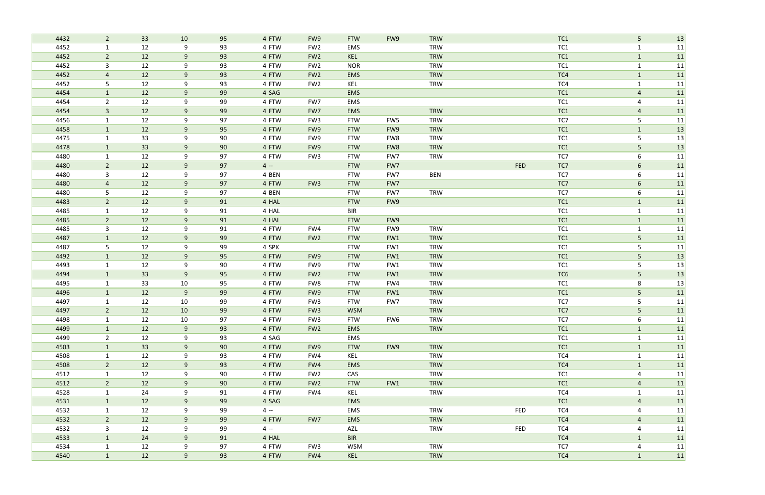| 4432 | $2^{\circ}$    | 33 | 10 | 95 | 4 FTW | FW9             | <b>FTW</b> | FW9 | <b>TRW</b> |            | TC1             | 5              | 13 |
|------|----------------|----|----|----|-------|-----------------|------------|-----|------------|------------|-----------------|----------------|----|
| 4452 | $\mathbf{1}$   | 12 | 9  | 93 | 4 FTW | FW <sub>2</sub> | EMS        |     | <b>TRW</b> |            | TC <sub>1</sub> | $\mathbf{1}$   | 11 |
| 4452 | $2^{\circ}$    | 12 | 9  | 93 | 4 FTW | FW <sub>2</sub> | KEL        |     | <b>TRW</b> |            | TC1             | $\mathbf{1}$   | 11 |
| 4452 | $\mathbf{3}$   | 12 | 9  | 93 | 4 FTW | FW <sub>2</sub> | <b>NOR</b> |     | <b>TRW</b> |            | TC1             | $\mathbf{1}$   | 11 |
| 4452 | $\overline{4}$ | 12 | 9  | 93 | 4 FTW | FW <sub>2</sub> | <b>EMS</b> |     | <b>TRW</b> |            | TC4             | $\mathbf{1}$   | 11 |
| 4452 | 5              | 12 | 9  | 93 | 4 FTW | FW <sub>2</sub> | KEL        |     | <b>TRW</b> |            | TC4             | $\mathbf{1}$   | 11 |
| 4454 | $\mathbf{1}$   | 12 | 9  | 99 | 4 SAG |                 | EMS        |     |            |            | TC1             | $\overline{4}$ | 11 |
| 4454 | $\overline{2}$ | 12 | 9  | 99 | 4 FTW | FW7             | <b>EMS</b> |     |            |            | TC <sub>1</sub> | 4              | 11 |
| 4454 | $\overline{3}$ | 12 | 9  | 99 | 4 FTW | FW7             | <b>EMS</b> |     | <b>TRW</b> |            | TC1             | $\overline{a}$ | 11 |
| 4456 | $\mathbf{1}$   | 12 | 9  | 97 | 4 FTW | FW3             | <b>FTW</b> | FW5 | <b>TRW</b> |            | TC7             | 5              | 11 |
| 4458 | $\mathbf{1}$   | 12 | 9  | 95 | 4 FTW | FW9             | <b>FTW</b> | FW9 | <b>TRW</b> |            | TC1             | $\mathbf{1}$   | 13 |
| 4475 | 1              | 33 | 9  | 90 | 4 FTW | FW9             | <b>FTW</b> | FW8 | <b>TRW</b> |            | TC1             | 5              | 13 |
| 4478 | $\mathbf{1}$   | 33 | 9  | 90 | 4 FTW | FW9             | <b>FTW</b> | FW8 | <b>TRW</b> |            | TC1             | 5              | 13 |
| 4480 | $\mathbf{1}$   | 12 | 9  | 97 | 4 FTW | FW <sub>3</sub> | <b>FTW</b> | FW7 | <b>TRW</b> |            | TC7             | 6              | 11 |
| 4480 | $\overline{2}$ | 12 | 9  | 97 | $4 -$ |                 | <b>FTW</b> | FW7 |            | <b>FED</b> | TC7             | 6              | 11 |
| 4480 | $\mathbf{3}$   | 12 | 9  | 97 | 4 BEN |                 | <b>FTW</b> | FW7 | <b>BEN</b> |            | TC7             | 6              | 11 |
| 4480 | 4              | 12 | 9  | 97 | 4 FTW | FW <sub>3</sub> | <b>FTW</b> | FW7 |            |            | TC7             | 6              | 11 |
| 4480 | 5              | 12 | 9  | 97 | 4 BEN |                 | <b>FTW</b> | FW7 | <b>TRW</b> |            | TC7             | 6              | 11 |
| 4483 | $\overline{2}$ | 12 | 9  | 91 | 4 HAL |                 | <b>FTW</b> | FW9 |            |            | TC1             | $\mathbf{1}$   | 11 |
| 4485 | $\mathbf{1}$   | 12 | 9  | 91 | 4 HAL |                 | <b>BIR</b> |     |            |            | TC1             | $\mathbf{1}$   | 11 |
| 4485 | $\overline{2}$ | 12 | 9  | 91 | 4 HAL |                 | <b>FTW</b> | FW9 |            |            | TC1             | $\mathbf{1}$   | 11 |
| 4485 | $\mathbf{3}$   | 12 | 9  | 91 | 4 FTW | FW4             | <b>FTW</b> | FW9 | <b>TRW</b> |            | TC1             | $\mathbf 1$    | 11 |
| 4487 | $\mathbf{1}$   | 12 | 9  | 99 | 4 FTW | FW <sub>2</sub> | <b>FTW</b> | FW1 | <b>TRW</b> |            | TC1             | 5 <sub>1</sub> | 11 |
| 4487 | 5              | 12 | 9  | 99 | 4 SPK |                 | <b>FTW</b> | FW1 | <b>TRW</b> |            | TC <sub>1</sub> | 5              | 11 |
| 4492 | $\mathbf{1}$   | 12 | 9  | 95 | 4 FTW | FW9             | <b>FTW</b> | FW1 | <b>TRW</b> |            | TC1             | 5 <sub>1</sub> | 13 |
| 4493 | $\mathbf{1}$   | 12 | 9  | 90 | 4 FTW | FW9             | <b>FTW</b> | FW1 | <b>TRW</b> |            | TC1             | 5              | 13 |
| 4494 | $\mathbf{1}$   | 33 | 9  | 95 | 4 FTW | FW <sub>2</sub> | <b>FTW</b> | FW1 | <b>TRW</b> |            | TC <sub>6</sub> | 5              | 13 |
| 4495 | $\mathbf 1$    | 33 | 10 | 95 | 4 FTW | FW8             | <b>FTW</b> | FW4 | <b>TRW</b> |            | TC1             | 8              | 13 |
| 4496 | $\mathbf{1}$   | 12 | 9  | 99 | 4 FTW | FW9             | <b>FTW</b> | FW1 | <b>TRW</b> |            | TC <sub>1</sub> | 5              | 11 |
| 4497 | 1              | 12 | 10 | 99 | 4 FTW | FW3             | <b>FTW</b> | FW7 | <b>TRW</b> |            | TC7             | 5              | 11 |
| 4497 | $\overline{2}$ | 12 | 10 | 99 | 4 FTW | FW <sub>3</sub> | <b>WSM</b> |     | <b>TRW</b> |            | TC7             | 5              | 11 |
| 4498 | $\mathbf{1}$   | 12 | 10 | 97 | 4 FTW | FW3             | <b>FTW</b> | FW6 | TRW        |            | TC7             | 6              | 11 |
| 4499 | $\mathbf{1}$   | 12 | 9  | 93 | 4 FTW | FW <sub>2</sub> | <b>EMS</b> |     | TRW        |            | TC1             | $\mathbf{1}$   | 11 |
| 4499 | $2^{\circ}$    | 12 | 9  | 93 | 4 SAG |                 | EMS        |     |            |            | TC1             | $\mathbf{1}$   | 11 |
| 4503 | $\mathbf{1}$   | 33 | 9  | 90 | 4 FTW | FW9             | <b>FTW</b> | FW9 | TRW        |            | TC1             | $\mathbf{1}$   | 11 |
| 4508 | $\mathbf{1}$   | 12 | 9  | 93 | 4 FTW | FW4             | KEL        |     | TRW        |            | TC4             | $\mathbf{1}$   | 11 |
| 4508 | $2^{\circ}$    | 12 | 9  | 93 | 4 FTW | FW4             | <b>EMS</b> |     | <b>TRW</b> |            | TC4             | $\mathbf{1}$   | 11 |
| 4512 | $\mathbf{1}$   | 12 | 9  | 90 | 4 FTW | FW <sub>2</sub> | CAS        |     | TRW        |            | TC1             | $\overline{4}$ | 11 |
| 4512 | $2^{\circ}$    | 12 | 9  | 90 | 4 FTW | FW <sub>2</sub> | <b>FTW</b> | FW1 | TRW        |            | TC1             | $\overline{4}$ | 11 |
| 4528 | $\mathbf{1}$   | 24 | 9  | 91 | 4 FTW | FW4             | KEL        |     | <b>TRW</b> |            | TC4             | $\mathbf{1}$   | 11 |
| 4531 | $\mathbf{1}$   | 12 | 9  | 99 | 4 SAG |                 | <b>EMS</b> |     |            |            | TC1             | $\overline{4}$ | 11 |
| 4532 | $\mathbf{1}$   | 12 | 9  | 99 | $4 -$ |                 | EMS        |     | TRW        | <b>FED</b> | TC4             | 4              | 11 |
| 4532 | $2^{\circ}$    | 12 | 9  | 99 | 4 FTW | FW7             | EMS        |     | TRW        |            | TC4             | $\overline{4}$ | 11 |
| 4532 | $\mathbf{3}$   | 12 | 9  | 99 | $4 -$ |                 | AZL        |     | <b>TRW</b> | <b>FED</b> | TC4             | $\overline{a}$ | 11 |
| 4533 | $\mathbf{1}$   | 24 | 9  | 91 | 4 HAL |                 | <b>BIR</b> |     |            |            | TC4             | $\mathbf{1}$   | 11 |
| 4534 | $\mathbf{1}$   | 12 | 9  | 97 | 4 FTW | FW <sub>3</sub> | <b>WSM</b> |     | TRW        |            | TC7             | 4              | 11 |
| 4540 | $\mathbf{1}$   | 12 | 9  | 93 | 4 FTW | FW4             | KEL        |     | <b>TRW</b> |            | TC4             | $\mathbf{1}$   | 11 |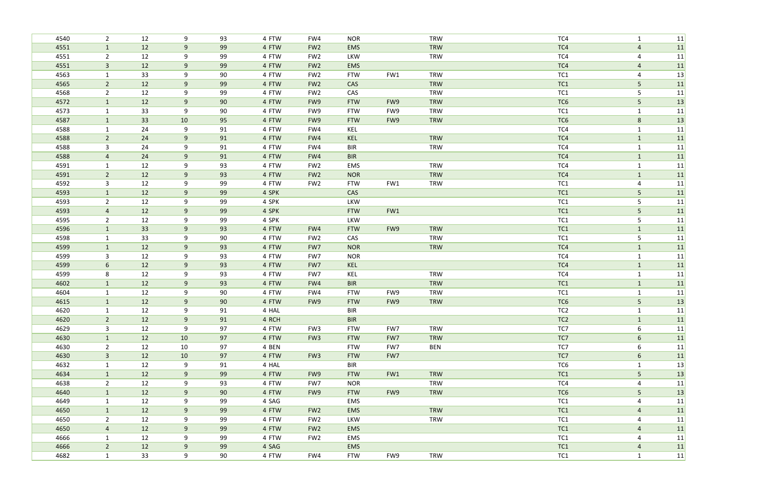| 4540 | $\overline{2}$ | 12 | 9     | 93 | 4 FTW | FW4             | <b>NOR</b> |     | <b>TRW</b> | TC4             | $\mathbf{1}$   | 11 |
|------|----------------|----|-------|----|-------|-----------------|------------|-----|------------|-----------------|----------------|----|
| 4551 | $\mathbf{1}$   | 12 | 9     | 99 | 4 FTW | FW <sub>2</sub> | <b>EMS</b> |     | <b>TRW</b> | TC4             | $\overline{a}$ | 11 |
| 4551 | $\overline{2}$ | 12 | 9     | 99 | 4 FTW | FW <sub>2</sub> | LKW        |     | <b>TRW</b> | TC4             | 4              | 11 |
| 4551 | $\overline{3}$ | 12 | 9     | 99 | 4 FTW | FW <sub>2</sub> | <b>EMS</b> |     |            | TC4             | $\overline{a}$ | 11 |
| 4563 | $\mathbf{1}$   | 33 | 9     | 90 | 4 FTW | FW <sub>2</sub> | <b>FTW</b> | FW1 | <b>TRW</b> | TC1             | $\overline{4}$ | 13 |
| 4565 | $\overline{2}$ | 12 | $9\,$ | 99 | 4 FTW | FW <sub>2</sub> | CAS        |     | <b>TRW</b> | TC1             | 5 <sub>1</sub> | 11 |
| 4568 | $\overline{2}$ | 12 | 9     | 99 | 4 FTW | FW <sub>2</sub> | CAS        |     | <b>TRW</b> | TC <sub>1</sub> | 5              | 11 |
| 4572 | $\mathbf{1}$   | 12 | 9     | 90 | 4 FTW | FW9             | <b>FTW</b> | FW9 | <b>TRW</b> | TC <sub>6</sub> | 5 <sub>1</sub> | 13 |
| 4573 | $\mathbf{1}$   | 33 | 9     | 90 | 4 FTW | FW9             | <b>FTW</b> | FW9 | <b>TRW</b> | TC <sub>1</sub> | $\mathbf{1}$   | 11 |
| 4587 | $\mathbf{1}$   | 33 | 10    | 95 | 4 FTW | FW9             | <b>FTW</b> | FW9 | <b>TRW</b> | TC <sub>6</sub> | $8\phantom{1}$ | 13 |
| 4588 | $\mathbf{1}$   | 24 | 9     | 91 | 4 FTW | FW4             | KEL        |     |            | TC4             | $\mathbf{1}$   | 11 |
| 4588 | $\overline{2}$ | 24 | 9     | 91 | 4 FTW | FW4             | KEL        |     | <b>TRW</b> | TC4             | $\mathbf{1}$   | 11 |
| 4588 | 3              | 24 | 9     | 91 | 4 FTW | FW4             | <b>BIR</b> |     | <b>TRW</b> | TC4             | $\mathbf{1}$   | 11 |
| 4588 | 4              | 24 | 9     | 91 | 4 FTW | FW4             | <b>BIR</b> |     |            | TC4             | $\mathbf{1}$   | 11 |
| 4591 | $\mathbf{1}$   | 12 | 9     | 93 | 4 FTW | FW <sub>2</sub> | EMS        |     | <b>TRW</b> | TC4             | $\mathbf{1}$   | 11 |
| 4591 | $\overline{2}$ | 12 | 9     | 93 | 4 FTW | FW <sub>2</sub> | <b>NOR</b> |     | <b>TRW</b> | TC4             | $\mathbf{1}$   | 11 |
| 4592 | $\mathbf{3}$   | 12 | 9     | 99 | 4 FTW | FW <sub>2</sub> | <b>FTW</b> | FW1 | <b>TRW</b> | TC1             | $\overline{4}$ | 11 |
| 4593 | $\mathbf{1}$   | 12 | 9     | 99 | 4 SPK |                 | CAS        |     |            | TC1             | 5              | 11 |
| 4593 | $\overline{2}$ | 12 | 9     | 99 | 4 SPK |                 | LKW        |     |            | TC <sub>1</sub> | 5              | 11 |
| 4593 | $\overline{4}$ | 12 | 9     | 99 | 4 SPK |                 | <b>FTW</b> | FW1 |            | TC1             | 5 <sub>1</sub> | 11 |
| 4595 | $\overline{2}$ | 12 | 9     | 99 | 4 SPK |                 | LKW        |     |            | TC1             | 5              | 11 |
| 4596 | $\mathbf{1}$   | 33 | 9     | 93 | 4 FTW | FW4             | <b>FTW</b> | FW9 | <b>TRW</b> | TC1             | $\mathbf{1}$   | 11 |
| 4598 | $\mathbf{1}$   | 33 | 9     | 90 | 4 FTW | FW <sub>2</sub> | CAS        |     | <b>TRW</b> | TC1             | 5              | 11 |
| 4599 | $\mathbf{1}$   | 12 | 9     | 93 | 4 FTW | FW7             | <b>NOR</b> |     | <b>TRW</b> | TC4             | $\mathbf{1}$   | 11 |
| 4599 | 3              | 12 | 9     | 93 | 4 FTW | FW7             | <b>NOR</b> |     |            | TC4             | $\mathbf{1}$   | 11 |
| 4599 | 6              | 12 | 9     | 93 | 4 FTW | FW7             | KEL        |     |            | TC4             | $\mathbf{1}$   | 11 |
| 4599 | 8              | 12 | 9     | 93 | 4 FTW | FW7             | KEL        |     | <b>TRW</b> | TC4             | $\mathbf{1}$   | 11 |
| 4602 | $\mathbf{1}$   | 12 | $9\,$ | 93 | 4 FTW | FW4             | <b>BIR</b> |     | <b>TRW</b> | TC1             | $\mathbf{1}$   | 11 |
| 4604 | $\mathbf{1}$   | 12 | 9     | 90 | 4 FTW | FW4             | <b>FTW</b> | FW9 | <b>TRW</b> | TC1             | $\mathbf 1$    | 11 |
| 4615 | $\mathbf{1}$   | 12 | $9\,$ | 90 | 4 FTW | FW9             | <b>FTW</b> | FW9 | <b>TRW</b> | TC <sub>6</sub> | 5              | 13 |
| 4620 |                | 12 | 9     | 91 | 4 HAL |                 | <b>BIR</b> |     |            | TC <sub>2</sub> |                | 11 |
| 4620 | $\overline{2}$ | 12 | 9     | 91 | 4 RCH |                 | <b>BIR</b> |     |            | TC <sub>2</sub> | $\mathbf{1}$   | 11 |
| 4629 | $\mathbf{3}$   | 12 | 9     | 97 | 4 FTW | FW3             | <b>FTW</b> | FW7 | <b>TRW</b> | TC7             | 6              | 11 |
| 4630 | $\mathbf{1}$   | 12 | 10    | 97 | 4 FTW | FW <sub>3</sub> | <b>FTW</b> | FW7 | <b>TRW</b> | TC7             | 6              | 11 |
| 4630 | $2^{\circ}$    | 12 | 10    | 97 | 4 BEN |                 | <b>FTW</b> | FW7 | <b>BEN</b> | TC7             | 6              | 11 |
| 4630 | $\mathbf{3}$   | 12 | 10    | 97 | 4 FTW | FW <sub>3</sub> | <b>FTW</b> | FW7 |            | TC7             | 6              | 11 |
| 4632 | $\mathbf{1}$   | 12 | 9     | 91 | 4 HAL |                 | <b>BIR</b> |     |            | TC6             | $\mathbf{1}$   | 13 |
| 4634 | $\mathbf{1}$   | 12 | 9     | 99 | 4 FTW | FW9             | <b>FTW</b> | FW1 | TRW        | TC1             | 5 <sub>1</sub> | 13 |
| 4638 | $2^{\circ}$    | 12 | 9     | 93 | 4 FTW | FW7             | <b>NOR</b> |     | <b>TRW</b> | TC4             | 4              | 11 |
| 4640 | $\mathbf{1}$   | 12 | 9     | 90 | 4 FTW | FW9             | <b>FTW</b> | FW9 | TRW        | TC6             | 5              | 13 |
| 4649 | $\mathbf{1}$   | 12 | 9     | 99 | 4 SAG |                 | EMS        |     |            | TC1             | 4              | 11 |
| 4650 | $\mathbf{1}$   | 12 | 9     | 99 | 4 FTW | FW <sub>2</sub> | <b>EMS</b> |     | <b>TRW</b> | TC1             | $\overline{4}$ | 11 |
| 4650 | $\overline{2}$ | 12 | 9     | 99 | 4 FTW | FW <sub>2</sub> | LKW        |     | <b>TRW</b> | TC1             | 4              | 11 |
| 4650 | $\overline{4}$ | 12 | 9     | 99 | 4 FTW | FW <sub>2</sub> | EMS        |     |            | TC1             | $\overline{a}$ | 11 |
| 4666 | 1              | 12 | 9     | 99 | 4 FTW | FW <sub>2</sub> | EMS        |     |            | TC <sub>1</sub> | 4              | 11 |
| 4666 | $2^{\circ}$    | 12 | 9     | 99 | 4 SAG |                 | EMS        |     |            | TC1             | $\overline{4}$ | 11 |
| 4682 | $\mathbf{1}$   | 33 | 9     | 90 | 4 FTW | FW4             | <b>FTW</b> | FW9 | <b>TRW</b> | TC1             | $\mathbf{1}$   | 11 |
|      |                |    |       |    |       |                 |            |     |            |                 |                |    |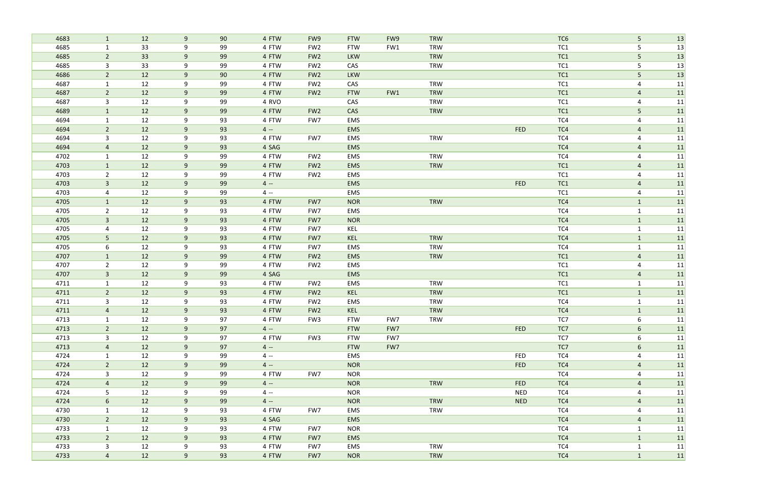| 4683 | $\mathbf{1}$    | 12 | 9              | 90 | 4 FTW | FW9             | <b>FTW</b> | FW9 | <b>TRW</b> |            | TC <sub>6</sub> | 5 <sup>1</sup> | 13 |
|------|-----------------|----|----------------|----|-------|-----------------|------------|-----|------------|------------|-----------------|----------------|----|
| 4685 | $\mathbf{1}$    | 33 | 9              | 99 | 4 FTW | FW <sub>2</sub> | <b>FTW</b> | FW1 | <b>TRW</b> |            | TC <sub>1</sub> | 5              | 13 |
| 4685 | $\overline{2}$  | 33 | 9              | 99 | 4 FTW | FW <sub>2</sub> | <b>LKW</b> |     | <b>TRW</b> |            | TC1             | 5              | 13 |
| 4685 | 3               | 33 | 9              | 99 | 4 FTW | FW <sub>2</sub> | CAS        |     | <b>TRW</b> |            | TC <sub>1</sub> | 5              | 13 |
| 4686 | $\overline{2}$  | 12 | 9              | 90 | 4 FTW | FW <sub>2</sub> | <b>LKW</b> |     |            |            | TC1             | 5              | 13 |
| 4687 | $\mathbf{1}$    | 12 | 9              | 99 | 4 FTW | FW <sub>2</sub> | CAS        |     | <b>TRW</b> |            | TC <sub>1</sub> | $\overline{4}$ | 11 |
| 4687 | $\overline{2}$  | 12 | 9              | 99 | 4 FTW | FW <sub>2</sub> | <b>FTW</b> | FW1 | <b>TRW</b> |            | TC1             | $\overline{a}$ | 11 |
| 4687 | $\mathbf{3}$    | 12 | 9              | 99 | 4 RVO |                 | CAS        |     | <b>TRW</b> |            | TC1             | 4              | 11 |
| 4689 | $\mathbf{1}$    | 12 | 9              | 99 | 4 FTW | FW <sub>2</sub> | CAS        |     | <b>TRW</b> |            | TC1             | 5              | 11 |
| 4694 | $\mathbf{1}$    | 12 | 9              | 93 | 4 FTW | FW7             | EMS        |     |            |            | TC4             | $\overline{4}$ | 11 |
| 4694 | $\overline{2}$  | 12 | 9              | 93 | $4 -$ |                 | EMS        |     |            | <b>FED</b> | TC4             | $\overline{a}$ | 11 |
| 4694 | 3               | 12 | 9              | 93 | 4 FTW | FW7             | EMS        |     | <b>TRW</b> |            | TC4             | 4              | 11 |
| 4694 | $\overline{4}$  | 12 | 9              | 93 | 4 SAG |                 | EMS        |     |            |            | TC4             | $\overline{4}$ | 11 |
| 4702 | 1               | 12 | 9              | 99 | 4 FTW | FW <sub>2</sub> | EMS        |     | <b>TRW</b> |            | TC4             | $\overline{4}$ | 11 |
| 4703 | $\mathbf{1}$    | 12 | 9              | 99 | 4 FTW | FW <sub>2</sub> | <b>EMS</b> |     | TRW        |            | TC1             | $\overline{a}$ | 11 |
| 4703 | $\overline{2}$  | 12 | 9              | 99 | 4 FTW | FW <sub>2</sub> | EMS        |     |            |            | TC <sub>1</sub> | $\overline{4}$ | 11 |
| 4703 | $\mathbf{3}$    | 12 | 9              | 99 | $4 -$ |                 | <b>EMS</b> |     |            | <b>FED</b> | TC1             | $\overline{a}$ | 11 |
| 4703 | 4               | 12 | 9              | 99 | $4 -$ |                 | EMS        |     |            |            | TC <sub>1</sub> | $\overline{4}$ | 11 |
| 4705 | $\mathbf{1}$    | 12 | 9              | 93 | 4 FTW | FW7             | <b>NOR</b> |     | <b>TRW</b> |            | TC4             | $\mathbf{1}$   | 11 |
| 4705 | $\overline{2}$  | 12 | 9              | 93 | 4 FTW | FW7             | EMS        |     |            |            | TC4             | $\mathbf{1}$   | 11 |
| 4705 | $\mathbf{3}$    | 12 | 9              | 93 | 4 FTW | FW7             | <b>NOR</b> |     |            |            | TC4             | $\mathbf{1}$   | 11 |
| 4705 | 4               | 12 | 9              | 93 | 4 FTW | FW7             | KEL        |     |            |            | TC4             | $\mathbf{1}$   | 11 |
| 4705 | 5               | 12 | 9              | 93 | 4 FTW | FW7             | KEL        |     | <b>TRW</b> |            | TC4             | $\mathbf{1}$   | 11 |
| 4705 | 6               | 12 | 9              | 93 | 4 FTW | FW7             | EMS        |     | <b>TRW</b> |            | TC4             | $\mathbf{1}$   | 11 |
| 4707 | $\mathbf{1}$    | 12 | 9              | 99 | 4 FTW | FW <sub>2</sub> | EMS        |     | <b>TRW</b> |            | TC1             | $\overline{a}$ | 11 |
| 4707 | $\overline{2}$  | 12 | 9              | 99 | 4 FTW | FW <sub>2</sub> | EMS        |     |            |            | TC <sub>1</sub> | 4              | 11 |
| 4707 | $\mathbf{3}$    | 12 | 9              | 99 | 4 SAG |                 | EMS        |     |            |            | TC1             | $\overline{a}$ | 11 |
| 4711 | $\mathbf{1}$    | 12 | 9              | 93 | 4 FTW | FW <sub>2</sub> | EMS        |     | <b>TRW</b> |            | TC1             | $\mathbf{1}$   | 11 |
| 4711 | $\overline{2}$  | 12 | 9              | 93 | 4 FTW | FW <sub>2</sub> | KEL        |     | <b>TRW</b> |            | TC1             | $\mathbf{1}$   | 11 |
| 4711 | 3               | 12 | 9              | 93 | 4 FTW | FW <sub>2</sub> | EMS        |     | <b>TRW</b> |            | TC4             | $\mathbf{1}$   | 11 |
| 4711 | $\overline{4}$  | 12 | 9              | 93 | 4 FTW | FW <sub>2</sub> | <b>KEL</b> |     | <b>TRW</b> |            | TC4             |                | 11 |
| 4713 | $\mathbf{1}$    | 12 | 9              | 97 | 4 FTW | FW3             | <b>FTW</b> | FW7 | TRW        |            | TC7             | 6              | 11 |
| 4713 | $2^{\circ}$     | 12 | 9              | 97 | $4 -$ |                 | <b>FTW</b> | FW7 |            | <b>FED</b> | TC7             | 6              | 11 |
| 4713 | $\mathbf{3}$    | 12 | 9              | 97 | 4 FTW | FW3             | <b>FTW</b> | FW7 |            |            | TC7             | 6              | 11 |
| 4713 | $\overline{4}$  | 12 | 9              | 97 | $4 -$ |                 | <b>FTW</b> | FW7 |            |            | TC7             | 6              | 11 |
| 4724 | $\mathbf{1}$    | 12 | 9              | 99 | $4 -$ |                 | EMS        |     |            | <b>FED</b> | TC4             | $\overline{4}$ | 11 |
| 4724 | $2\overline{ }$ | 12 | 9              | 99 | $4 -$ |                 | <b>NOR</b> |     |            | <b>FED</b> | TC4             | $\overline{a}$ | 11 |
| 4724 | $\mathbf{3}$    | 12 | 9              | 99 | 4 FTW | FW7             | <b>NOR</b> |     |            |            | TC4             | 4              | 11 |
| 4724 | $\overline{4}$  | 12 | 9              | 99 | $4 -$ |                 | <b>NOR</b> |     | TRW        | <b>FED</b> | TC4             | $\overline{a}$ | 11 |
| 4724 | 5               | 12 | 9              | 99 | $4 -$ |                 | <b>NOR</b> |     |            | <b>NED</b> | TC4             | 4              | 11 |
| 4724 | 6               | 12 | 9              | 99 | $4 -$ |                 | <b>NOR</b> |     | TRW        | <b>NED</b> | TC4             | $\overline{4}$ | 11 |
| 4730 | $\mathbf{1}$    | 12 | 9              | 93 | 4 FTW | FW7             | EMS        |     | TRW        |            | TC4             | $\overline{4}$ | 11 |
| 4730 | $2^{\circ}$     | 12 | 9              | 93 | 4 SAG |                 | <b>EMS</b> |     |            |            | TC4             | $\overline{4}$ | 11 |
| 4733 | $\mathbf{1}$    | 12 | 9              | 93 | 4 FTW | FW7             | <b>NOR</b> |     |            |            | TC4             | $\mathbf{1}$   | 11 |
| 4733 | $2^{\circ}$     | 12 | 9              | 93 | 4 FTW | FW7             | <b>EMS</b> |     |            |            | TC4             | $\mathbf{1}$   | 11 |
| 4733 | $\mathbf{3}$    | 12 | 9              | 93 | 4 FTW | FW7             | EMS        |     | <b>TRW</b> |            | TC4             | $\mathbf{1}$   | 11 |
| 4733 | $\overline{4}$  | 12 | 9 <sup>°</sup> | 93 | 4 FTW | FW7             | <b>NOR</b> |     | <b>TRW</b> |            | TC4             | $\mathbf{1}$   | 11 |